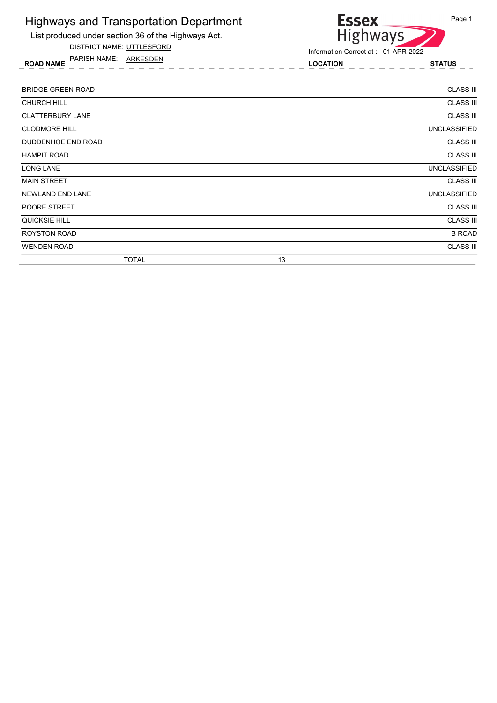

DISTRICT NAME: UTTLESFORD

ROAD NAME LOCATION STATUS PARISH NAME: ARKESDEN



| <b>BRIDGE GREEN ROAD</b> | <b>CLASS III</b>    |
|--------------------------|---------------------|
| <b>CHURCH HILL</b>       | <b>CLASS III</b>    |
| <b>CLATTERBURY LANE</b>  | <b>CLASS III</b>    |
| <b>CLODMORE HILL</b>     | <b>UNCLASSIFIED</b> |
| DUDDENHOE END ROAD       | <b>CLASS III</b>    |
| <b>HAMPIT ROAD</b>       | <b>CLASS III</b>    |
| <b>LONG LANE</b>         | <b>UNCLASSIFIED</b> |
| <b>MAIN STREET</b>       | <b>CLASS III</b>    |
| <b>NEWLAND END LANE</b>  | <b>UNCLASSIFIED</b> |
| POORE STREET             | <b>CLASS III</b>    |
| QUICKSIE HILL            | <b>CLASS III</b>    |
| <b>ROYSTON ROAD</b>      | <b>B ROAD</b>       |
| <b>WENDEN ROAD</b>       | <b>CLASS III</b>    |
| <b>TOTAL</b>             | 13                  |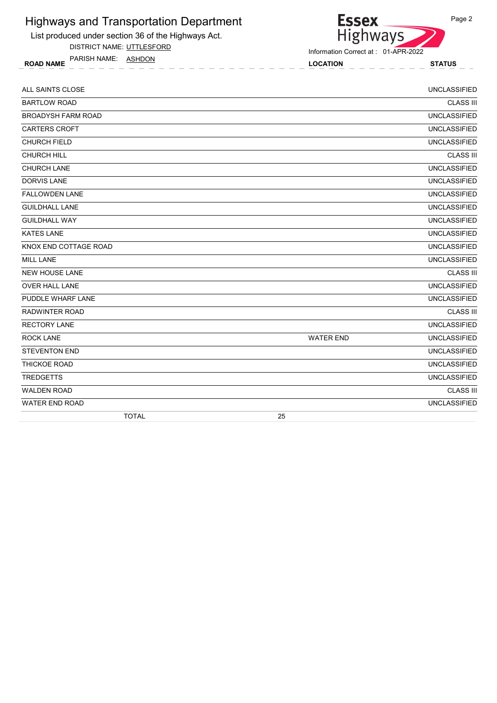

DISTRICT NAME: UTTLESFORD

ROAD NAME LOCATION STATUS PARISH NAME: ASHDON



| ALL SAINTS CLOSE          |                  | <b>UNCLASSIFIED</b> |
|---------------------------|------------------|---------------------|
| <b>BARTLOW ROAD</b>       |                  | <b>CLASS III</b>    |
| <b>BROADYSH FARM ROAD</b> |                  | <b>UNCLASSIFIED</b> |
| <b>CARTERS CROFT</b>      |                  | <b>UNCLASSIFIED</b> |
| <b>CHURCH FIELD</b>       |                  | <b>UNCLASSIFIED</b> |
| <b>CHURCH HILL</b>        |                  | <b>CLASS III</b>    |
| <b>CHURCH LANE</b>        |                  | <b>UNCLASSIFIED</b> |
| <b>DORVIS LANE</b>        |                  | <b>UNCLASSIFIED</b> |
| <b>FALLOWDEN LANE</b>     |                  | <b>UNCLASSIFIED</b> |
| <b>GUILDHALL LANE</b>     |                  | <b>UNCLASSIFIED</b> |
| <b>GUILDHALL WAY</b>      |                  | <b>UNCLASSIFIED</b> |
| <b>KATES LANE</b>         |                  | <b>UNCLASSIFIED</b> |
| KNOX END COTTAGE ROAD     |                  | <b>UNCLASSIFIED</b> |
| <b>MILL LANE</b>          |                  | <b>UNCLASSIFIED</b> |
| <b>NEW HOUSE LANE</b>     |                  | <b>CLASS III</b>    |
| <b>OVER HALL LANE</b>     |                  | <b>UNCLASSIFIED</b> |
| PUDDLE WHARF LANE         |                  | <b>UNCLASSIFIED</b> |
| <b>RADWINTER ROAD</b>     |                  | <b>CLASS III</b>    |
| <b>RECTORY LANE</b>       |                  | <b>UNCLASSIFIED</b> |
| <b>ROCK LANE</b>          | <b>WATER END</b> | <b>UNCLASSIFIED</b> |
| <b>STEVENTON END</b>      |                  | <b>UNCLASSIFIED</b> |
| THICKOE ROAD              |                  | <b>UNCLASSIFIED</b> |
| <b>TREDGETTS</b>          |                  | <b>UNCLASSIFIED</b> |
| <b>WALDEN ROAD</b>        |                  | <b>CLASS III</b>    |
| <b>WATER END ROAD</b>     |                  | <b>UNCLASSIFIED</b> |
| <b>TOTAL</b>              | 25               |                     |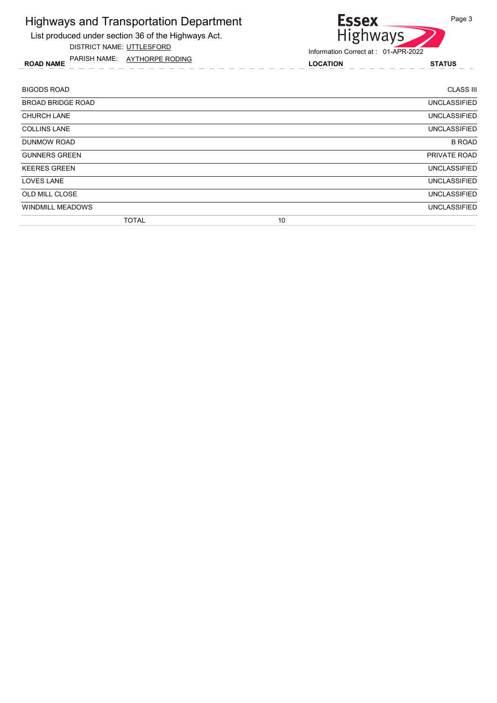List produced under section 36 of the Highways Act.

DISTRICT NAME: UTTLESFORD

ROAD NAME LOCATION STATUS PARISH NAME: AYTHORPE RODING

Information Correct at : 01-APR-2022

Highways

**Essex** 

| <b>BIGODS ROAD</b>       | <b>CLASS III</b>    |
|--------------------------|---------------------|
| <b>BROAD BRIDGE ROAD</b> | <b>UNCLASSIFIED</b> |
| <b>CHURCH LANE</b>       | <b>UNCLASSIFIED</b> |
| <b>COLLINS LANE</b>      | UNCLASSIFIED        |
| DUNMOW ROAD              | <b>B ROAD</b>       |
| <b>GUNNERS GREEN</b>     | PRIVATE ROAD        |
| <b>KEERES GREEN</b>      | <b>UNCLASSIFIED</b> |
| <b>LOVES LANE</b>        | <b>UNCLASSIFIED</b> |
| OLD MILL CLOSE           | <b>UNCLASSIFIED</b> |
| <b>WINDMILL MEADOWS</b>  | <b>UNCLASSIFIED</b> |
| <b>TOTAL</b>             | 10                  |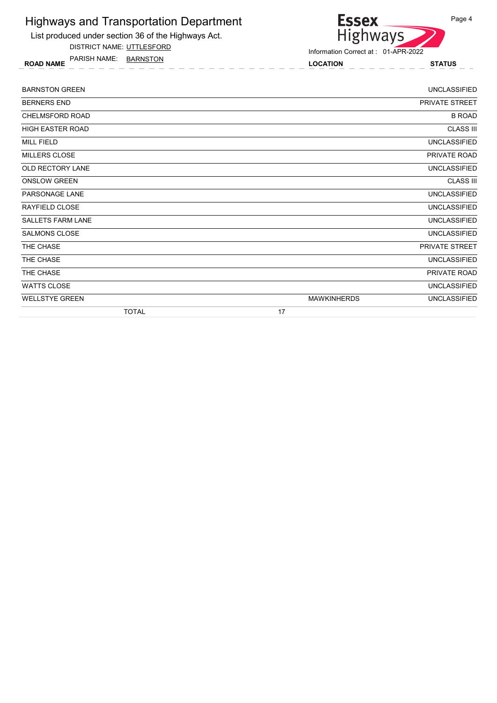

DISTRICT NAME: UTTLESFORD

ROAD NAME LOCATION STATUS PARISH NAME: BARNSTON

Highways

Information Correct at : 01-APR-2022

**Essex** 

| <b>BARNSTON GREEN</b>    | <b>UNCLASSIFIED</b>                       |
|--------------------------|-------------------------------------------|
| <b>BERNERS END</b>       | <b>PRIVATE STREET</b>                     |
| <b>CHELMSFORD ROAD</b>   | <b>B ROAD</b>                             |
| HIGH EASTER ROAD         | <b>CLASS III</b>                          |
| <b>MILL FIELD</b>        | <b>UNCLASSIFIED</b>                       |
| <b>MILLERS CLOSE</b>     | PRIVATE ROAD                              |
| OLD RECTORY LANE         | <b>UNCLASSIFIED</b>                       |
| <b>ONSLOW GREEN</b>      | <b>CLASS III</b>                          |
| <b>PARSONAGE LANE</b>    | <b>UNCLASSIFIED</b>                       |
| <b>RAYFIELD CLOSE</b>    | <b>UNCLASSIFIED</b>                       |
| <b>SALLETS FARM LANE</b> | <b>UNCLASSIFIED</b>                       |
| <b>SALMONS CLOSE</b>     | <b>UNCLASSIFIED</b>                       |
| THE CHASE                | PRIVATE STREET                            |
| THE CHASE                | <b>UNCLASSIFIED</b>                       |
| THE CHASE                | PRIVATE ROAD                              |
| <b>WATTS CLOSE</b>       | <b>UNCLASSIFIED</b>                       |
| <b>WELLSTYE GREEN</b>    | <b>MAWKINHERDS</b><br><b>UNCLASSIFIED</b> |
| <b>TOTAL</b>             | 17                                        |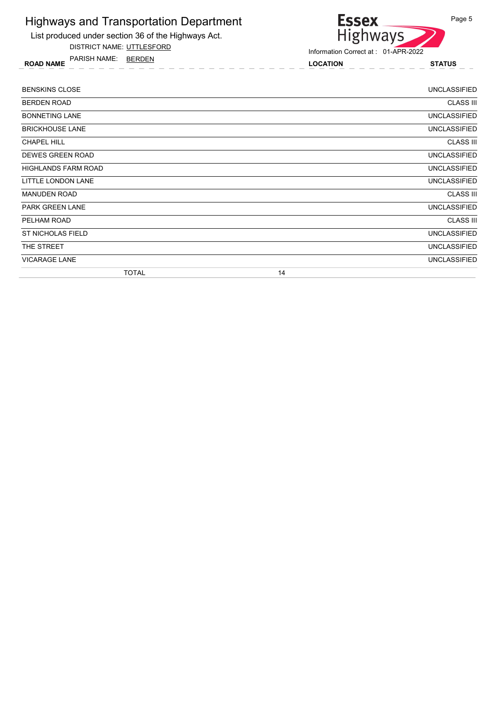

DISTRICT NAME: UTTLESFORD

ROAD NAME LOCATION STATUS PARISH NAME: BERDEN



| <b>BENSKINS CLOSE</b>      | <b>UNCLASSIFIED</b> |
|----------------------------|---------------------|
| <b>BERDEN ROAD</b>         | <b>CLASS III</b>    |
| <b>BONNETING LANE</b>      | <b>UNCLASSIFIED</b> |
| <b>BRICKHOUSE LANE</b>     | <b>UNCLASSIFIED</b> |
| <b>CHAPEL HILL</b>         | <b>CLASS III</b>    |
| <b>DEWES GREEN ROAD</b>    | <b>UNCLASSIFIED</b> |
| <b>HIGHLANDS FARM ROAD</b> | <b>UNCLASSIFIED</b> |
| LITTLE LONDON LANE         | <b>UNCLASSIFIED</b> |
| <b>MANUDEN ROAD</b>        | <b>CLASS III</b>    |
| <b>PARK GREEN LANE</b>     | <b>UNCLASSIFIED</b> |
| PELHAM ROAD                | <b>CLASS III</b>    |
| ST NICHOLAS FIELD          | <b>UNCLASSIFIED</b> |
| THE STREET                 | <b>UNCLASSIFIED</b> |
| <b>VICARAGE LANE</b>       | <b>UNCLASSIFIED</b> |
| <b>TOTAL</b>               | 14                  |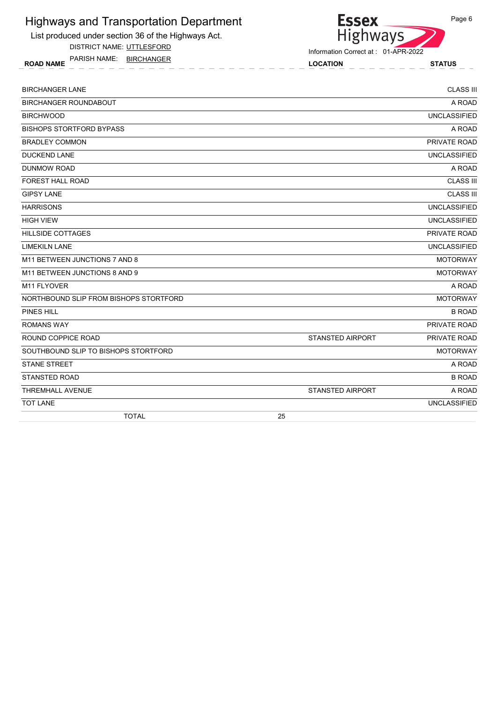List produced under section 36 of the Highways Act.

DISTRICT NAME: UTTLESFORD

ROAD NAME LOCATION STATUS PARISH NAME: BIRCHANGER



Information Correct at : 01-APR-2022

| <b>BIRCHANGER LANE</b>                 |    |                         | <b>CLASS III</b>    |
|----------------------------------------|----|-------------------------|---------------------|
| <b>BIRCHANGER ROUNDABOUT</b>           |    |                         | A ROAD              |
| <b>BIRCHWOOD</b>                       |    |                         | <b>UNCLASSIFIED</b> |
| <b>BISHOPS STORTFORD BYPASS</b>        |    |                         | A ROAD              |
| <b>BRADLEY COMMON</b>                  |    |                         | PRIVATE ROAD        |
| <b>DUCKEND LANE</b>                    |    |                         | <b>UNCLASSIFIED</b> |
| <b>DUNMOW ROAD</b>                     |    |                         | A ROAD              |
| <b>FOREST HALL ROAD</b>                |    |                         | <b>CLASS III</b>    |
| <b>GIPSY LANE</b>                      |    |                         | <b>CLASS III</b>    |
| <b>HARRISONS</b>                       |    |                         | <b>UNCLASSIFIED</b> |
| <b>HIGH VIEW</b>                       |    |                         | <b>UNCLASSIFIED</b> |
| <b>HILLSIDE COTTAGES</b>               |    |                         | PRIVATE ROAD        |
| LIMEKILN LANE                          |    |                         | <b>UNCLASSIFIED</b> |
| M11 BETWEEN JUNCTIONS 7 AND 8          |    |                         | <b>MOTORWAY</b>     |
| M11 BETWEEN JUNCTIONS 8 AND 9          |    |                         | <b>MOTORWAY</b>     |
| M11 FLYOVER                            |    |                         | A ROAD              |
| NORTHBOUND SLIP FROM BISHOPS STORTFORD |    |                         | <b>MOTORWAY</b>     |
| <b>PINES HILL</b>                      |    |                         | <b>B ROAD</b>       |
| <b>ROMANS WAY</b>                      |    |                         | PRIVATE ROAD        |
| ROUND COPPICE ROAD                     |    | <b>STANSTED AIRPORT</b> | PRIVATE ROAD        |
| SOUTHBOUND SLIP TO BISHOPS STORTFORD   |    |                         | <b>MOTORWAY</b>     |
| <b>STANE STREET</b>                    |    |                         | A ROAD              |
| <b>STANSTED ROAD</b>                   |    |                         | <b>B ROAD</b>       |
| <b>THREMHALL AVENUE</b>                |    | <b>STANSTED AIRPORT</b> | A ROAD              |
| <b>TOT LANE</b>                        |    |                         | <b>UNCLASSIFIED</b> |
| <b>TOTAL</b>                           | 25 |                         |                     |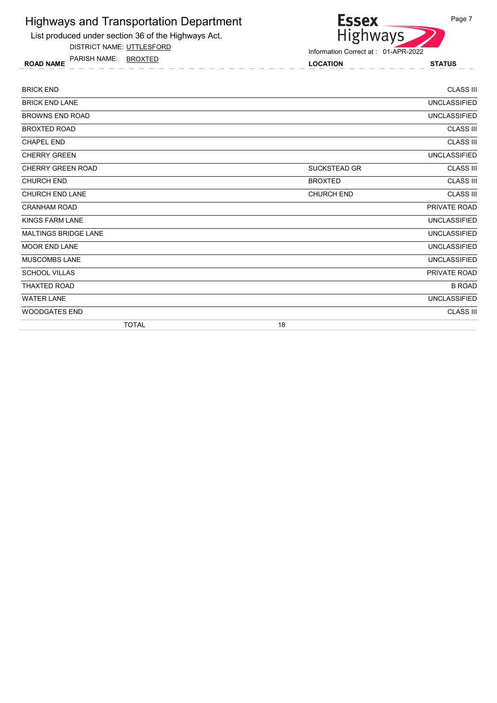

DISTRICT NAME: UTTLESFORD

ROAD NAME LOCATION STATUS PARISH NAME: BROXTED



| <b>BRICK END</b>            |                     | <b>CLASS III</b>    |
|-----------------------------|---------------------|---------------------|
| <b>BRICK END LANE</b>       |                     | <b>UNCLASSIFIED</b> |
| <b>BROWNS END ROAD</b>      |                     | <b>UNCLASSIFIED</b> |
| <b>BROXTED ROAD</b>         |                     | <b>CLASS III</b>    |
| <b>CHAPEL END</b>           |                     | <b>CLASS III</b>    |
| <b>CHERRY GREEN</b>         |                     | <b>UNCLASSIFIED</b> |
| <b>CHERRY GREEN ROAD</b>    | <b>SUCKSTEAD GR</b> | <b>CLASS III</b>    |
| <b>CHURCH END</b>           | <b>BROXTED</b>      | <b>CLASS III</b>    |
| <b>CHURCH END LANE</b>      | CHURCH END          | <b>CLASS III</b>    |
| <b>CRANHAM ROAD</b>         |                     | PRIVATE ROAD        |
| <b>KINGS FARM LANE</b>      |                     | <b>UNCLASSIFIED</b> |
| <b>MALTINGS BRIDGE LANE</b> |                     | <b>UNCLASSIFIED</b> |
| <b>MOOR END LANE</b>        |                     | <b>UNCLASSIFIED</b> |
| <b>MUSCOMBS LANE</b>        |                     | <b>UNCLASSIFIED</b> |
| <b>SCHOOL VILLAS</b>        |                     | PRIVATE ROAD        |
| <b>THAXTED ROAD</b>         |                     | <b>B ROAD</b>       |
| <b>WATER LANE</b>           |                     | <b>UNCLASSIFIED</b> |
| <b>WOODGATES END</b>        |                     | <b>CLASS III</b>    |
| <b>TOTAL</b>                | 18                  |                     |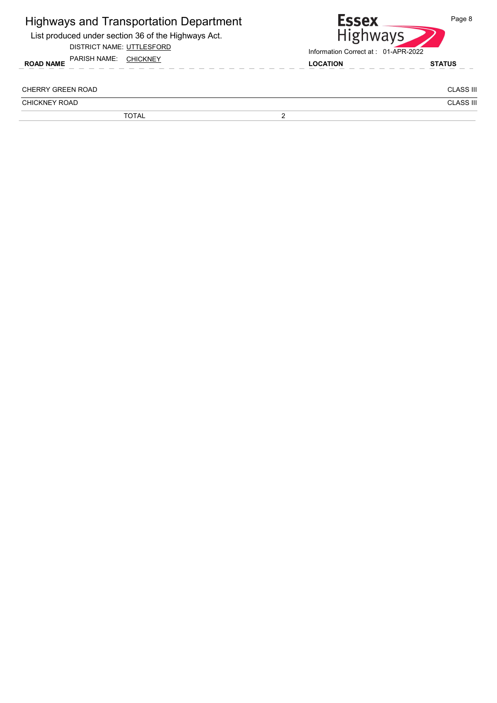| <b>Highways and Transportation Department</b><br>List produced under section 36 of the Highways Act.<br>DISTRICT NAME: UTTLESFORD |   | <b>Essex</b><br><b>Highways</b><br>Information Correct at: 01-APR-2022 | Page 8           |  |
|-----------------------------------------------------------------------------------------------------------------------------------|---|------------------------------------------------------------------------|------------------|--|
| PARISH NAME:<br><b>CHICKNEY</b><br><b>ROAD NAME</b>                                                                               |   | <b>LOCATION</b>                                                        | <b>STATUS</b>    |  |
| CHERRY GREEN ROAD                                                                                                                 |   |                                                                        | <b>CLASS III</b> |  |
| CHICKNEY ROAD                                                                                                                     |   |                                                                        | <b>CLASS III</b> |  |
| <b>TOTAL</b>                                                                                                                      | ◠ |                                                                        |                  |  |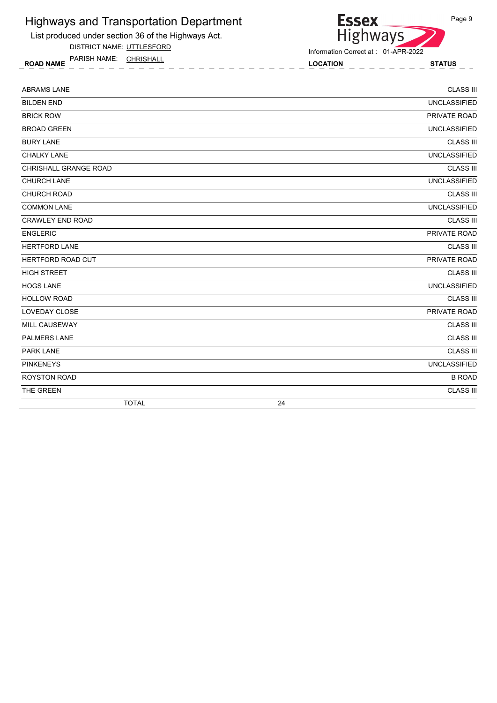

List produced under section 36 of the Highways Act.

DISTRICT NAME: UTTLESFORD

ROAD NAME LOCATION STATUS PARISH NAME: CHRISHALL

Information Correct at : 01-APR-2022

| <b>ABRAMS LANE</b>      |    | <b>CLASS III</b>    |
|-------------------------|----|---------------------|
| <b>BILDEN END</b>       |    | <b>UNCLASSIFIED</b> |
| <b>BRICK ROW</b>        |    | PRIVATE ROAD        |
| <b>BROAD GREEN</b>      |    | <b>UNCLASSIFIED</b> |
| <b>BURY LANE</b>        |    | <b>CLASS III</b>    |
| <b>CHALKY LANE</b>      |    | <b>UNCLASSIFIED</b> |
| CHRISHALL GRANGE ROAD   |    | <b>CLASS III</b>    |
| CHURCH LANE             |    | <b>UNCLASSIFIED</b> |
| CHURCH ROAD             |    | <b>CLASS III</b>    |
| <b>COMMON LANE</b>      |    | <b>UNCLASSIFIED</b> |
| <b>CRAWLEY END ROAD</b> |    | <b>CLASS III</b>    |
| <b>ENGLERIC</b>         |    | PRIVATE ROAD        |
| HERTFORD LANE           |    | <b>CLASS III</b>    |
| HERTFORD ROAD CUT       |    | PRIVATE ROAD        |
| <b>HIGH STREET</b>      |    | <b>CLASS III</b>    |
| <b>HOGS LANE</b>        |    | <b>UNCLASSIFIED</b> |
| <b>HOLLOW ROAD</b>      |    | <b>CLASS III</b>    |
| LOVEDAY CLOSE           |    | PRIVATE ROAD        |
| MILL CAUSEWAY           |    | <b>CLASS III</b>    |
| PALMERS LANE            |    | <b>CLASS III</b>    |
| <b>PARK LANE</b>        |    | <b>CLASS III</b>    |
| <b>PINKENEYS</b>        |    | <b>UNCLASSIFIED</b> |
| <b>ROYSTON ROAD</b>     |    | <b>B ROAD</b>       |
| THE GREEN               |    | <b>CLASS III</b>    |
| <b>TOTAL</b>            | 24 |                     |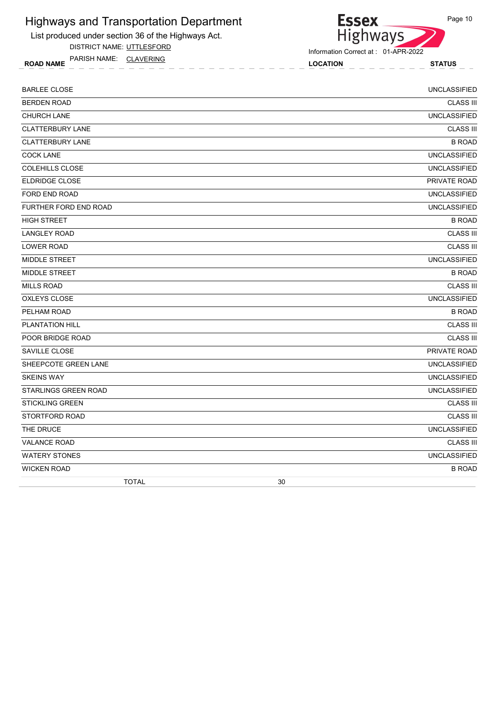

DISTRICT NAME: UTTLESFORD

ROAD NAME LOCATION STATUS PARISH NAME: CLAVERING

**Essex** Highways

Information Correct at : 01-APR-2022

| <b>BARLEE CLOSE</b>     | <b>UNCLASSIFIED</b> |
|-------------------------|---------------------|
| <b>BERDEN ROAD</b>      | <b>CLASS III</b>    |
| <b>CHURCH LANE</b>      | <b>UNCLASSIFIED</b> |
| <b>CLATTERBURY LANE</b> | <b>CLASS III</b>    |
| <b>CLATTERBURY LANE</b> | <b>B ROAD</b>       |
| <b>COCK LANE</b>        | <b>UNCLASSIFIED</b> |
| COLEHILLS CLOSE         | <b>UNCLASSIFIED</b> |
| <b>ELDRIDGE CLOSE</b>   | PRIVATE ROAD        |
| FORD END ROAD           | <b>UNCLASSIFIED</b> |
| FURTHER FORD END ROAD   | <b>UNCLASSIFIED</b> |
| <b>HIGH STREET</b>      | <b>B ROAD</b>       |
| <b>LANGLEY ROAD</b>     | <b>CLASS III</b>    |
| <b>LOWER ROAD</b>       | <b>CLASS III</b>    |
| MIDDLE STREET           | <b>UNCLASSIFIED</b> |
| <b>MIDDLE STREET</b>    | <b>B ROAD</b>       |
| <b>MILLS ROAD</b>       | <b>CLASS III</b>    |
| OXLEYS CLOSE            | <b>UNCLASSIFIED</b> |
| PELHAM ROAD             | <b>B ROAD</b>       |
| PLANTATION HILL         | <b>CLASS III</b>    |
| POOR BRIDGE ROAD        | <b>CLASS III</b>    |
| SAVILLE CLOSE           | PRIVATE ROAD        |
| SHEEPCOTE GREEN LANE    | <b>UNCLASSIFIED</b> |
| <b>SKEINS WAY</b>       | <b>UNCLASSIFIED</b> |
| STARLINGS GREEN ROAD    | <b>UNCLASSIFIED</b> |
| <b>STICKLING GREEN</b>  | <b>CLASS III</b>    |
| STORTFORD ROAD          | <b>CLASS III</b>    |
| THE DRUCE               | <b>UNCLASSIFIED</b> |
| <b>VALANCE ROAD</b>     | <b>CLASS III</b>    |
| <b>WATERY STONES</b>    | <b>UNCLASSIFIED</b> |
| <b>WICKEN ROAD</b>      | <b>B ROAD</b>       |
| <b>TOTAL</b>            | 30                  |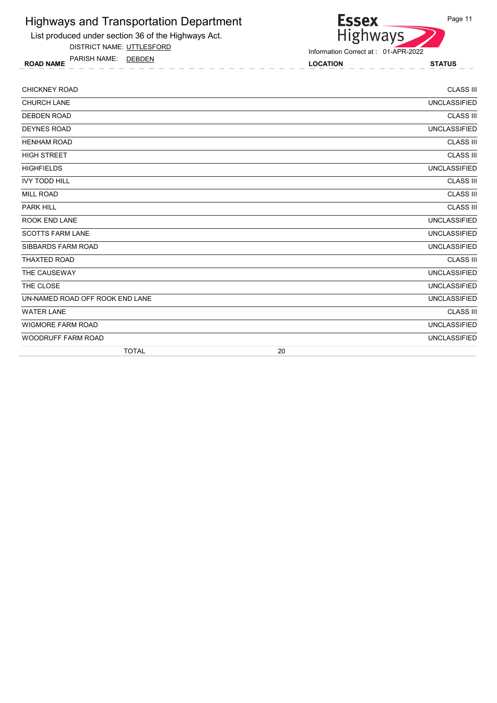

List produced under section 36 of the Highways Act.

DISTRICT NAME: UTTLESFORD

ROAD NAME LOCATION STATUS PARISH NAME: DEBDEN

Information Correct at : 01-APR-2022

| <b>CHICKNEY ROAD</b>            |    | <b>CLASS III</b>    |
|---------------------------------|----|---------------------|
| <b>CHURCH LANE</b>              |    | <b>UNCLASSIFIED</b> |
| <b>DEBDEN ROAD</b>              |    | <b>CLASS III</b>    |
| <b>DEYNES ROAD</b>              |    | <b>UNCLASSIFIED</b> |
| <b>HENHAM ROAD</b>              |    | <b>CLASS III</b>    |
| <b>HIGH STREET</b>              |    | <b>CLASS III</b>    |
| <b>HIGHFIELDS</b>               |    | <b>UNCLASSIFIED</b> |
| <b>IVY TODD HILL</b>            |    | <b>CLASS III</b>    |
| <b>MILL ROAD</b>                |    | <b>CLASS III</b>    |
| <b>PARK HILL</b>                |    | <b>CLASS III</b>    |
| ROOK END LANE                   |    | <b>UNCLASSIFIED</b> |
| <b>SCOTTS FARM LANE</b>         |    | <b>UNCLASSIFIED</b> |
| SIBBARDS FARM ROAD              |    | <b>UNCLASSIFIED</b> |
| <b>THAXTED ROAD</b>             |    | <b>CLASS III</b>    |
| THE CAUSEWAY                    |    | <b>UNCLASSIFIED</b> |
| THE CLOSE                       |    | <b>UNCLASSIFIED</b> |
| UN-NAMED ROAD OFF ROOK END LANE |    | <b>UNCLASSIFIED</b> |
| <b>WATER LANE</b>               |    | <b>CLASS III</b>    |
| <b>WIGMORE FARM ROAD</b>        |    | <b>UNCLASSIFIED</b> |
| <b>WOODRUFF FARM ROAD</b>       |    | <b>UNCLASSIFIED</b> |
| <b>TOTAL</b>                    | 20 |                     |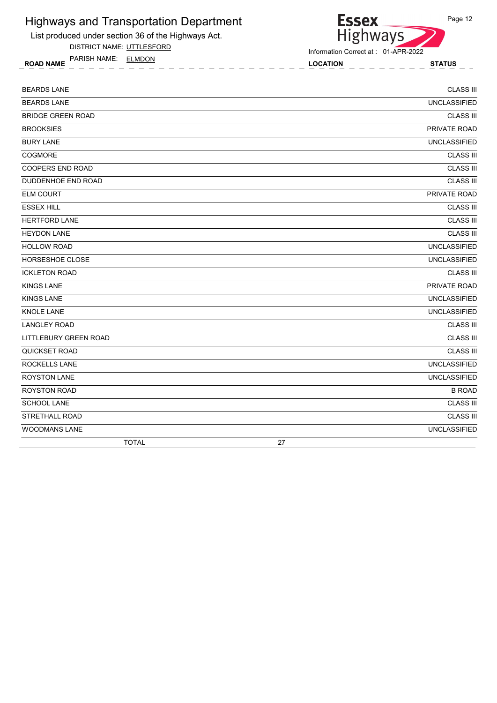

DISTRICT NAME: UTTLESFORD

ROAD NAME LOCATION STATUS PARISH NAME: ELMDON



| <b>BEARDS LANE</b>           | <b>CLASS III</b>    |
|------------------------------|---------------------|
| <b>BEARDS LANE</b>           | <b>UNCLASSIFIED</b> |
| <b>BRIDGE GREEN ROAD</b>     | <b>CLASS III</b>    |
| <b>BROOKSIES</b>             | PRIVATE ROAD        |
| <b>BURY LANE</b>             | <b>UNCLASSIFIED</b> |
| <b>COGMORE</b>               | <b>CLASS III</b>    |
| <b>COOPERS END ROAD</b>      | <b>CLASS III</b>    |
| DUDDENHOE END ROAD           | <b>CLASS III</b>    |
| <b>ELM COURT</b>             | PRIVATE ROAD        |
| <b>ESSEX HILL</b>            | <b>CLASS III</b>    |
| <b>HERTFORD LANE</b>         | <b>CLASS III</b>    |
| <b>HEYDON LANE</b>           | <b>CLASS III</b>    |
| <b>HOLLOW ROAD</b>           | <b>UNCLASSIFIED</b> |
| <b>HORSESHOE CLOSE</b>       | <b>UNCLASSIFIED</b> |
| <b>ICKLETON ROAD</b>         | <b>CLASS III</b>    |
| <b>KINGS LANE</b>            | PRIVATE ROAD        |
| <b>KINGS LANE</b>            | <b>UNCLASSIFIED</b> |
| <b>KNOLE LANE</b>            | <b>UNCLASSIFIED</b> |
| <b>LANGLEY ROAD</b>          | <b>CLASS III</b>    |
| <b>LITTLEBURY GREEN ROAD</b> | <b>CLASS III</b>    |
| <b>QUICKSET ROAD</b>         | <b>CLASS III</b>    |
| <b>ROCKELLS LANE</b>         | <b>UNCLASSIFIED</b> |
| <b>ROYSTON LANE</b>          | <b>UNCLASSIFIED</b> |
| <b>ROYSTON ROAD</b>          | <b>B ROAD</b>       |
| SCHOOL LANE                  | <b>CLASS III</b>    |
| <b>STRETHALL ROAD</b>        | <b>CLASS III</b>    |
| <b>WOODMANS LANE</b>         | <b>UNCLASSIFIED</b> |
| <b>TOTAL</b>                 | 27                  |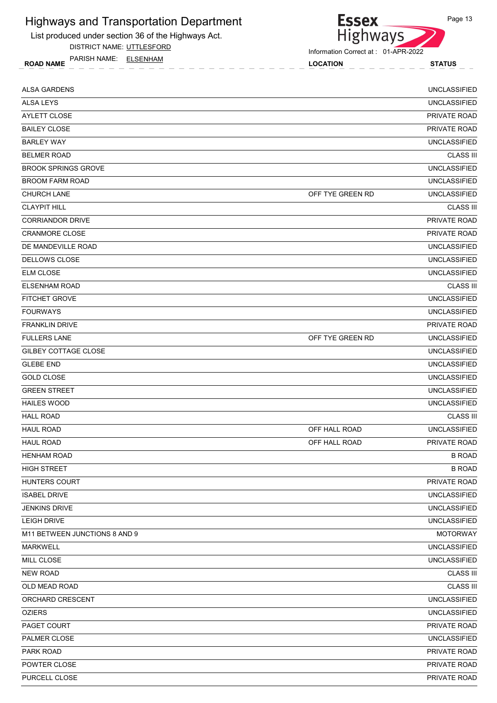

DISTRICT NAME: UTTLESFORD

ROAD NAME LOCATION STATUS PARISH NAME: ELSENHAM



| <b>ALSA GARDENS</b>           |                  | <b>UNCLASSIFIED</b> |
|-------------------------------|------------------|---------------------|
| <b>ALSA LEYS</b>              |                  | <b>UNCLASSIFIED</b> |
| <b>AYLETT CLOSE</b>           |                  | PRIVATE ROAD        |
| <b>BAILEY CLOSE</b>           |                  | PRIVATE ROAD        |
| <b>BARLEY WAY</b>             |                  | <b>UNCLASSIFIED</b> |
| <b>BELMER ROAD</b>            |                  | <b>CLASS III</b>    |
| <b>BROOK SPRINGS GROVE</b>    |                  | <b>UNCLASSIFIED</b> |
| <b>BROOM FARM ROAD</b>        |                  | <b>UNCLASSIFIED</b> |
| <b>CHURCH LANE</b>            | OFF TYE GREEN RD | <b>UNCLASSIFIED</b> |
| <b>CLAYPIT HILL</b>           |                  | <b>CLASS III</b>    |
| <b>CORRIANDOR DRIVE</b>       |                  | PRIVATE ROAD        |
| <b>CRANMORE CLOSE</b>         |                  | PRIVATE ROAD        |
| DE MANDEVILLE ROAD            |                  | <b>UNCLASSIFIED</b> |
| DELLOWS CLOSE                 |                  | <b>UNCLASSIFIED</b> |
| <b>ELM CLOSE</b>              |                  | <b>UNCLASSIFIED</b> |
| <b>ELSENHAM ROAD</b>          |                  | <b>CLASS III</b>    |
| <b>FITCHET GROVE</b>          |                  | <b>UNCLASSIFIED</b> |
| <b>FOURWAYS</b>               |                  | <b>UNCLASSIFIED</b> |
| <b>FRANKLIN DRIVE</b>         |                  | PRIVATE ROAD        |
| <b>FULLERS LANE</b>           | OFF TYE GREEN RD | <b>UNCLASSIFIED</b> |
| GILBEY COTTAGE CLOSE          |                  | <b>UNCLASSIFIED</b> |
| <b>GLEBE END</b>              |                  | <b>UNCLASSIFIED</b> |
| <b>GOLD CLOSE</b>             |                  | <b>UNCLASSIFIED</b> |
| <b>GREEN STREET</b>           |                  | <b>UNCLASSIFIED</b> |
| <b>HAILES WOOD</b>            |                  | <b>UNCLASSIFIED</b> |
| <b>HALL ROAD</b>              |                  | <b>CLASS III</b>    |
| <b>HAUL ROAD</b>              | OFF HALL ROAD    | <b>UNCLASSIFIED</b> |
| <b>HAUL ROAD</b>              | OFF HALL ROAD    | PRIVATE ROAD        |
| <b>HENHAM ROAD</b>            |                  | <b>B ROAD</b>       |
| <b>HIGH STREET</b>            |                  | <b>B ROAD</b>       |
| HUNTERS COURT                 |                  | PRIVATE ROAD        |
| <b>ISABEL DRIVE</b>           |                  | <b>UNCLASSIFIED</b> |
| <b>JENKINS DRIVE</b>          |                  | <b>UNCLASSIFIED</b> |
| <b>LEIGH DRIVE</b>            |                  | <b>UNCLASSIFIED</b> |
| M11 BETWEEN JUNCTIONS 8 AND 9 |                  | <b>MOTORWAY</b>     |
| <b>MARKWELL</b>               |                  | <b>UNCLASSIFIED</b> |
| MILL CLOSE                    |                  | <b>UNCLASSIFIED</b> |
| <b>NEW ROAD</b>               |                  | <b>CLASS III</b>    |
| OLD MEAD ROAD                 |                  | <b>CLASS III</b>    |
| ORCHARD CRESCENT              |                  | <b>UNCLASSIFIED</b> |
| <b>OZIERS</b>                 |                  | <b>UNCLASSIFIED</b> |
| PAGET COURT                   |                  | PRIVATE ROAD        |
| PALMER CLOSE                  |                  | <b>UNCLASSIFIED</b> |
| PARK ROAD                     |                  | PRIVATE ROAD        |
| POWTER CLOSE                  |                  | PRIVATE ROAD        |
| PURCELL CLOSE                 |                  | PRIVATE ROAD        |
|                               |                  |                     |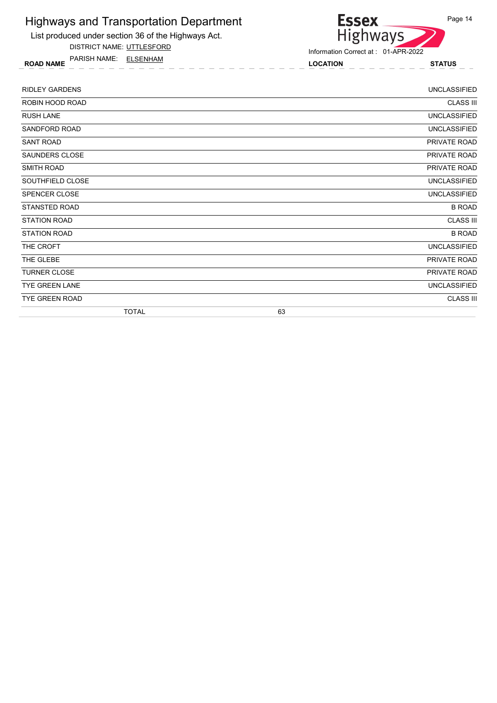

DISTRICT NAME: UTTLESFORD

ROAD NAME LOCATION STATUS PARISH NAME: ELSENHAM



| <b>RIDLEY GARDENS</b> | <b>UNCLASSIFIED</b> |
|-----------------------|---------------------|
| ROBIN HOOD ROAD       | <b>CLASS III</b>    |
| <b>RUSH LANE</b>      | <b>UNCLASSIFIED</b> |
| SANDFORD ROAD         | <b>UNCLASSIFIED</b> |
| <b>SANT ROAD</b>      | PRIVATE ROAD        |
| SAUNDERS CLOSE        | PRIVATE ROAD        |
| <b>SMITH ROAD</b>     | PRIVATE ROAD        |
| SOUTHFIELD CLOSE      | <b>UNCLASSIFIED</b> |
| SPENCER CLOSE         | <b>UNCLASSIFIED</b> |
| STANSTED ROAD         | <b>B ROAD</b>       |
| <b>STATION ROAD</b>   | <b>CLASS III</b>    |
| <b>STATION ROAD</b>   | <b>B ROAD</b>       |
| THE CROFT             | <b>UNCLASSIFIED</b> |
| THE GLEBE             | PRIVATE ROAD        |
| <b>TURNER CLOSE</b>   | PRIVATE ROAD        |
| TYE GREEN LANE        | <b>UNCLASSIFIED</b> |
| TYE GREEN ROAD        | <b>CLASS III</b>    |
| <b>TOTAL</b>          | 63                  |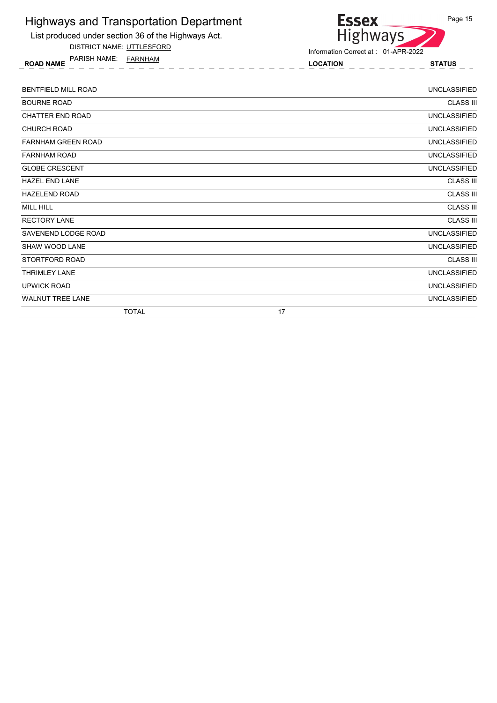

DISTRICT NAME: UTTLESFORD

ROAD NAME LOCATION STATUS PARISH NAME: FARNHAM



| <b>BENTFIELD MILL ROAD</b> | <b>UNCLASSIFIED</b> |
|----------------------------|---------------------|
| <b>BOURNE ROAD</b>         | <b>CLASS III</b>    |
| <b>CHATTER END ROAD</b>    | <b>UNCLASSIFIED</b> |
| <b>CHURCH ROAD</b>         | <b>UNCLASSIFIED</b> |
| <b>FARNHAM GREEN ROAD</b>  | <b>UNCLASSIFIED</b> |
| <b>FARNHAM ROAD</b>        | <b>UNCLASSIFIED</b> |
| <b>GLOBE CRESCENT</b>      | <b>UNCLASSIFIED</b> |
| <b>HAZEL END LANE</b>      | <b>CLASS III</b>    |
| <b>HAZELEND ROAD</b>       | <b>CLASS III</b>    |
| <b>MILL HILL</b>           | <b>CLASS III</b>    |
| <b>RECTORY LANE</b>        | <b>CLASS III</b>    |
| SAVENEND LODGE ROAD        | <b>UNCLASSIFIED</b> |
| <b>SHAW WOOD LANE</b>      | <b>UNCLASSIFIED</b> |
| STORTFORD ROAD             | <b>CLASS III</b>    |
| <b>THRIMLEY LANE</b>       | <b>UNCLASSIFIED</b> |
| <b>UPWICK ROAD</b>         | <b>UNCLASSIFIED</b> |
| <b>WALNUT TREE LANE</b>    | <b>UNCLASSIFIED</b> |
| <b>TOTAL</b>               | 17                  |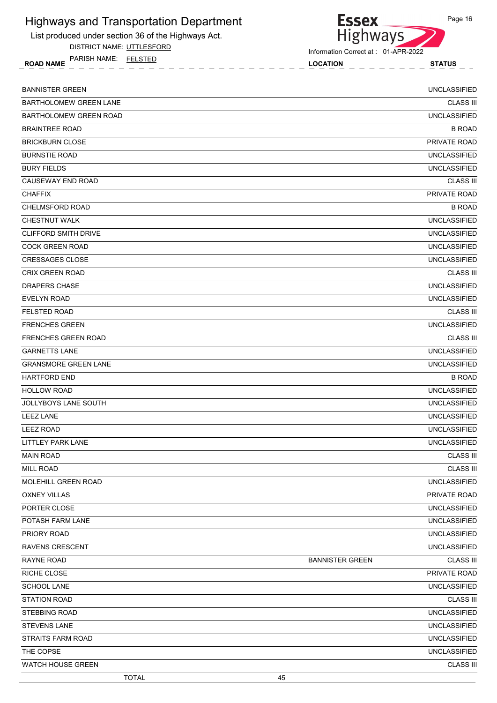

DISTRICT NAME: UTTLESFORD

ROAD NAME LOCATION STATUS PARISH NAME: FELSTED



Information Correct at : 01-APR-2022

| <b>BANNISTER GREEN</b>        |                        | <b>UNCLASSIFIED</b> |
|-------------------------------|------------------------|---------------------|
| <b>BARTHOLOMEW GREEN LANE</b> |                        | <b>CLASS III</b>    |
| BARTHOLOMEW GREEN ROAD        |                        | <b>UNCLASSIFIED</b> |
| <b>BRAINTREE ROAD</b>         |                        | <b>B ROAD</b>       |
| <b>BRICKBURN CLOSE</b>        |                        | PRIVATE ROAD        |
| <b>BURNSTIE ROAD</b>          |                        | <b>UNCLASSIFIED</b> |
| <b>BURY FIELDS</b>            |                        | <b>UNCLASSIFIED</b> |
| CAUSEWAY END ROAD             |                        | <b>CLASS III</b>    |
| <b>CHAFFIX</b>                |                        | PRIVATE ROAD        |
| CHELMSFORD ROAD               |                        | <b>B ROAD</b>       |
| <b>CHESTNUT WALK</b>          |                        | <b>UNCLASSIFIED</b> |
| <b>CLIFFORD SMITH DRIVE</b>   |                        | <b>UNCLASSIFIED</b> |
| <b>COCK GREEN ROAD</b>        |                        | <b>UNCLASSIFIED</b> |
| <b>CRESSAGES CLOSE</b>        |                        | <b>UNCLASSIFIED</b> |
| <b>CRIX GREEN ROAD</b>        |                        | <b>CLASS III</b>    |
| <b>DRAPERS CHASE</b>          |                        | <b>UNCLASSIFIED</b> |
| <b>EVELYN ROAD</b>            |                        | <b>UNCLASSIFIED</b> |
| <b>FELSTED ROAD</b>           |                        | <b>CLASS III</b>    |
| <b>FRENCHES GREEN</b>         |                        | <b>UNCLASSIFIED</b> |
| <b>FRENCHES GREEN ROAD</b>    |                        | <b>CLASS III</b>    |
| <b>GARNETTS LANE</b>          |                        | <b>UNCLASSIFIED</b> |
| <b>GRANSMORE GREEN LANE</b>   |                        | <b>UNCLASSIFIED</b> |
| <b>HARTFORD END</b>           |                        | <b>B ROAD</b>       |
| <b>HOLLOW ROAD</b>            |                        | <b>UNCLASSIFIED</b> |
| <b>JOLLYBOYS LANE SOUTH</b>   |                        | <b>UNCLASSIFIED</b> |
| <b>LEEZ LANE</b>              |                        | <b>UNCLASSIFIED</b> |
| <b>LEEZ ROAD</b>              |                        | <b>UNCLASSIFIED</b> |
| LITTLEY PARK LANE             |                        | <b>UNCLASSIFIED</b> |
| <b>MAIN ROAD</b>              |                        | <b>CLASS III</b>    |
| <b>MILL ROAD</b>              |                        | <b>CLASS III</b>    |
| MOLEHILL GREEN ROAD           |                        | <b>UNCLASSIFIED</b> |
| <b>OXNEY VILLAS</b>           |                        | PRIVATE ROAD        |
| PORTER CLOSE                  |                        | <b>UNCLASSIFIED</b> |
| POTASH FARM LANE              |                        | <b>UNCLASSIFIED</b> |
| PRIORY ROAD                   |                        | <b>UNCLASSIFIED</b> |
| <b>RAVENS CRESCENT</b>        |                        | <b>UNCLASSIFIED</b> |
| RAYNE ROAD                    | <b>BANNISTER GREEN</b> | <b>CLASS III</b>    |
| RICHE CLOSE                   |                        | PRIVATE ROAD        |
| <b>SCHOOL LANE</b>            |                        | <b>UNCLASSIFIED</b> |
| <b>STATION ROAD</b>           |                        | <b>CLASS III</b>    |
| <b>STEBBING ROAD</b>          |                        | <b>UNCLASSIFIED</b> |
| <b>STEVENS LANE</b>           |                        | <b>UNCLASSIFIED</b> |
| <b>STRAITS FARM ROAD</b>      |                        | <b>UNCLASSIFIED</b> |
| THE COPSE                     |                        | <b>UNCLASSIFIED</b> |
| WATCH HOUSE GREEN             |                        | <b>CLASS III</b>    |
| <b>TOTAL</b>                  | 45                     |                     |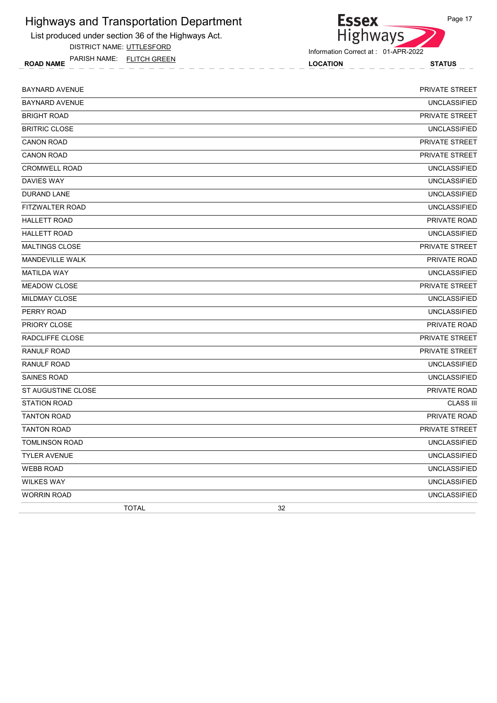

DISTRICT NAME: UTTLESFORD

ROAD NAME LOCATION STATUS PARISH NAME: FLITCH GREEN



| <b>BAYNARD AVENUE</b>  | PRIVATE STREET        |
|------------------------|-----------------------|
| <b>BAYNARD AVENUE</b>  | <b>UNCLASSIFIED</b>   |
| <b>BRIGHT ROAD</b>     | PRIVATE STREET        |
| <b>BRITRIC CLOSE</b>   | <b>UNCLASSIFIED</b>   |
| <b>CANON ROAD</b>      | <b>PRIVATE STREET</b> |
| <b>CANON ROAD</b>      | <b>PRIVATE STREET</b> |
| <b>CROMWELL ROAD</b>   | <b>UNCLASSIFIED</b>   |
| <b>DAVIES WAY</b>      | <b>UNCLASSIFIED</b>   |
| <b>DURAND LANE</b>     | <b>UNCLASSIFIED</b>   |
| FITZWALTER ROAD        | <b>UNCLASSIFIED</b>   |
| <b>HALLETT ROAD</b>    | PRIVATE ROAD          |
| <b>HALLETT ROAD</b>    | <b>UNCLASSIFIED</b>   |
| <b>MALTINGS CLOSE</b>  | PRIVATE STREET        |
| <b>MANDEVILLE WALK</b> | PRIVATE ROAD          |
| <b>MATILDA WAY</b>     | <b>UNCLASSIFIED</b>   |
| <b>MEADOW CLOSE</b>    | PRIVATE STREET        |
| <b>MILDMAY CLOSE</b>   | <b>UNCLASSIFIED</b>   |
| PERRY ROAD             | <b>UNCLASSIFIED</b>   |
| PRIORY CLOSE           | PRIVATE ROAD          |
| RADCLIFFE CLOSE        | <b>PRIVATE STREET</b> |
| <b>RANULF ROAD</b>     | PRIVATE STREET        |
| <b>RANULF ROAD</b>     | <b>UNCLASSIFIED</b>   |
| <b>SAINES ROAD</b>     | <b>UNCLASSIFIED</b>   |
| ST AUGUSTINE CLOSE     | PRIVATE ROAD          |
| <b>STATION ROAD</b>    | <b>CLASS III</b>      |
| <b>TANTON ROAD</b>     | PRIVATE ROAD          |
| <b>TANTON ROAD</b>     | PRIVATE STREET        |
| <b>TOMLINSON ROAD</b>  | <b>UNCLASSIFIED</b>   |
| <b>TYLER AVENUE</b>    | <b>UNCLASSIFIED</b>   |
| <b>WEBB ROAD</b>       | <b>UNCLASSIFIED</b>   |
| <b>WILKES WAY</b>      | <b>UNCLASSIFIED</b>   |
| <b>WORRIN ROAD</b>     | <b>UNCLASSIFIED</b>   |
| <b>TOTAL</b>           | 32                    |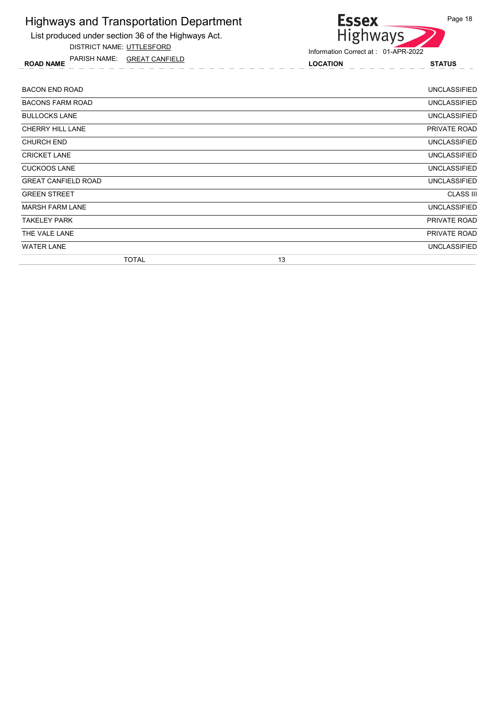List produced under section 36 of the Highways Act.

DISTRICT NAME: UTTLESFORD

ROAD NAME LOCATION STATUS PARISH NAME: GREAT CANFIELD



| <b>BACON END ROAD</b>      |              |    | UNCLASSIFIED        |
|----------------------------|--------------|----|---------------------|
| <b>BACONS FARM ROAD</b>    |              |    | <b>UNCLASSIFIED</b> |
| <b>BULLOCKS LANE</b>       |              |    | <b>UNCLASSIFIED</b> |
| CHERRY HILL LANE           |              |    | PRIVATE ROAD        |
| <b>CHURCH END</b>          |              |    | <b>UNCLASSIFIED</b> |
| <b>CRICKET LANE</b>        |              |    | <b>UNCLASSIFIED</b> |
| <b>CUCKOOS LANE</b>        |              |    | UNCLASSIFIED        |
| <b>GREAT CANFIELD ROAD</b> |              |    | <b>UNCLASSIFIED</b> |
| <b>GREEN STREET</b>        |              |    | <b>CLASS III</b>    |
| <b>MARSH FARM LANE</b>     |              |    | <b>UNCLASSIFIED</b> |
| TAKELEY PARK               |              |    | PRIVATE ROAD        |
| THE VALE LANE              |              |    | PRIVATE ROAD        |
| <b>WATER LANE</b>          |              |    | UNCLASSIFIED        |
|                            | <b>TOTAL</b> | 13 |                     |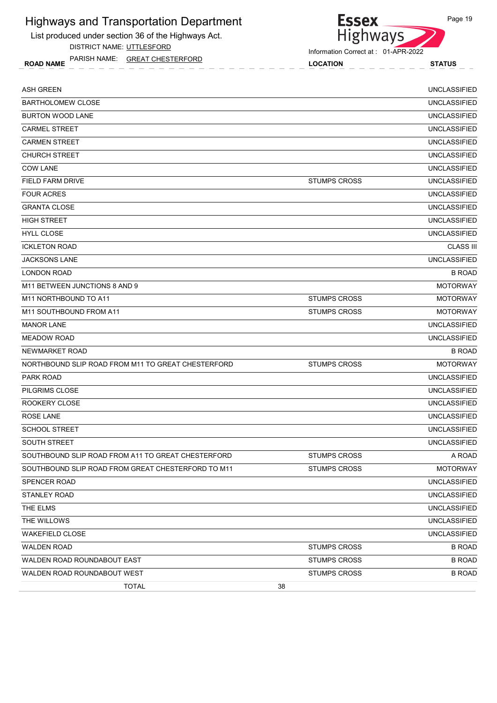List produced under section 36 of the Highways Act.

DISTRICT NAME: UTTLESFORD

ROAD NAME LOCATION STATUS PARISH NAME: GREAT CHESTERFORD



Information Correct at : 01-APR-2022

| <b>ASH GREEN</b>                                   |                     | <b>UNCLASSIFIED</b> |
|----------------------------------------------------|---------------------|---------------------|
| <b>BARTHOLOMEW CLOSE</b>                           |                     | <b>UNCLASSIFIED</b> |
| <b>BURTON WOOD LANE</b>                            |                     | <b>UNCLASSIFIED</b> |
| <b>CARMEL STREET</b>                               |                     | <b>UNCLASSIFIED</b> |
| <b>CARMEN STREET</b>                               |                     | <b>UNCLASSIFIED</b> |
| <b>CHURCH STREET</b>                               |                     | <b>UNCLASSIFIED</b> |
| <b>COW LANE</b>                                    |                     | <b>UNCLASSIFIED</b> |
| FIELD FARM DRIVE                                   | <b>STUMPS CROSS</b> | <b>UNCLASSIFIED</b> |
| <b>FOUR ACRES</b>                                  |                     | <b>UNCLASSIFIED</b> |
| <b>GRANTA CLOSE</b>                                |                     | <b>UNCLASSIFIED</b> |
| <b>HIGH STREET</b>                                 |                     | <b>UNCLASSIFIED</b> |
| <b>HYLL CLOSE</b>                                  |                     | <b>UNCLASSIFIED</b> |
| <b>ICKLETON ROAD</b>                               |                     | <b>CLASS III</b>    |
| <b>JACKSONS LANE</b>                               |                     | <b>UNCLASSIFIED</b> |
| <b>LONDON ROAD</b>                                 |                     | <b>B ROAD</b>       |
| M11 BETWEEN JUNCTIONS 8 AND 9                      |                     | <b>MOTORWAY</b>     |
| M11 NORTHBOUND TO A11                              | <b>STUMPS CROSS</b> | <b>MOTORWAY</b>     |
| M11 SOUTHBOUND FROM A11                            | STUMPS CROSS        | <b>MOTORWAY</b>     |
| <b>MANOR LANE</b>                                  |                     | <b>UNCLASSIFIED</b> |
| <b>MEADOW ROAD</b>                                 |                     | <b>UNCLASSIFIED</b> |
| NEWMARKET ROAD                                     |                     | <b>B ROAD</b>       |
| NORTHBOUND SLIP ROAD FROM M11 TO GREAT CHESTERFORD | <b>STUMPS CROSS</b> | <b>MOTORWAY</b>     |
| PARK ROAD                                          |                     | <b>UNCLASSIFIED</b> |
| PILGRIMS CLOSE                                     |                     | <b>UNCLASSIFIED</b> |
| ROOKERY CLOSE                                      |                     | <b>UNCLASSIFIED</b> |
| <b>ROSE LANE</b>                                   |                     | <b>UNCLASSIFIED</b> |
| <b>SCHOOL STREET</b>                               |                     | <b>UNCLASSIFIED</b> |
| <b>SOUTH STREET</b>                                |                     | <b>UNCLASSIFIED</b> |
| SOUTHBOUND SLIP ROAD FROM A11 TO GREAT CHESTERFORD | <b>STUMPS CROSS</b> | A ROAD              |
| SOUTHBOUND SLIP ROAD FROM GREAT CHESTERFORD TO M11 | <b>STUMPS CROSS</b> | <b>MOTORWAY</b>     |
| <b>SPENCER ROAD</b>                                |                     | <b>UNCLASSIFIED</b> |
| STANLEY ROAD                                       |                     | <b>UNCLASSIFIED</b> |
| THE ELMS                                           |                     | <b>UNCLASSIFIED</b> |
| THE WILLOWS                                        |                     | <b>UNCLASSIFIED</b> |
| <b>WAKEFIELD CLOSE</b>                             |                     | <b>UNCLASSIFIED</b> |
| <b>WALDEN ROAD</b>                                 | <b>STUMPS CROSS</b> | <b>B ROAD</b>       |
| WALDEN ROAD ROUNDABOUT EAST                        | <b>STUMPS CROSS</b> | <b>B ROAD</b>       |
| WALDEN ROAD ROUNDABOUT WEST                        | <b>STUMPS CROSS</b> | <b>B ROAD</b>       |
| <b>TOTAL</b>                                       | 38                  |                     |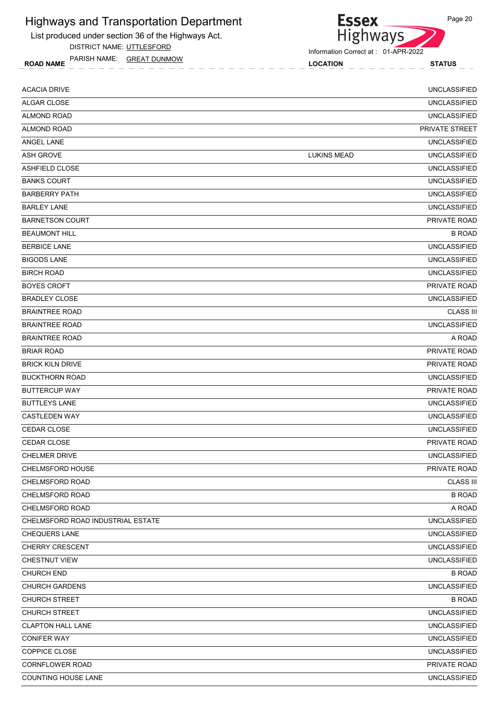List produced under section 36 of the Highways Act.

DISTRICT NAME: UTTLESFORD

ROAD NAME LOCATION STATUS PARISH NAME: GREAT DUNMOW

| <b>Essex</b>                        |  |
|-------------------------------------|--|
| Highways                            |  |
| Information Correct at: 01-APR-2022 |  |

| <b>ACACIA DRIVE</b>               |                    | <b>UNCLASSIFIED</b> |
|-----------------------------------|--------------------|---------------------|
| <b>ALGAR CLOSE</b>                |                    | <b>UNCLASSIFIED</b> |
| <b>ALMOND ROAD</b>                |                    | <b>UNCLASSIFIED</b> |
| <b>ALMOND ROAD</b>                |                    | PRIVATE STREET      |
| ANGEL LANE                        |                    | <b>UNCLASSIFIED</b> |
| <b>ASH GROVE</b>                  | <b>LUKINS MEAD</b> | <b>UNCLASSIFIED</b> |
| <b>ASHFIELD CLOSE</b>             |                    | <b>UNCLASSIFIED</b> |
| <b>BANKS COURT</b>                |                    | <b>UNCLASSIFIED</b> |
| <b>BARBERRY PATH</b>              |                    | <b>UNCLASSIFIED</b> |
| <b>BARLEY LANE</b>                |                    | <b>UNCLASSIFIED</b> |
| <b>BARNETSON COURT</b>            |                    | PRIVATE ROAD        |
| <b>BEAUMONT HILL</b>              |                    | <b>B ROAD</b>       |
| <b>BERBICE LANE</b>               |                    | <b>UNCLASSIFIED</b> |
| <b>BIGODS LANE</b>                |                    | <b>UNCLASSIFIED</b> |
| <b>BIRCH ROAD</b>                 |                    | <b>UNCLASSIFIED</b> |
| <b>BOYES CROFT</b>                |                    | PRIVATE ROAD        |
| <b>BRADLEY CLOSE</b>              |                    | <b>UNCLASSIFIED</b> |
| <b>BRAINTREE ROAD</b>             |                    | <b>CLASS III</b>    |
| <b>BRAINTREE ROAD</b>             |                    | <b>UNCLASSIFIED</b> |
| <b>BRAINTREE ROAD</b>             |                    | A ROAD              |
| <b>BRIAR ROAD</b>                 |                    | PRIVATE ROAD        |
| <b>BRICK KILN DRIVE</b>           |                    | PRIVATE ROAD        |
| <b>BUCKTHORN ROAD</b>             |                    | <b>UNCLASSIFIED</b> |
| <b>BUTTERCUP WAY</b>              |                    | PRIVATE ROAD        |
| <b>BUTTLEYS LANE</b>              |                    | <b>UNCLASSIFIED</b> |
| <b>CASTLEDEN WAY</b>              |                    | <b>UNCLASSIFIED</b> |
| CEDAR CLOSE                       |                    | <b>UNCLASSIFIED</b> |
| <b>CEDAR CLOSE</b>                |                    | PRIVATE ROAD        |
| <b>CHELMER DRIVE</b>              |                    | <b>UNCLASSIFIED</b> |
| CHELMSFORD HOUSE                  |                    | PRIVATE ROAD        |
| CHELMSFORD ROAD                   |                    | <b>CLASS III</b>    |
| CHELMSFORD ROAD                   |                    | <b>B ROAD</b>       |
| CHELMSFORD ROAD                   |                    | A ROAD              |
| CHELMSFORD ROAD INDUSTRIAL ESTATE |                    | <b>UNCLASSIFIED</b> |
| <b>CHEQUERS LANE</b>              |                    | <b>UNCLASSIFIED</b> |
| <b>CHERRY CRESCENT</b>            |                    | <b>UNCLASSIFIED</b> |
| CHESTNUT VIEW                     |                    | <b>UNCLASSIFIED</b> |
| <b>CHURCH END</b>                 |                    | <b>B ROAD</b>       |
| <b>CHURCH GARDENS</b>             |                    | <b>UNCLASSIFIED</b> |
| <b>CHURCH STREET</b>              |                    | <b>B ROAD</b>       |
| <b>CHURCH STREET</b>              |                    | <b>UNCLASSIFIED</b> |
| <b>CLAPTON HALL LANE</b>          |                    | <b>UNCLASSIFIED</b> |
| <b>CONIFER WAY</b>                |                    | <b>UNCLASSIFIED</b> |
| COPPICE CLOSE                     |                    | <b>UNCLASSIFIED</b> |
| CORNFLOWER ROAD                   |                    | PRIVATE ROAD        |
| COUNTING HOUSE LANE               |                    | <b>UNCLASSIFIED</b> |
|                                   |                    |                     |

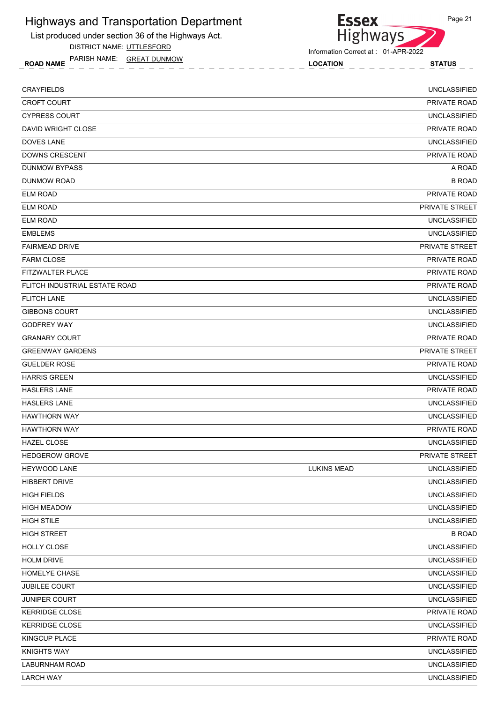List produced under section 36 of the Highways Act.

DISTRICT NAME: UTTLESFORD

ROAD NAME LOCATION STATUS PARISH NAME: GREAT DUNMOW

Highways Information Correct at : 01-APR-2022

| <b>CRAYFIELDS</b>             |                    | <b>UNCLASSIFIED</b>   |
|-------------------------------|--------------------|-----------------------|
| <b>CROFT COURT</b>            |                    | PRIVATE ROAD          |
| <b>CYPRESS COURT</b>          |                    | <b>UNCLASSIFIED</b>   |
| DAVID WRIGHT CLOSE            |                    | PRIVATE ROAD          |
| <b>DOVES LANE</b>             |                    | <b>UNCLASSIFIED</b>   |
| DOWNS CRESCENT                |                    | PRIVATE ROAD          |
| <b>DUNMOW BYPASS</b>          |                    | A ROAD                |
| <b>DUNMOW ROAD</b>            |                    | <b>B ROAD</b>         |
| <b>ELM ROAD</b>               |                    | PRIVATE ROAD          |
| <b>ELM ROAD</b>               |                    | PRIVATE STREET        |
| <b>ELM ROAD</b>               |                    | <b>UNCLASSIFIED</b>   |
| <b>EMBLEMS</b>                |                    | <b>UNCLASSIFIED</b>   |
| <b>FAIRMEAD DRIVE</b>         |                    | PRIVATE STREET        |
| <b>FARM CLOSE</b>             |                    | PRIVATE ROAD          |
| FITZWALTER PLACE              |                    | <b>PRIVATE ROAD</b>   |
| FLITCH INDUSTRIAL ESTATE ROAD |                    | <b>PRIVATE ROAD</b>   |
| <b>FLITCH LANE</b>            |                    | <b>UNCLASSIFIED</b>   |
| <b>GIBBONS COURT</b>          |                    | <b>UNCLASSIFIED</b>   |
| <b>GODFREY WAY</b>            |                    | <b>UNCLASSIFIED</b>   |
| <b>GRANARY COURT</b>          |                    | PRIVATE ROAD          |
| <b>GREENWAY GARDENS</b>       |                    | <b>PRIVATE STREET</b> |
| <b>GUELDER ROSE</b>           |                    | PRIVATE ROAD          |
| <b>HARRIS GREEN</b>           |                    | <b>UNCLASSIFIED</b>   |
| <b>HASLERS LANE</b>           |                    | <b>PRIVATE ROAD</b>   |
| <b>HASLERS LANE</b>           |                    | <b>UNCLASSIFIED</b>   |
| <b>HAWTHORN WAY</b>           |                    | <b>UNCLASSIFIED</b>   |
| <b>HAWTHORN WAY</b>           |                    | PRIVATE ROAD          |
| <b>HAZEL CLOSE</b>            |                    | <b>UNCLASSIFIED</b>   |
| <b>HEDGEROW GROVE</b>         |                    | <b>PRIVATE STREET</b> |
| HEYWOOD LANE                  | <b>LUKINS MEAD</b> | <b>UNCLASSIFIED</b>   |
| HIBBERT DRIVE                 |                    | <b>UNCLASSIFIED</b>   |
| <b>HIGH FIELDS</b>            |                    | <b>UNCLASSIFIED</b>   |
| <b>HIGH MEADOW</b>            |                    | <b>UNCLASSIFIED</b>   |
| <b>HIGH STILE</b>             |                    | <b>UNCLASSIFIED</b>   |
| <b>HIGH STREET</b>            |                    | <b>B ROAD</b>         |
| HOLLY CLOSE                   |                    | <b>UNCLASSIFIED</b>   |
| <b>HOLM DRIVE</b>             |                    | <b>UNCLASSIFIED</b>   |
| HOMELYE CHASE                 |                    | <b>UNCLASSIFIED</b>   |
| <b>JUBILEE COURT</b>          |                    | <b>UNCLASSIFIED</b>   |
| JUNIPER COURT                 |                    | <b>UNCLASSIFIED</b>   |
| <b>KERRIDGE CLOSE</b>         |                    | PRIVATE ROAD          |
| <b>KERRIDGE CLOSE</b>         |                    | <b>UNCLASSIFIED</b>   |
| KINGCUP PLACE                 |                    | PRIVATE ROAD          |
| <b>KNIGHTS WAY</b>            |                    | <b>UNCLASSIFIED</b>   |
| LABURNHAM ROAD                |                    | <b>UNCLASSIFIED</b>   |
| <b>LARCH WAY</b>              |                    | <b>UNCLASSIFIED</b>   |
|                               |                    |                       |



**Essex**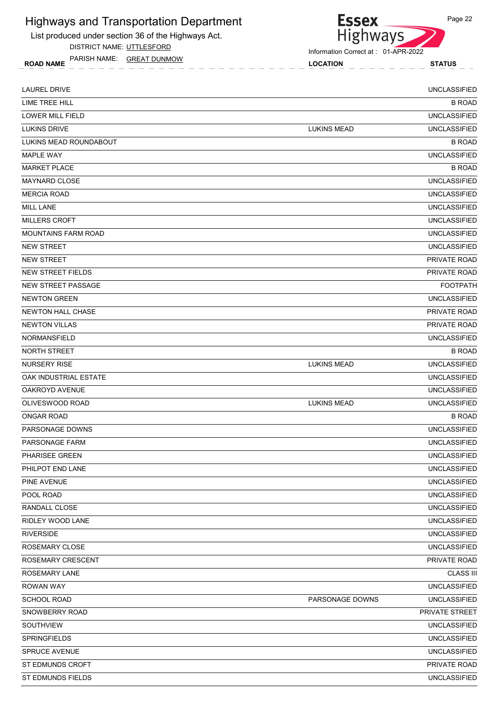List produced under section 36 of the Highways Act.

DISTRICT NAME: UTTLESFORD

ROAD NAME LOCATION STATUS PARISH NAME: GREAT DUNMOW



Information Correct at : 01-APR-2022

| <b>LAUREL DRIVE</b>        |                    | <b>UNCLASSIFIED</b> |
|----------------------------|--------------------|---------------------|
| LIME TREE HILL             |                    | <b>B ROAD</b>       |
| LOWER MILL FIELD           |                    | <b>UNCLASSIFIED</b> |
| <b>LUKINS DRIVE</b>        | <b>LUKINS MEAD</b> | <b>UNCLASSIFIED</b> |
| LUKINS MEAD ROUNDABOUT     |                    | <b>B ROAD</b>       |
| <b>MAPLE WAY</b>           |                    | <b>UNCLASSIFIED</b> |
| <b>MARKET PLACE</b>        |                    | <b>B ROAD</b>       |
| <b>MAYNARD CLOSE</b>       |                    | <b>UNCLASSIFIED</b> |
| <b>MERCIA ROAD</b>         |                    | <b>UNCLASSIFIED</b> |
| <b>MILL LANE</b>           |                    | <b>UNCLASSIFIED</b> |
| <b>MILLERS CROFT</b>       |                    | <b>UNCLASSIFIED</b> |
| <b>MOUNTAINS FARM ROAD</b> |                    | <b>UNCLASSIFIED</b> |
| <b>NEW STREET</b>          |                    | <b>UNCLASSIFIED</b> |
| <b>NEW STREET</b>          |                    | PRIVATE ROAD        |
| <b>NEW STREET FIELDS</b>   |                    | <b>PRIVATE ROAD</b> |
| NEW STREET PASSAGE         |                    | <b>FOOTPATH</b>     |
| <b>NEWTON GREEN</b>        |                    | <b>UNCLASSIFIED</b> |
| <b>NEWTON HALL CHASE</b>   |                    | <b>PRIVATE ROAD</b> |
| <b>NEWTON VILLAS</b>       |                    | PRIVATE ROAD        |
| <b>NORMANSFIELD</b>        |                    | <b>UNCLASSIFIED</b> |
| NORTH STREET               |                    | <b>B ROAD</b>       |
| <b>NURSERY RISE</b>        | <b>LUKINS MEAD</b> | <b>UNCLASSIFIED</b> |
| OAK INDUSTRIAL ESTATE      |                    | <b>UNCLASSIFIED</b> |
| OAKROYD AVENUE             |                    | <b>UNCLASSIFIED</b> |
| OLIVESWOOD ROAD            | <b>LUKINS MEAD</b> | <b>UNCLASSIFIED</b> |
| <b>ONGAR ROAD</b>          |                    | <b>B ROAD</b>       |
| PARSONAGE DOWNS            |                    | <b>UNCLASSIFIED</b> |
| PARSONAGE FARM             |                    | <b>UNCLASSIFIED</b> |
| PHARISEE GREEN             |                    | <b>UNCLASSIFIED</b> |
| PHILPOT END LANE           |                    | <b>UNCLASSIFIED</b> |
| PINE AVENUE                |                    | <b>UNCLASSIFIED</b> |
| POOL ROAD                  |                    | <b>UNCLASSIFIED</b> |
| RANDALL CLOSE              |                    | <b>UNCLASSIFIED</b> |
| <b>RIDLEY WOOD LANE</b>    |                    | <b>UNCLASSIFIED</b> |
| <b>RIVERSIDE</b>           |                    | <b>UNCLASSIFIED</b> |
| ROSEMARY CLOSE             |                    | UNCLASSIFIED        |
| ROSEMARY CRESCENT          |                    | PRIVATE ROAD        |
| ROSEMARY LANE              |                    | <b>CLASS III</b>    |
| <b>ROWAN WAY</b>           |                    | <b>UNCLASSIFIED</b> |
| <b>SCHOOL ROAD</b>         | PARSONAGE DOWNS    | <b>UNCLASSIFIED</b> |
| SNOWBERRY ROAD             |                    | PRIVATE STREET      |
| SOUTHVIEW                  |                    | <b>UNCLASSIFIED</b> |
| SPRINGFIELDS               |                    | <b>UNCLASSIFIED</b> |
| <b>SPRUCE AVENUE</b>       |                    | <b>UNCLASSIFIED</b> |
| ST EDMUNDS CROFT           |                    | PRIVATE ROAD        |
| ST EDMUNDS FIELDS          |                    | <b>UNCLASSIFIED</b> |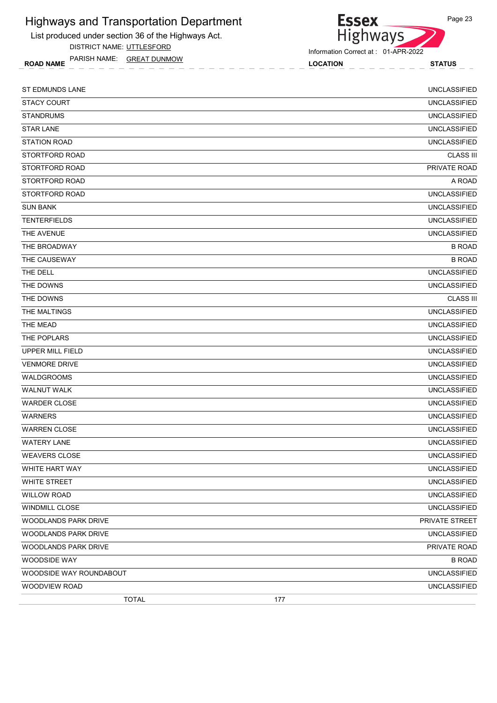List produced under section 36 of the Highways Act.

DISTRICT NAME: UTTLESFORD

ROAD NAME LOCATION STATUS PARISH NAME: GREAT DUNMOW

| <b>ST EDMUNDS LANE</b>  | <b>UNCLASSIFIED</b> |
|-------------------------|---------------------|
| <b>STACY COURT</b>      | <b>UNCLASSIFIED</b> |
| <b>STANDRUMS</b>        | <b>UNCLASSIFIED</b> |
| <b>STAR LANE</b>        | <b>UNCLASSIFIED</b> |
| <b>STATION ROAD</b>     | <b>UNCLASSIFIED</b> |
| STORTFORD ROAD          | <b>CLASS III</b>    |
| STORTFORD ROAD          | PRIVATE ROAD        |
| STORTFORD ROAD          | A ROAD              |
| STORTFORD ROAD          | <b>UNCLASSIFIED</b> |
| <b>SUN BANK</b>         | <b>UNCLASSIFIED</b> |
| <b>TENTERFIELDS</b>     | <b>UNCLASSIFIED</b> |
| THE AVENUE              | <b>UNCLASSIFIED</b> |
| THE BROADWAY            | <b>B ROAD</b>       |
| THE CAUSEWAY            | <b>B ROAD</b>       |
| THE DELL                | <b>UNCLASSIFIED</b> |
| THE DOWNS               | <b>UNCLASSIFIED</b> |
| THE DOWNS               | <b>CLASS III</b>    |
| THE MALTINGS            | <b>UNCLASSIFIED</b> |
| THE MEAD                | <b>UNCLASSIFIED</b> |
| THE POPLARS             | <b>UNCLASSIFIED</b> |
| UPPER MILL FIELD        | <b>UNCLASSIFIED</b> |
| <b>VENMORE DRIVE</b>    | <b>UNCLASSIFIED</b> |
| <b>WALDGROOMS</b>       | <b>UNCLASSIFIED</b> |
| <b>WALNUT WALK</b>      | <b>UNCLASSIFIED</b> |
| <b>WARDER CLOSE</b>     | <b>UNCLASSIFIED</b> |
| <b>WARNERS</b>          | <b>UNCLASSIFIED</b> |
| <b>WARREN CLOSE</b>     | <b>UNCLASSIFIED</b> |
| <b>WATERY LANE</b>      | <b>UNCLASSIFIED</b> |
| <b>WEAVERS CLOSE</b>    | <b>UNCLASSIFIED</b> |
| WHITE HART WAY          | <b>UNCLASSIFIED</b> |
| WHITE STREET            | <b>UNCLASSIFIED</b> |
| <b>WILLOW ROAD</b>      | <b>UNCLASSIFIED</b> |
| WINDMILL CLOSE          | <b>UNCLASSIFIED</b> |
| WOODLANDS PARK DRIVE    | PRIVATE STREET      |
| WOODLANDS PARK DRIVE    | UNCLASSIFIED        |
| WOODLANDS PARK DRIVE    | PRIVATE ROAD        |
| WOODSIDE WAY            | <b>B ROAD</b>       |
| WOODSIDE WAY ROUNDABOUT | <b>UNCLASSIFIED</b> |
| WOODVIEW ROAD           | <b>UNCLASSIFIED</b> |
| <b>TOTAL</b><br>177     |                     |

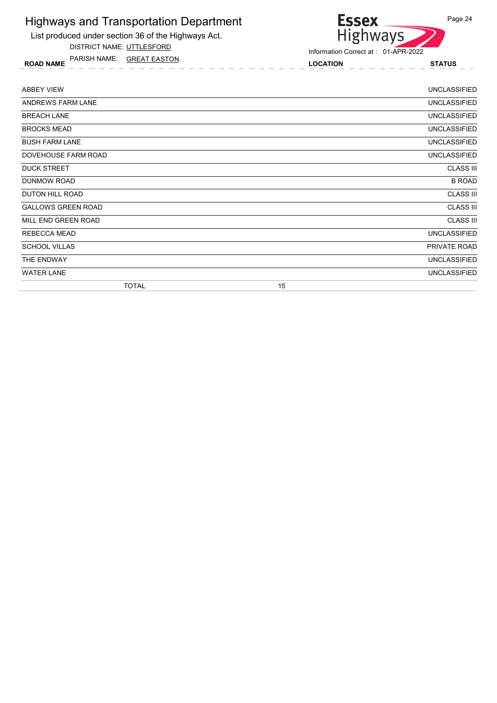List produced under section 36 of the Highways Act.

DISTRICT NAME: UTTLESFORD

ROAD NAME LOCATION STATUS PARISH NAME: GREAT EASTON

# Highways

Information Correct at : 01-APR-2022

**Essex** 

| <b>ABBEY VIEW</b>         |    | <b>UNCLASSIFIED</b> |
|---------------------------|----|---------------------|
| ANDREWS FARM LANE         |    | <b>UNCLASSIFIED</b> |
| <b>BREACH LANE</b>        |    | <b>UNCLASSIFIED</b> |
| <b>BROCKS MEAD</b>        |    | <b>UNCLASSIFIED</b> |
| <b>BUSH FARM LANE</b>     |    | <b>UNCLASSIFIED</b> |
| DOVEHOUSE FARM ROAD       |    | <b>UNCLASSIFIED</b> |
| <b>DUCK STREET</b>        |    | <b>CLASS III</b>    |
| DUNMOW ROAD               |    | <b>B ROAD</b>       |
| DUTON HILL ROAD           |    | <b>CLASS III</b>    |
| <b>GALLOWS GREEN ROAD</b> |    | <b>CLASS III</b>    |
| MILL END GREEN ROAD       |    | <b>CLASS III</b>    |
| REBECCA MEAD              |    | <b>UNCLASSIFIED</b> |
| <b>SCHOOL VILLAS</b>      |    | PRIVATE ROAD        |
| THE ENDWAY                |    | <b>UNCLASSIFIED</b> |
| <b>WATER LANE</b>         |    | <b>UNCLASSIFIED</b> |
| <b>TOTAL</b>              | 15 |                     |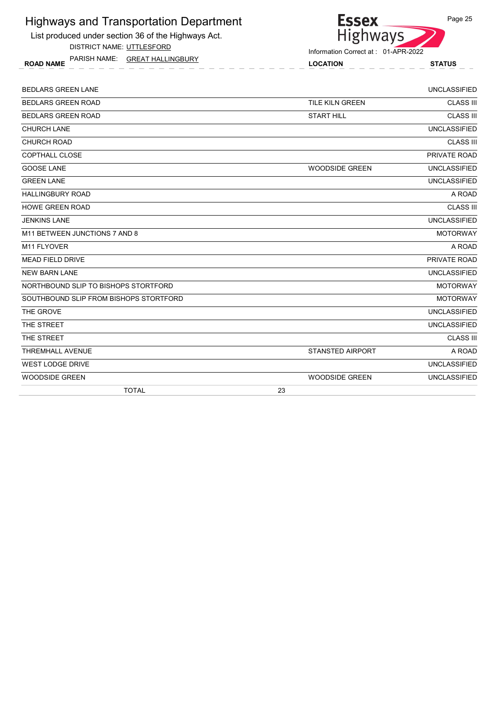List produced under section 36 of the Highways Act.

DISTRICT NAME: UTTLESFORD

ROAD NAME LOCATION STATUS PARISH NAME: GREAT HALLINGBURY



| <b>TOTAL</b>                           | 23                      |                     |
|----------------------------------------|-------------------------|---------------------|
| <b>WOODSIDE GREEN</b>                  | <b>WOODSIDE GREEN</b>   | <b>UNCLASSIFIED</b> |
| <b>WEST LODGE DRIVE</b>                |                         | <b>UNCLASSIFIED</b> |
| <b>THREMHALL AVENUE</b>                | <b>STANSTED AIRPORT</b> | A ROAD              |
| THE STREET                             |                         | <b>CLASS III</b>    |
| THE STREET                             |                         | <b>UNCLASSIFIED</b> |
| THE GROVE                              |                         | <b>UNCLASSIFIED</b> |
| SOUTHBOUND SLIP FROM BISHOPS STORTFORD |                         | <b>MOTORWAY</b>     |
| NORTHBOUND SLIP TO BISHOPS STORTFORD   |                         | <b>MOTORWAY</b>     |
| <b>NEW BARN LANE</b>                   |                         | <b>UNCLASSIFIED</b> |
| <b>MEAD FIELD DRIVE</b>                |                         | PRIVATE ROAD        |
| M11 FLYOVER                            |                         | A ROAD              |
| M11 BETWEEN JUNCTIONS 7 AND 8          |                         | <b>MOTORWAY</b>     |
| <b>JENKINS LANE</b>                    |                         | <b>UNCLASSIFIED</b> |
| <b>HOWE GREEN ROAD</b>                 |                         | <b>CLASS III</b>    |
| <b>HALLINGBURY ROAD</b>                |                         | A ROAD              |
| <b>GREEN LANE</b>                      |                         | <b>UNCLASSIFIED</b> |
| <b>GOOSE LANE</b>                      | <b>WOODSIDE GREEN</b>   | <b>UNCLASSIFIED</b> |
| <b>COPTHALL CLOSE</b>                  |                         | PRIVATE ROAD        |
| <b>CHURCH ROAD</b>                     |                         | <b>CLASS III</b>    |
| <b>CHURCH LANE</b>                     |                         | <b>UNCLASSIFIED</b> |
| <b>BEDLARS GREEN ROAD</b>              | <b>START HILL</b>       | <b>CLASS III</b>    |
| <b>BEDLARS GREEN ROAD</b>              | <b>TILE KILN GREEN</b>  | <b>CLASS III</b>    |
| <b>BEDLARS GREEN LANE</b>              |                         | <b>UNCLASSIFIED</b> |
|                                        |                         |                     |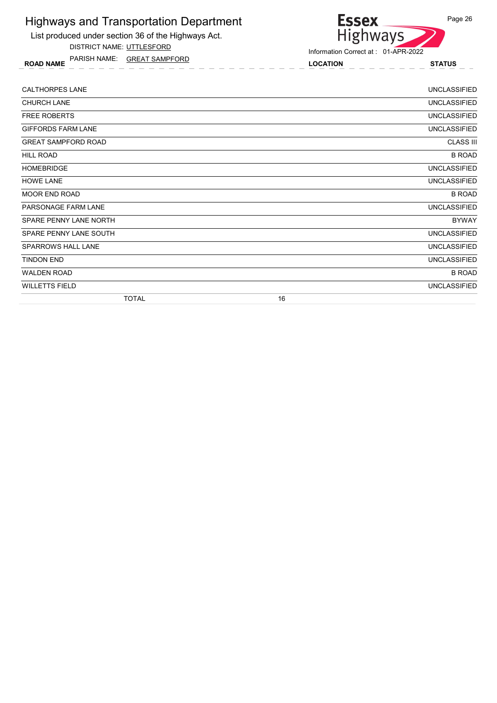List produced under section 36 of the Highways Act.

DISTRICT NAME: UTTLESFORD

ROAD NAME LOCATION STATUS PARISH NAME: GREAT SAMPFORD



| <b>CALTHORPES LANE</b>     | <b>UNCLASSIFIED</b> |
|----------------------------|---------------------|
| <b>CHURCH LANE</b>         | <b>UNCLASSIFIED</b> |
| <b>FREE ROBERTS</b>        | <b>UNCLASSIFIED</b> |
| <b>GIFFORDS FARM LANE</b>  | <b>UNCLASSIFIED</b> |
| <b>GREAT SAMPFORD ROAD</b> | <b>CLASS III</b>    |
| <b>HILL ROAD</b>           | <b>B ROAD</b>       |
| <b>HOMEBRIDGE</b>          | <b>UNCLASSIFIED</b> |
| <b>HOWE LANE</b>           | <b>UNCLASSIFIED</b> |
| MOOR END ROAD              | <b>B ROAD</b>       |
| PARSONAGE FARM LANE        | <b>UNCLASSIFIED</b> |
| SPARE PENNY LANE NORTH     | <b>BYWAY</b>        |
| SPARE PENNY LANE SOUTH     | <b>UNCLASSIFIED</b> |
| <b>SPARROWS HALL LANE</b>  | <b>UNCLASSIFIED</b> |
| <b>TINDON END</b>          | <b>UNCLASSIFIED</b> |
| <b>WALDEN ROAD</b>         | <b>B ROAD</b>       |
| <b>WILLETTS FIELD</b>      | <b>UNCLASSIFIED</b> |
| <b>TOTAL</b>               | 16                  |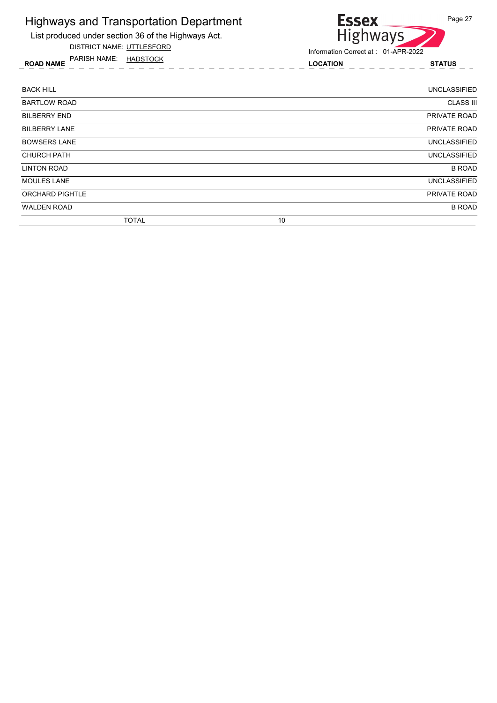

DISTRICT NAME: UTTLESFORD

ROAD NAME LOCATION STATUS PARISH NAME: HADSTOCK



| <b>BACK HILL</b>       | <b>UNCLASSIFIED</b> |
|------------------------|---------------------|
| <b>BARTLOW ROAD</b>    | <b>CLASS III</b>    |
| <b>BILBERRY END</b>    | PRIVATE ROAD        |
| <b>BILBERRY LANE</b>   | <b>PRIVATE ROAD</b> |
| <b>BOWSERS LANE</b>    | <b>UNCLASSIFIED</b> |
| <b>CHURCH PATH</b>     | <b>UNCLASSIFIED</b> |
| <b>LINTON ROAD</b>     | <b>B ROAD</b>       |
| <b>MOULES LANE</b>     | <b>UNCLASSIFIED</b> |
| <b>ORCHARD PIGHTLE</b> | PRIVATE ROAD        |
| <b>WALDEN ROAD</b>     | <b>B ROAD</b>       |
| <b>TOTAL</b>           | 10                  |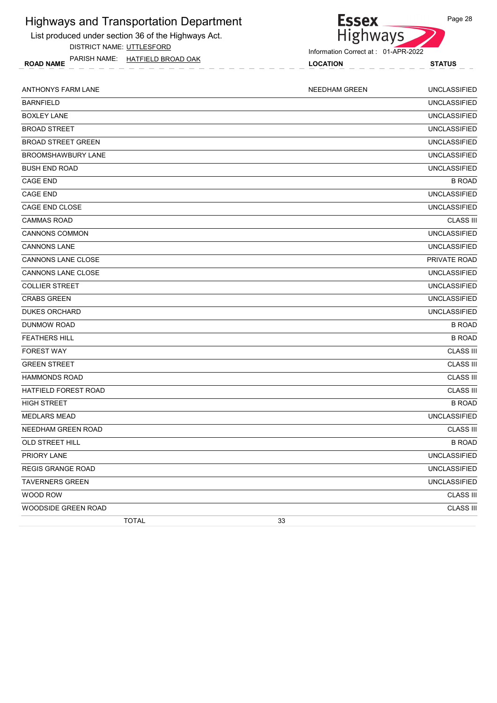List produced under section 36 of the Highways Act.

DISTRICT NAME: UTTLESFORD

ROAD NAME LOCATION STATUS PARISH NAME: HATFIELD BROAD OAK



Information Correct at : 01-APR-2022

| <b>ANTHONYS FARM LANE</b> |              |    | <b>NEEDHAM GREEN</b> | <b>UNCLASSIFIED</b> |
|---------------------------|--------------|----|----------------------|---------------------|
| <b>BARNFIELD</b>          |              |    |                      | <b>UNCLASSIFIED</b> |
| <b>BOXLEY LANE</b>        |              |    |                      | <b>UNCLASSIFIED</b> |
| <b>BROAD STREET</b>       |              |    |                      | <b>UNCLASSIFIED</b> |
| <b>BROAD STREET GREEN</b> |              |    |                      | <b>UNCLASSIFIED</b> |
| BROOMSHAWBURY LANE        |              |    |                      | <b>UNCLASSIFIED</b> |
| <b>BUSH END ROAD</b>      |              |    |                      | <b>UNCLASSIFIED</b> |
| <b>CAGE END</b>           |              |    |                      | <b>B ROAD</b>       |
| <b>CAGE END</b>           |              |    |                      | <b>UNCLASSIFIED</b> |
| CAGE END CLOSE            |              |    |                      | <b>UNCLASSIFIED</b> |
| <b>CAMMAS ROAD</b>        |              |    |                      | <b>CLASS III</b>    |
| <b>CANNONS COMMON</b>     |              |    |                      | <b>UNCLASSIFIED</b> |
| <b>CANNONS LANE</b>       |              |    |                      | <b>UNCLASSIFIED</b> |
| <b>CANNONS LANE CLOSE</b> |              |    |                      | PRIVATE ROAD        |
| <b>CANNONS LANE CLOSE</b> |              |    |                      | <b>UNCLASSIFIED</b> |
| <b>COLLIER STREET</b>     |              |    |                      | <b>UNCLASSIFIED</b> |
| <b>CRABS GREEN</b>        |              |    |                      | <b>UNCLASSIFIED</b> |
| <b>DUKES ORCHARD</b>      |              |    |                      | <b>UNCLASSIFIED</b> |
| <b>DUNMOW ROAD</b>        |              |    |                      | <b>B ROAD</b>       |
| <b>FEATHERS HILL</b>      |              |    |                      | <b>B ROAD</b>       |
| <b>FOREST WAY</b>         |              |    |                      | <b>CLASS III</b>    |
| <b>GREEN STREET</b>       |              |    |                      | <b>CLASS III</b>    |
| <b>HAMMONDS ROAD</b>      |              |    |                      | <b>CLASS III</b>    |
| HATFIELD FOREST ROAD      |              |    |                      | <b>CLASS III</b>    |
| <b>HIGH STREET</b>        |              |    |                      | <b>B ROAD</b>       |
| <b>MEDLARS MEAD</b>       |              |    |                      | <b>UNCLASSIFIED</b> |
| NEEDHAM GREEN ROAD        |              |    |                      | <b>CLASS III</b>    |
| OLD STREET HILL           |              |    |                      | <b>B ROAD</b>       |
| <b>PRIORY LANE</b>        |              |    |                      | <b>UNCLASSIFIED</b> |
| REGIS GRANGE ROAD         |              |    |                      | UNCLASSIFIED        |
| <b>TAVERNERS GREEN</b>    |              |    |                      | <b>UNCLASSIFIED</b> |
| WOOD ROW                  |              |    |                      | <b>CLASS III</b>    |
| WOODSIDE GREEN ROAD       |              |    |                      | <b>CLASS III</b>    |
|                           | <b>TOTAL</b> | 33 |                      |                     |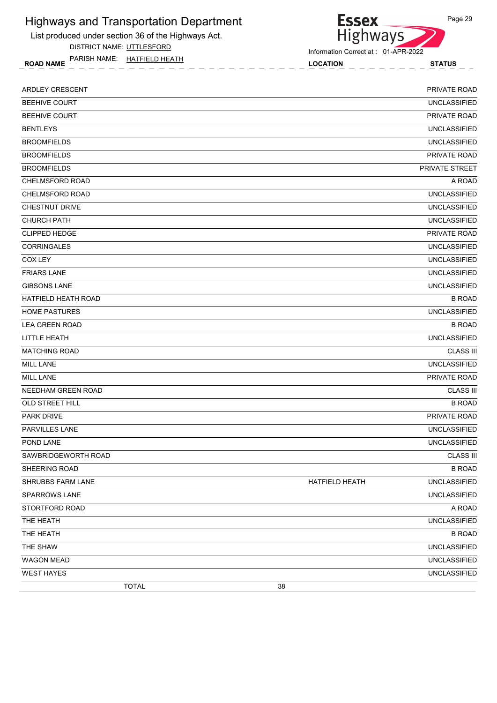List produced under section 36 of the Highways Act.

DISTRICT NAME: UTTLESFORD

ROAD NAME LOCATION STATUS PARISH NAME: HATFIELD HEATH

**Essex** Highways

Information Correct at : 01-APR-2022

| ARDLEY CRESCENT            |              |    |                | PRIVATE ROAD          |
|----------------------------|--------------|----|----------------|-----------------------|
| <b>BEEHIVE COURT</b>       |              |    |                | <b>UNCLASSIFIED</b>   |
| <b>BEEHIVE COURT</b>       |              |    |                | PRIVATE ROAD          |
| <b>BENTLEYS</b>            |              |    |                | <b>UNCLASSIFIED</b>   |
| <b>BROOMFIELDS</b>         |              |    |                | <b>UNCLASSIFIED</b>   |
| <b>BROOMFIELDS</b>         |              |    |                | PRIVATE ROAD          |
| <b>BROOMFIELDS</b>         |              |    |                | <b>PRIVATE STREET</b> |
| CHELMSFORD ROAD            |              |    |                | A ROAD                |
| CHELMSFORD ROAD            |              |    |                | <b>UNCLASSIFIED</b>   |
| <b>CHESTNUT DRIVE</b>      |              |    |                | <b>UNCLASSIFIED</b>   |
| <b>CHURCH PATH</b>         |              |    |                | <b>UNCLASSIFIED</b>   |
| <b>CLIPPED HEDGE</b>       |              |    |                | PRIVATE ROAD          |
| <b>CORRINGALES</b>         |              |    |                | <b>UNCLASSIFIED</b>   |
| COX LEY                    |              |    |                | <b>UNCLASSIFIED</b>   |
| <b>FRIARS LANE</b>         |              |    |                | <b>UNCLASSIFIED</b>   |
| <b>GIBSONS LANE</b>        |              |    |                | <b>UNCLASSIFIED</b>   |
| <b>HATFIELD HEATH ROAD</b> |              |    |                | <b>B ROAD</b>         |
| <b>HOME PASTURES</b>       |              |    |                | <b>UNCLASSIFIED</b>   |
| <b>LEA GREEN ROAD</b>      |              |    |                | <b>B ROAD</b>         |
| LITTLE HEATH               |              |    |                | <b>UNCLASSIFIED</b>   |
| <b>MATCHING ROAD</b>       |              |    |                | <b>CLASS III</b>      |
| <b>MILL LANE</b>           |              |    |                | <b>UNCLASSIFIED</b>   |
| <b>MILL LANE</b>           |              |    |                | PRIVATE ROAD          |
| NEEDHAM GREEN ROAD         |              |    |                | <b>CLASS III</b>      |
| OLD STREET HILL            |              |    |                | <b>B ROAD</b>         |
| <b>PARK DRIVE</b>          |              |    |                | PRIVATE ROAD          |
| PARVILLES LANE             |              |    |                | <b>UNCLASSIFIED</b>   |
| POND LANE                  |              |    |                | <b>UNCLASSIFIED</b>   |
| SAWBRIDGEWORTH ROAD        |              |    |                | <b>CLASS III</b>      |
| SHEERING ROAD              |              |    |                | <b>B ROAD</b>         |
| SHRUBBS FARM LANE          |              |    | HATFIELD HEATH | <b>UNCLASSIFIED</b>   |
| <b>SPARROWS LANE</b>       |              |    |                | <b>UNCLASSIFIED</b>   |
| STORTFORD ROAD             |              |    |                | A ROAD                |
| THE HEATH                  |              |    |                | <b>UNCLASSIFIED</b>   |
| THE HEATH                  |              |    |                | <b>B ROAD</b>         |
| THE SHAW                   |              |    |                | <b>UNCLASSIFIED</b>   |
| <b>WAGON MEAD</b>          |              |    |                | <b>UNCLASSIFIED</b>   |
| <b>WEST HAYES</b>          |              |    |                | <b>UNCLASSIFIED</b>   |
|                            | <b>TOTAL</b> | 38 |                |                       |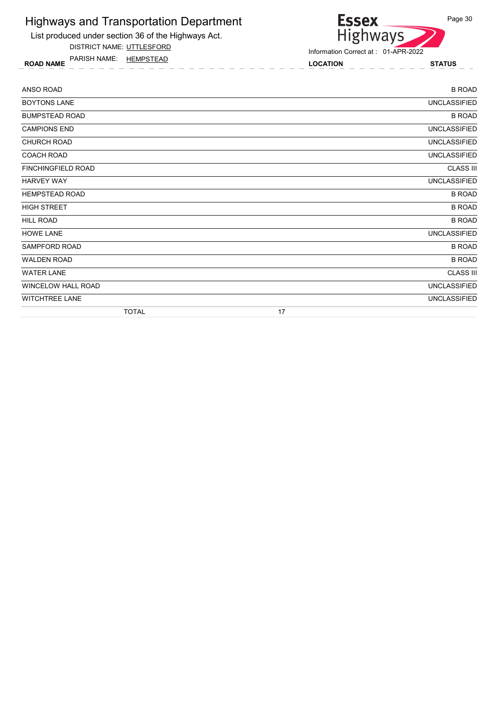List produced under section 36 of the Highways Act.

DISTRICT NAME: UTTLESFORD

ROAD NAME LOCATION STATUS PARISH NAME: HEMPSTEAD



| ANSO ROAD             | <b>B ROAD</b>       |
|-----------------------|---------------------|
| <b>BOYTONS LANE</b>   | <b>UNCLASSIFIED</b> |
| <b>BUMPSTEAD ROAD</b> | <b>B ROAD</b>       |
| <b>CAMPIONS END</b>   | <b>UNCLASSIFIED</b> |
| <b>CHURCH ROAD</b>    | <b>UNCLASSIFIED</b> |
| <b>COACH ROAD</b>     | <b>UNCLASSIFIED</b> |
| FINCHINGFIELD ROAD    | <b>CLASS III</b>    |
| <b>HARVEY WAY</b>     | UNCLASSIFIED        |
| <b>HEMPSTEAD ROAD</b> | <b>B ROAD</b>       |
| <b>HIGH STREET</b>    | <b>B ROAD</b>       |
| HILL ROAD             | <b>B ROAD</b>       |
| <b>HOWE LANE</b>      | <b>UNCLASSIFIED</b> |
| SAMPFORD ROAD         | <b>B ROAD</b>       |
| <b>WALDEN ROAD</b>    | <b>B ROAD</b>       |
| <b>WATER LANE</b>     | <b>CLASS III</b>    |
| WINCELOW HALL ROAD    | <b>UNCLASSIFIED</b> |
| <b>WITCHTREE LANE</b> | <b>UNCLASSIFIED</b> |
| <b>TOTAL</b>          | 17                  |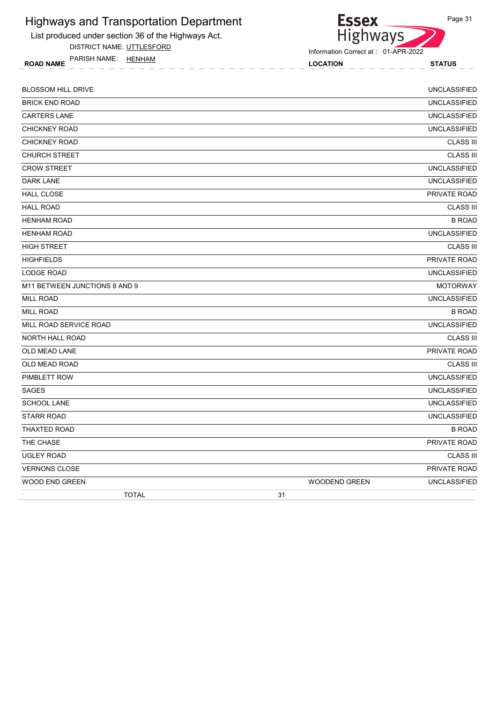

DISTRICT NAME: UTTLESFORD

ROAD NAME TANISH IVAIVIE. **HEIVHAIVI EXAMPLE 1999 STATUS** LOCATION LOCATION STATUS PARISH NAME: HENHAM

**Essex Highways** 

Information Correct at : 01-APR-2022

BLOSSOM HILL DRIVE UNCLASSIFIED BRICK END ROAD UNCLASSIFIED CARTERS LANE UNCLASSIFIED CHICKNEY ROAD UNCLASSIFIED **CHICKNEY ROAD CLASS III** CHURCH STREET CLASS III CROW STREET **EXAMPLE IS A REPORT OF A REPORT OF A REPORT OF A REPORT OF A REPORT OF A REPORT OF A REPORT OF A REPORT OF A REPORT OF A REPORT OF A REPORT OF A REPORT OF A REPORT OF A REPORT OF A REPORT OF A REPORT OF A REPO DARK LANE** UNCLASSIFIED HALL CLOSE **External of the set of the set of the set of the set of the set of the set of the set of the set of the set of the set of the set of the set of the set of the set of the set of the set of the set of the set of** HALL ROAD CLASS III HENHAM ROAD BROAD BOOK IN THE SAME ROAD BROAD BOOK IN THE SAME ROAD BROAD BOOK IN THE SAME ROAD BROAD BOOK IN THE SAME ROAD BROAD HENHAM ROAD UNCLASSIFIED HIGH STREET CLASS III HIGHFIELDS PRIVATE ROAD LODGE ROAD UNCLASSIFIED M11 BETWEEN JUNCTIONS 8 AND 9 MOTORWAY AND A LOCAL SERVICE SERVICE SERVICE SERVICE SERVICE SERVICE SERVICE SERVICE SERVICE SERVICE SERVICE SERVICE SERVICE SERVICE SERVICE SERVICE SERVICE SERVICE SERVICE SERVICE SERVICE SER MILL ROAD UNCLASSIFIED MILL ROAD B ROAD MILL ROAD SERVICE ROAD UNCLASSIFIED NORTH HALL ROAD CLASS III OLD MEAD LANE PRIVATE ROAD OLD MEAD ROAD CLASS III PIMBLETT ROW UNCLASSIFIED SAGES UNCLASSIFIED SCHOOL LANE UNCLASSIFIED STARR ROAD UNCLASSIFIED THAXTED ROAD B ROAD THE CHASE **PRIVATE ROAD** UGLEY ROAD CLASS III **VERNONS CLOSE** PRIVATE ROAD PRIVATE ROAD PRIVATE ROAD PRIVATE ROAD PRIVATE ROAD PRIVATE ROAD PRIVATE ROAD PRIVATE ROAD PRIVATE ROAD PRIVATE ROAD PRIVATE ROAD PRIVATE ROAD PRIVATE ROAD PRIVATE ROAD PRIVATE ROAD PRIVATE ROA WOOD END GREEN WOODEND GREEN UNCLASSIFIED TOTAL 31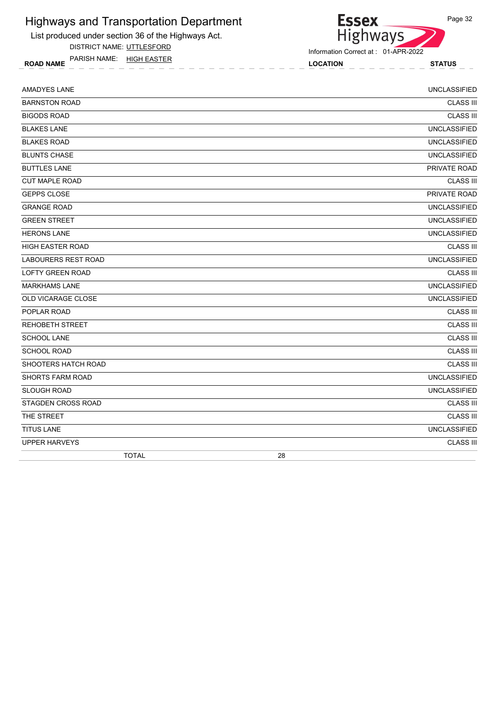List produced under section 36 of the Highways Act.

DISTRICT NAME: UTTLESFORD

ROAD NAME LOCATION STATUS PARISH NAME: HIGH EASTER

Essex<br>Highways

Information Correct at : 01-APR-2022

| <b>AMADYES LANE</b>        | <b>UNCLASSIFIED</b> |
|----------------------------|---------------------|
| <b>BARNSTON ROAD</b>       | <b>CLASS III</b>    |
| <b>BIGODS ROAD</b>         | <b>CLASS III</b>    |
| <b>BLAKES LANE</b>         | <b>UNCLASSIFIED</b> |
| <b>BLAKES ROAD</b>         | <b>UNCLASSIFIED</b> |
| <b>BLUNTS CHASE</b>        | <b>UNCLASSIFIED</b> |
| <b>BUTTLES LANE</b>        | PRIVATE ROAD        |
| <b>CUT MAPLE ROAD</b>      | <b>CLASS III</b>    |
| <b>GEPPS CLOSE</b>         | PRIVATE ROAD        |
| <b>GRANGE ROAD</b>         | <b>UNCLASSIFIED</b> |
| <b>GREEN STREET</b>        | <b>UNCLASSIFIED</b> |
| <b>HERONS LANE</b>         | <b>UNCLASSIFIED</b> |
| <b>HIGH EASTER ROAD</b>    | <b>CLASS III</b>    |
| <b>LABOURERS REST ROAD</b> | <b>UNCLASSIFIED</b> |
| <b>LOFTY GREEN ROAD</b>    | <b>CLASS III</b>    |
| <b>MARKHAMS LANE</b>       | <b>UNCLASSIFIED</b> |
| <b>OLD VICARAGE CLOSE</b>  | <b>UNCLASSIFIED</b> |
| POPLAR ROAD                | <b>CLASS III</b>    |
| <b>REHOBETH STREET</b>     | <b>CLASS III</b>    |
| <b>SCHOOL LANE</b>         | <b>CLASS III</b>    |
| <b>SCHOOL ROAD</b>         | <b>CLASS III</b>    |
| SHOOTERS HATCH ROAD        | <b>CLASS III</b>    |
| <b>SHORTS FARM ROAD</b>    | <b>UNCLASSIFIED</b> |
| <b>SLOUGH ROAD</b>         | <b>UNCLASSIFIED</b> |
| STAGDEN CROSS ROAD         | <b>CLASS III</b>    |
| THE STREET                 | <b>CLASS III</b>    |
| <b>TITUS LANE</b>          | <b>UNCLASSIFIED</b> |
| <b>UPPER HARVEYS</b>       | <b>CLASS III</b>    |
| <b>TOTAL</b>               | 28                  |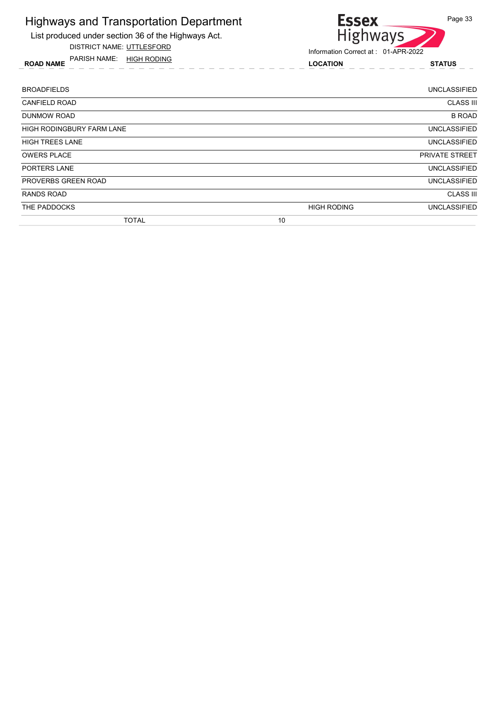List produced under section 36 of the Highways Act.

DISTRICT NAME: UTTLESFORD

ROAD NAME LOCATION STATUS PARISH NAME: HIGH RODING



| <b>BROADFIELDS</b>               |                    | <b>UNCLASSIFIED</b>   |
|----------------------------------|--------------------|-----------------------|
| <b>CANFIELD ROAD</b>             |                    | <b>CLASS III</b>      |
| <b>DUNMOW ROAD</b>               |                    | <b>B ROAD</b>         |
| <b>HIGH RODINGBURY FARM LANE</b> |                    | <b>UNCLASSIFIED</b>   |
| <b>HIGH TREES LANE</b>           |                    | <b>UNCLASSIFIED</b>   |
| <b>OWERS PLACE</b>               |                    | <b>PRIVATE STREET</b> |
| <b>PORTERS LANE</b>              |                    | <b>UNCLASSIFIED</b>   |
| PROVERBS GREEN ROAD              |                    | <b>UNCLASSIFIED</b>   |
| RANDS ROAD                       |                    | <b>CLASS III</b>      |
| THE PADDOCKS                     | <b>HIGH RODING</b> | <b>UNCLASSIFIED</b>   |
| <b>TOTAL</b>                     | 10                 |                       |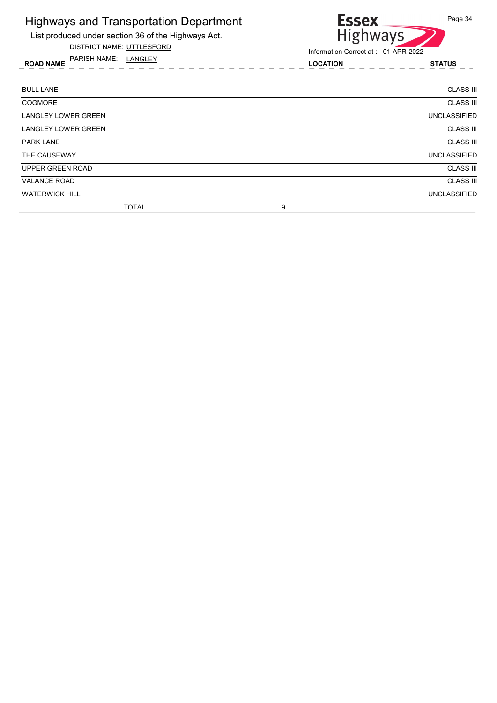

DISTRICT NAME: UTTLESFORD

Essex<br>Highways

Information Correct at : 01-APR-2022

ROAD NAME LOCATION STATUS PARISH NAME: LANGLEY

| <b>BULL LANE</b>           | <b>CLASS III</b>    |
|----------------------------|---------------------|
| <b>COGMORE</b>             | <b>CLASS III</b>    |
| <b>LANGLEY LOWER GREEN</b> | <b>UNCLASSIFIED</b> |
| <b>LANGLEY LOWER GREEN</b> | <b>CLASS III</b>    |
| <b>PARK LANE</b>           | <b>CLASS III</b>    |
| THE CAUSEWAY               | <b>UNCLASSIFIED</b> |
| <b>UPPER GREEN ROAD</b>    | <b>CLASS III</b>    |
| <b>VALANCE ROAD</b>        | <b>CLASS III</b>    |
| <b>WATERWICK HILL</b>      | <b>UNCLASSIFIED</b> |
| <b>TOTAL</b>               | 9                   |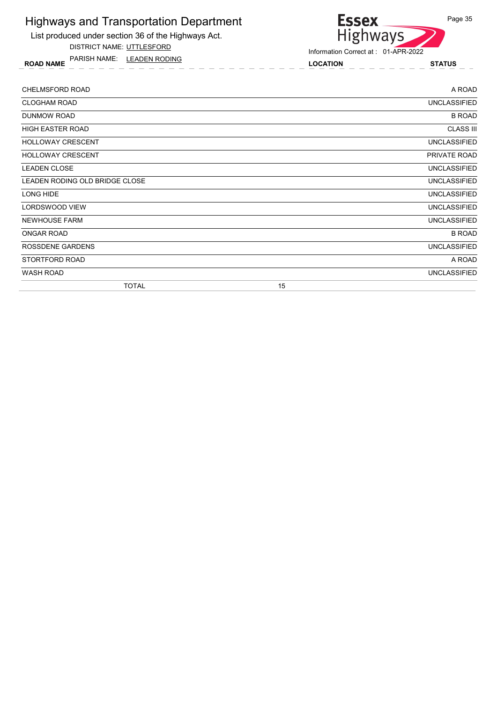List produced under section 36 of the Highways Act.

DISTRICT NAME: UTTLESFORD

ROAD NAME LOCATION STATUS PARISH NAME: LEADEN RODING



| <b>CHELMSFORD ROAD</b>         |    | A ROAD              |
|--------------------------------|----|---------------------|
| <b>CLOGHAM ROAD</b>            |    | <b>UNCLASSIFIED</b> |
| DUNMOW ROAD                    |    | <b>B ROAD</b>       |
| HIGH EASTER ROAD               |    | <b>CLASS III</b>    |
| <b>HOLLOWAY CRESCENT</b>       |    | <b>UNCLASSIFIED</b> |
| <b>HOLLOWAY CRESCENT</b>       |    | PRIVATE ROAD        |
| <b>LEADEN CLOSE</b>            |    | <b>UNCLASSIFIED</b> |
| LEADEN RODING OLD BRIDGE CLOSE |    | <b>UNCLASSIFIED</b> |
| LONG HIDE                      |    | <b>UNCLASSIFIED</b> |
| LORDSWOOD VIEW                 |    | <b>UNCLASSIFIED</b> |
| <b>NEWHOUSE FARM</b>           |    | <b>UNCLASSIFIED</b> |
| ONGAR ROAD                     |    | <b>B ROAD</b>       |
| ROSSDENE GARDENS               |    | <b>UNCLASSIFIED</b> |
| STORTFORD ROAD                 |    | A ROAD              |
| <b>WASH ROAD</b>               |    | <b>UNCLASSIFIED</b> |
| <b>TOTAL</b>                   | 15 |                     |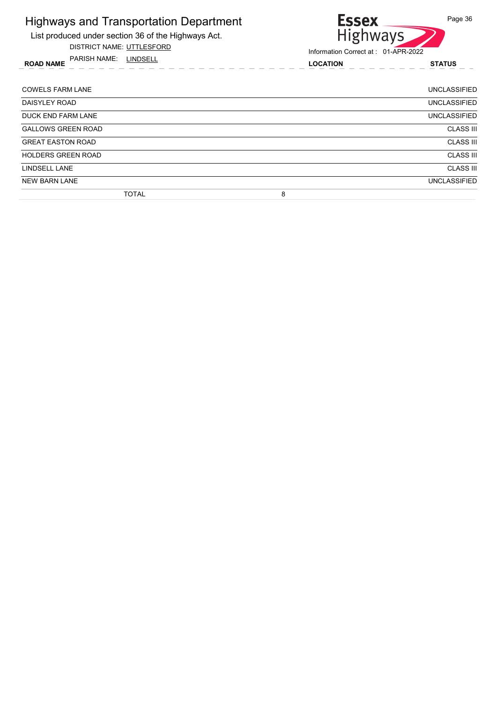List produced under section 36 of the Highways Act.

DISTRICT NAME: UTTLESFORD

ROAD NAME LOCATION STATUS PARISH NAME: LINDSELL



| <b>COWELS FARM LANE</b>   |              |   | UNCLASSIFIED        |
|---------------------------|--------------|---|---------------------|
| DAISYLEY ROAD             |              |   | <b>UNCLASSIFIED</b> |
| DUCK END FARM LANE        |              |   | <b>UNCLASSIFIED</b> |
| <b>GALLOWS GREEN ROAD</b> |              |   | <b>CLASS III</b>    |
| <b>GREAT EASTON ROAD</b>  |              |   | <b>CLASS III</b>    |
| <b>HOLDERS GREEN ROAD</b> |              |   | <b>CLASS III</b>    |
| LINDSELL LANE             |              |   | <b>CLASS III</b>    |
| <b>NEW BARN LANE</b>      |              |   | <b>UNCLASSIFIED</b> |
|                           | <b>TOTAL</b> | 8 |                     |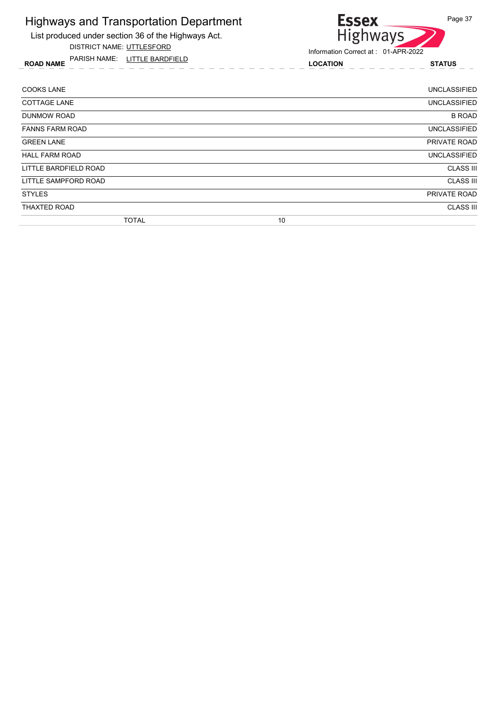List produced under section 36 of the Highways Act.

DISTRICT NAME: UTTLESFORD

ROAD NAME LOCATION STATUS PARISH NAME: LITTLE BARDFIELD



| <b>COOKS LANE</b>      | <b>UNCLASSIFIED</b> |
|------------------------|---------------------|
| <b>COTTAGE LANE</b>    | <b>UNCLASSIFIED</b> |
| <b>DUNMOW ROAD</b>     | <b>B ROAD</b>       |
| <b>FANNS FARM ROAD</b> | <b>UNCLASSIFIED</b> |
| <b>GREEN LANE</b>      | PRIVATE ROAD        |
| <b>HALL FARM ROAD</b>  | <b>UNCLASSIFIED</b> |
| LITTLE BARDFIELD ROAD  | <b>CLASS III</b>    |
| LITTLE SAMPFORD ROAD   | <b>CLASS III</b>    |
| <b>STYLES</b>          | PRIVATE ROAD        |
| <b>THAXTED ROAD</b>    | <b>CLASS III</b>    |
| <b>TOTAL</b>           | 10                  |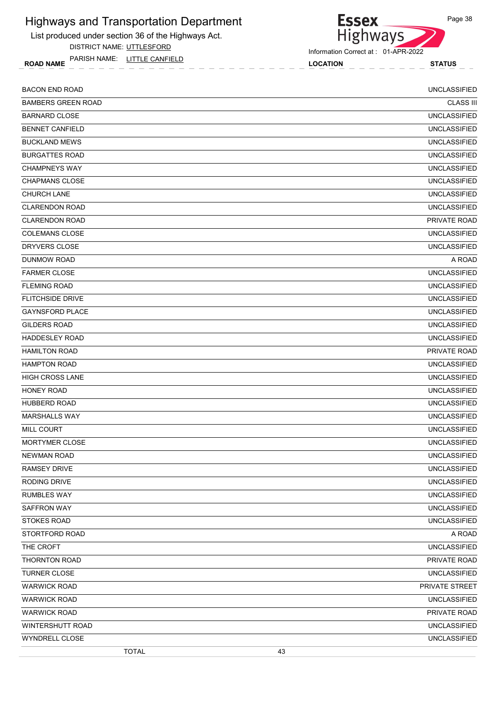List produced under section 36 of the Highways Act.

DISTRICT NAME: UTTLESFORD

ROAD NAME LOCATION STATUS PARISH NAME: LITTLE CANFIELD



Information Correct at : 01-APR-2022

| <b>BACON END ROAD</b>     | <b>UNCLASSIFIED</b> |
|---------------------------|---------------------|
| <b>BAMBERS GREEN ROAD</b> | <b>CLASS III</b>    |
| <b>BARNARD CLOSE</b>      | <b>UNCLASSIFIED</b> |
| <b>BENNET CANFIELD</b>    | <b>UNCLASSIFIED</b> |
| <b>BUCKLAND MEWS</b>      | <b>UNCLASSIFIED</b> |
| <b>BURGATTES ROAD</b>     | <b>UNCLASSIFIED</b> |
| <b>CHAMPNEYS WAY</b>      | <b>UNCLASSIFIED</b> |
| <b>CHAPMANS CLOSE</b>     | <b>UNCLASSIFIED</b> |
| <b>CHURCH LANE</b>        | <b>UNCLASSIFIED</b> |
| <b>CLARENDON ROAD</b>     | <b>UNCLASSIFIED</b> |
| <b>CLARENDON ROAD</b>     | PRIVATE ROAD        |
| <b>COLEMANS CLOSE</b>     | <b>UNCLASSIFIED</b> |
| DRYVERS CLOSE             | <b>UNCLASSIFIED</b> |
| <b>DUNMOW ROAD</b>        | A ROAD              |
| <b>FARMER CLOSE</b>       | <b>UNCLASSIFIED</b> |
| <b>FLEMING ROAD</b>       | <b>UNCLASSIFIED</b> |
| <b>FLITCHSIDE DRIVE</b>   | <b>UNCLASSIFIED</b> |
| <b>GAYNSFORD PLACE</b>    | <b>UNCLASSIFIED</b> |
| <b>GILDERS ROAD</b>       | <b>UNCLASSIFIED</b> |
| <b>HADDESLEY ROAD</b>     | <b>UNCLASSIFIED</b> |
| <b>HAMILTON ROAD</b>      | PRIVATE ROAD        |
| <b>HAMPTON ROAD</b>       | <b>UNCLASSIFIED</b> |
| <b>HIGH CROSS LANE</b>    | <b>UNCLASSIFIED</b> |
| <b>HONEY ROAD</b>         | <b>UNCLASSIFIED</b> |
| <b>HUBBERD ROAD</b>       | <b>UNCLASSIFIED</b> |
| <b>MARSHALLS WAY</b>      | <b>UNCLASSIFIED</b> |
| <b>MILL COURT</b>         | <b>UNCLASSIFIED</b> |
| MORTYMER CLOSE            | <b>UNCLASSIFIED</b> |
| <b>NEWMAN ROAD</b>        | UNCLASSIFIED        |
| <b>RAMSEY DRIVE</b>       | <b>UNCLASSIFIED</b> |
| RODING DRIVE              | <b>UNCLASSIFIED</b> |
| <b>RUMBLES WAY</b>        | <b>UNCLASSIFIED</b> |
| SAFFRON WAY               | <b>UNCLASSIFIED</b> |
| <b>STOKES ROAD</b>        | <b>UNCLASSIFIED</b> |
| STORTFORD ROAD            | A ROAD              |
| THE CROFT                 | <b>UNCLASSIFIED</b> |
| THORNTON ROAD             | PRIVATE ROAD        |
| <b>TURNER CLOSE</b>       | <b>UNCLASSIFIED</b> |
| <b>WARWICK ROAD</b>       | PRIVATE STREET      |
| <b>WARWICK ROAD</b>       | <b>UNCLASSIFIED</b> |
| <b>WARWICK ROAD</b>       | PRIVATE ROAD        |
| WINTERSHUTT ROAD          | <b>UNCLASSIFIED</b> |
| WYNDRELL CLOSE            | <b>UNCLASSIFIED</b> |
| <b>TOTAL</b>              | 43                  |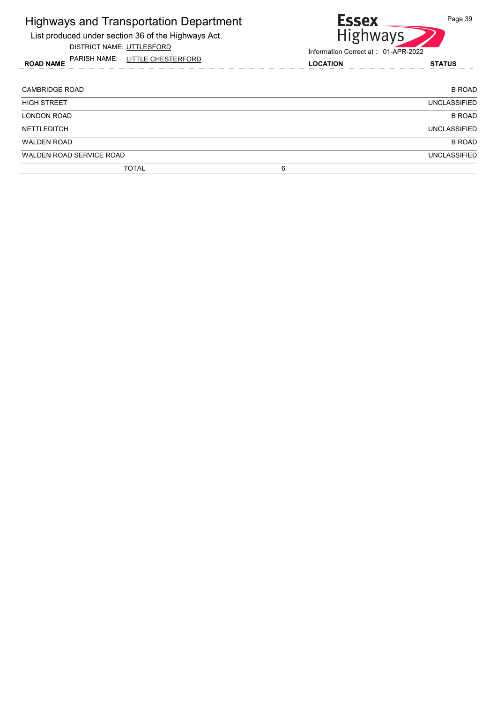| Highways and Transportation Department<br>List produced under section 36 of the Highways Act.<br>DISTRICT NAME: UTTLESFORD | <b>Essex</b><br><b>Highways</b><br>Information Correct at: 01-APR-2022 | Page 39             |
|----------------------------------------------------------------------------------------------------------------------------|------------------------------------------------------------------------|---------------------|
| PARISH NAME: LITTLE CHESTERFORD<br><b>ROAD NAME</b>                                                                        | <b>LOCATION</b>                                                        | <b>STATUS</b>       |
| <b>CAMBRIDGE ROAD</b>                                                                                                      |                                                                        | <b>B ROAD</b>       |
| <b>HIGH STREET</b>                                                                                                         |                                                                        | <b>UNCLASSIFIED</b> |
| <b>LONDON ROAD</b>                                                                                                         |                                                                        | <b>B ROAD</b>       |
| <b>NETTLEDITCH</b>                                                                                                         |                                                                        | <b>UNCLASSIFIED</b> |
| <b>WALDEN ROAD</b>                                                                                                         |                                                                        | <b>B ROAD</b>       |
| WALDEN ROAD SERVICE ROAD                                                                                                   |                                                                        | <b>UNCLASSIFIED</b> |
| <b>TOTAL</b>                                                                                                               | 6                                                                      |                     |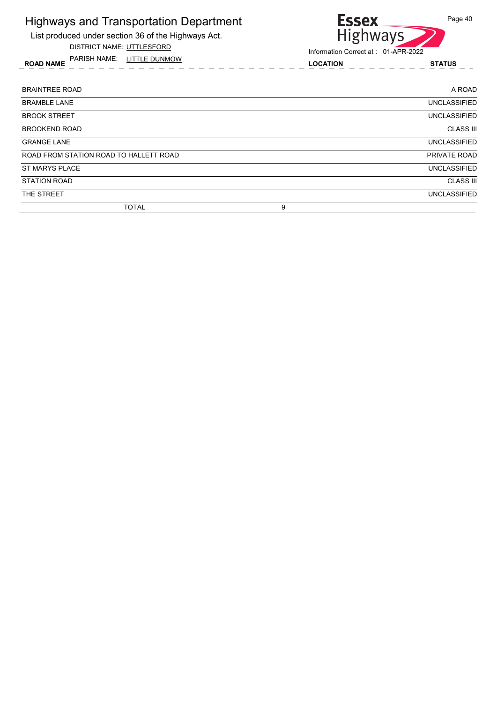List produced under section 36 of the Highways Act.

DISTRICT NAME: UTTLESFORD

ROAD NAME LOCATION STATUS PARISH NAME: LITTLE DUNMOW



| <b>BRAINTREE ROAD</b>                  |   | A ROAD              |
|----------------------------------------|---|---------------------|
| <b>BRAMBLE LANE</b>                    |   | <b>UNCLASSIFIED</b> |
| <b>BROOK STREET</b>                    |   | <b>UNCLASSIFIED</b> |
| <b>BROOKEND ROAD</b>                   |   | <b>CLASS III</b>    |
| <b>GRANGE LANE</b>                     |   | <b>UNCLASSIFIED</b> |
| ROAD FROM STATION ROAD TO HALLETT ROAD |   | PRIVATE ROAD        |
| <b>ST MARYS PLACE</b>                  |   | <b>UNCLASSIFIED</b> |
| <b>STATION ROAD</b>                    |   | <b>CLASS III</b>    |
| THE STREET                             |   | <b>UNCLASSIFIED</b> |
| <b>TOTAL</b>                           | 9 |                     |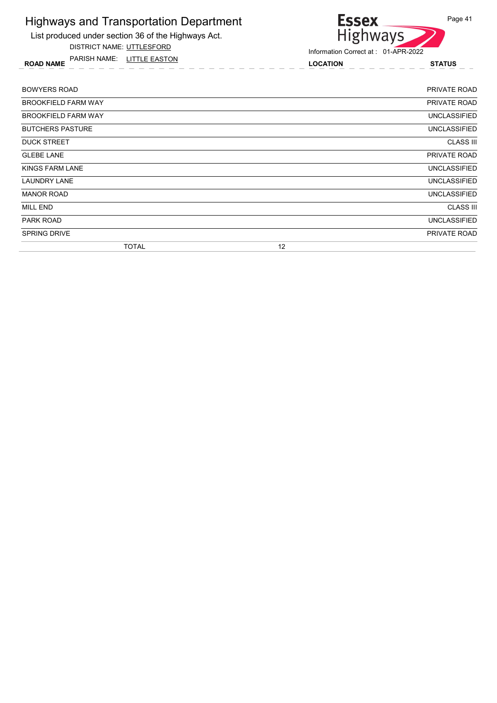List produced under section 36 of the Highways Act.

DISTRICT NAME: UTTLESFORD

ROAD NAME LOCATION STATUS PARISH NAME: LITTLE EASTON



| <b>BOWYERS ROAD</b>        | <b>PRIVATE ROAD</b> |
|----------------------------|---------------------|
| <b>BROOKFIELD FARM WAY</b> | PRIVATE ROAD        |
| <b>BROOKFIELD FARM WAY</b> | <b>UNCLASSIFIED</b> |
| <b>BUTCHERS PASTURE</b>    | <b>UNCLASSIFIED</b> |
| <b>DUCK STREET</b>         | <b>CLASS III</b>    |
| <b>GLEBE LANE</b>          | PRIVATE ROAD        |
| KINGS FARM LANE            | <b>UNCLASSIFIED</b> |
| <b>LAUNDRY LANE</b>        | <b>UNCLASSIFIED</b> |
| <b>MANOR ROAD</b>          | <b>UNCLASSIFIED</b> |
| <b>MILL END</b>            | <b>CLASS III</b>    |
| <b>PARK ROAD</b>           | <b>UNCLASSIFIED</b> |
| <b>SPRING DRIVE</b>        | PRIVATE ROAD        |
| <b>TOTAL</b>               | 12                  |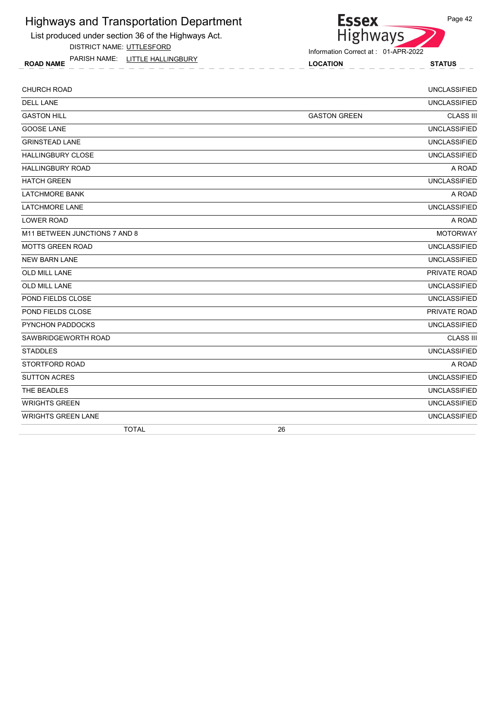List produced under section 36 of the Highways Act.

DISTRICT NAME: UTTLESFORD

ROAD NAME LOCATION STATUS PARISH NAME: LITTLE HALLINGBURY

Highways

**Essex** 

| CHURCH ROAD                   |                     | <b>UNCLASSIFIED</b> |
|-------------------------------|---------------------|---------------------|
| <b>DELL LANE</b>              |                     | <b>UNCLASSIFIED</b> |
| <b>GASTON HILL</b>            | <b>GASTON GREEN</b> | <b>CLASS III</b>    |
| <b>GOOSE LANE</b>             |                     | <b>UNCLASSIFIED</b> |
| <b>GRINSTEAD LANE</b>         |                     | <b>UNCLASSIFIED</b> |
| <b>HALLINGBURY CLOSE</b>      |                     | <b>UNCLASSIFIED</b> |
| <b>HALLINGBURY ROAD</b>       |                     | A ROAD              |
| <b>HATCH GREEN</b>            |                     | <b>UNCLASSIFIED</b> |
| <b>LATCHMORE BANK</b>         |                     | A ROAD              |
| <b>LATCHMORE LANE</b>         |                     | <b>UNCLASSIFIED</b> |
| <b>LOWER ROAD</b>             |                     | A ROAD              |
| M11 BETWEEN JUNCTIONS 7 AND 8 |                     | <b>MOTORWAY</b>     |
| <b>MOTTS GREEN ROAD</b>       |                     | <b>UNCLASSIFIED</b> |
| <b>NEW BARN LANE</b>          |                     | <b>UNCLASSIFIED</b> |
| <b>OLD MILL LANE</b>          |                     | PRIVATE ROAD        |
| <b>OLD MILL LANE</b>          |                     | <b>UNCLASSIFIED</b> |
| POND FIELDS CLOSE             |                     | <b>UNCLASSIFIED</b> |
| POND FIELDS CLOSE             |                     | PRIVATE ROAD        |
| PYNCHON PADDOCKS              |                     | <b>UNCLASSIFIED</b> |
| SAWBRIDGEWORTH ROAD           |                     | <b>CLASS III</b>    |
| <b>STADDLES</b>               |                     | <b>UNCLASSIFIED</b> |
| STORTFORD ROAD                |                     | A ROAD              |
| <b>SUTTON ACRES</b>           |                     | <b>UNCLASSIFIED</b> |
| THE BEADLES                   |                     | <b>UNCLASSIFIED</b> |
| <b>WRIGHTS GREEN</b>          |                     | <b>UNCLASSIFIED</b> |
| <b>WRIGHTS GREEN LANE</b>     |                     | <b>UNCLASSIFIED</b> |
| <b>TOTAL</b>                  | 26                  |                     |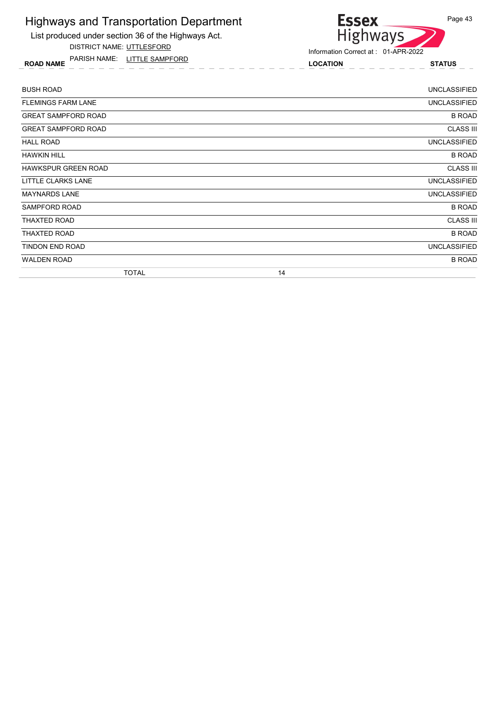List produced under section 36 of the Highways Act.

DISTRICT NAME: UTTLESFORD

ROAD NAME LOCATION STATUS PARISH NAME: LITTLE SAMPFORD



| <b>BUSH ROAD</b>           | <b>UNCLASSIFIED</b> |
|----------------------------|---------------------|
| <b>FLEMINGS FARM LANE</b>  | <b>UNCLASSIFIED</b> |
| <b>GREAT SAMPFORD ROAD</b> | <b>B ROAD</b>       |
| <b>GREAT SAMPFORD ROAD</b> | <b>CLASS III</b>    |
| <b>HALL ROAD</b>           | UNCLASSIFIED        |
| <b>HAWKIN HILL</b>         | <b>B ROAD</b>       |
| <b>HAWKSPUR GREEN ROAD</b> | <b>CLASS III</b>    |
| LITTLE CLARKS LANE         | <b>UNCLASSIFIED</b> |
| <b>MAYNARDS LANE</b>       | <b>UNCLASSIFIED</b> |
| SAMPFORD ROAD              | <b>B ROAD</b>       |
| THAXTED ROAD               | <b>CLASS III</b>    |
| <b>THAXTED ROAD</b>        | <b>B ROAD</b>       |
| TINDON END ROAD            | <b>UNCLASSIFIED</b> |
| <b>WALDEN ROAD</b>         | <b>B ROAD</b>       |
| <b>TOTAL</b>               | 14                  |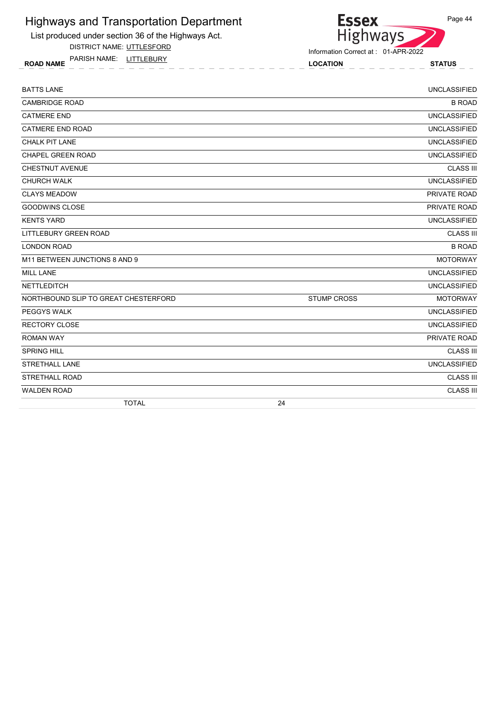List produced under section 36 of the Highways Act.

DISTRICT NAME: UTTLESFORD

ROAD NAME LOCATION STATUS PARISH NAME: LITTLEBURY

| <b>BATTS LANE</b>                    |                    | <b>UNCLASSIFIED</b> |
|--------------------------------------|--------------------|---------------------|
| <b>CAMBRIDGE ROAD</b>                |                    | <b>B ROAD</b>       |
| <b>CATMERE END</b>                   |                    | <b>UNCLASSIFIED</b> |
| <b>CATMERE END ROAD</b>              |                    | <b>UNCLASSIFIED</b> |
| <b>CHALK PIT LANE</b>                |                    | <b>UNCLASSIFIED</b> |
| <b>CHAPEL GREEN ROAD</b>             |                    | <b>UNCLASSIFIED</b> |
| <b>CHESTNUT AVENUE</b>               |                    | <b>CLASS III</b>    |
| <b>CHURCH WALK</b>                   |                    | <b>UNCLASSIFIED</b> |
| <b>CLAYS MEADOW</b>                  |                    | PRIVATE ROAD        |
| <b>GOODWINS CLOSE</b>                |                    | PRIVATE ROAD        |
| <b>KENTS YARD</b>                    |                    | <b>UNCLASSIFIED</b> |
| <b>LITTLEBURY GREEN ROAD</b>         |                    | <b>CLASS III</b>    |
| <b>LONDON ROAD</b>                   |                    | <b>B ROAD</b>       |
| M11 BETWEEN JUNCTIONS 8 AND 9        |                    | <b>MOTORWAY</b>     |
| <b>MILL LANE</b>                     |                    | <b>UNCLASSIFIED</b> |
| <b>NETTLEDITCH</b>                   |                    | <b>UNCLASSIFIED</b> |
| NORTHBOUND SLIP TO GREAT CHESTERFORD | <b>STUMP CROSS</b> | <b>MOTORWAY</b>     |
| PEGGYS WALK                          |                    | <b>UNCLASSIFIED</b> |
| <b>RECTORY CLOSE</b>                 |                    | <b>UNCLASSIFIED</b> |
| <b>ROMAN WAY</b>                     |                    | PRIVATE ROAD        |
| <b>SPRING HILL</b>                   |                    | <b>CLASS III</b>    |
| <b>STRETHALL LANE</b>                |                    | <b>UNCLASSIFIED</b> |
| <b>STRETHALL ROAD</b>                |                    | <b>CLASS III</b>    |
| <b>WALDEN ROAD</b>                   |                    | <b>CLASS III</b>    |
| <b>TOTAL</b>                         | 24                 |                     |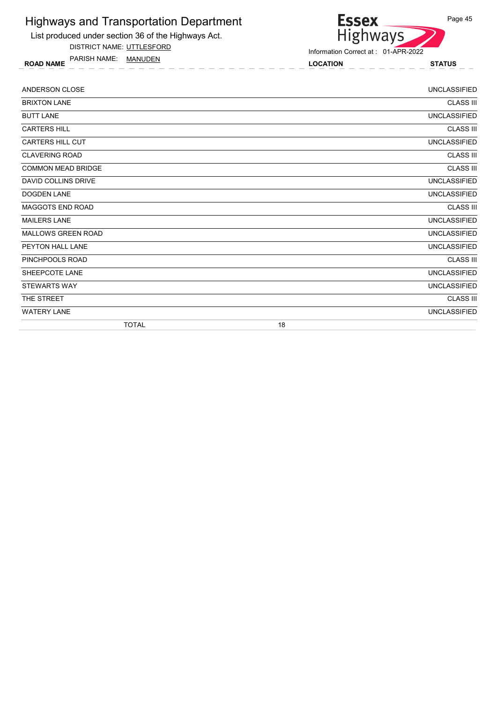

DISTRICT NAME: UTTLESFORD

ROAD NAME LOCATION STATUS PARISH NAME: MANUDEN



| ANDERSON CLOSE             | <b>UNCLASSIFIED</b> |
|----------------------------|---------------------|
| <b>BRIXTON LANE</b>        | <b>CLASS III</b>    |
| <b>BUTT LANE</b>           | <b>UNCLASSIFIED</b> |
| <b>CARTERS HILL</b>        | <b>CLASS III</b>    |
| <b>CARTERS HILL CUT</b>    | <b>UNCLASSIFIED</b> |
| <b>CLAVERING ROAD</b>      | <b>CLASS III</b>    |
| <b>COMMON MEAD BRIDGE</b>  | <b>CLASS III</b>    |
| <b>DAVID COLLINS DRIVE</b> | <b>UNCLASSIFIED</b> |
| <b>DOGDEN LANE</b>         | <b>UNCLASSIFIED</b> |
| MAGGOTS END ROAD           | <b>CLASS III</b>    |
| <b>MAILERS LANE</b>        | <b>UNCLASSIFIED</b> |
| <b>MALLOWS GREEN ROAD</b>  | <b>UNCLASSIFIED</b> |
| PEYTON HALL LANE           | <b>UNCLASSIFIED</b> |
| PINCHPOOLS ROAD            | <b>CLASS III</b>    |
| SHEEPCOTE LANE             | <b>UNCLASSIFIED</b> |
| <b>STEWARTS WAY</b>        | <b>UNCLASSIFIED</b> |
| THE STREET                 | <b>CLASS III</b>    |
| <b>WATERY LANE</b>         | <b>UNCLASSIFIED</b> |
| <b>TOTAL</b>               | 18                  |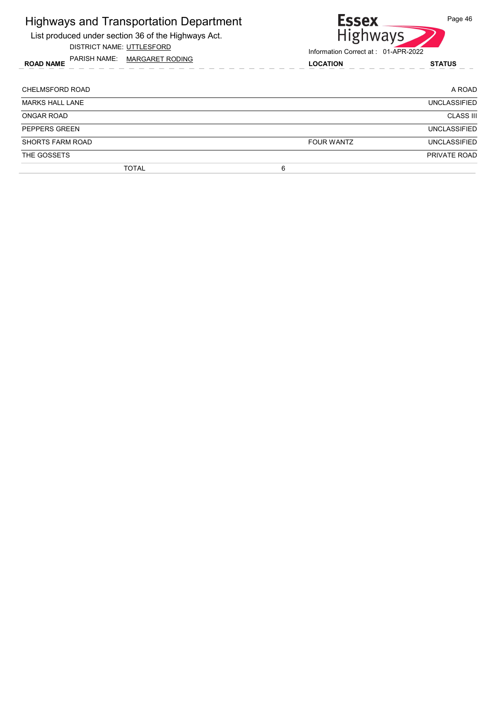| <b>Highways and Transportation Department</b><br>List produced under section 36 of the Highways Act.<br>DISTRICT NAME: UTTLESFORD | <b>Essex</b><br><b>Highways</b><br>Information Correct at: 01-APR-2022 | Page 46             |
|-----------------------------------------------------------------------------------------------------------------------------------|------------------------------------------------------------------------|---------------------|
| PARISH NAME: MARGARET RODING<br><b>ROAD NAME</b>                                                                                  | <b>LOCATION</b>                                                        | <b>STATUS</b>       |
| <b>CHELMSFORD ROAD</b>                                                                                                            |                                                                        | A ROAD              |
| <b>MARKS HALL LANE</b>                                                                                                            |                                                                        | <b>UNCLASSIFIED</b> |
| ONGAR ROAD                                                                                                                        |                                                                        | <b>CLASS III</b>    |
| PEPPERS GREEN                                                                                                                     |                                                                        | <b>UNCLASSIFIED</b> |
| <b>SHORTS FARM ROAD</b>                                                                                                           | <b>FOUR WANTZ</b>                                                      | <b>UNCLASSIFIED</b> |
| THE GOSSETS                                                                                                                       |                                                                        | PRIVATE ROAD        |
| <b>TOTAL</b>                                                                                                                      | 6                                                                      |                     |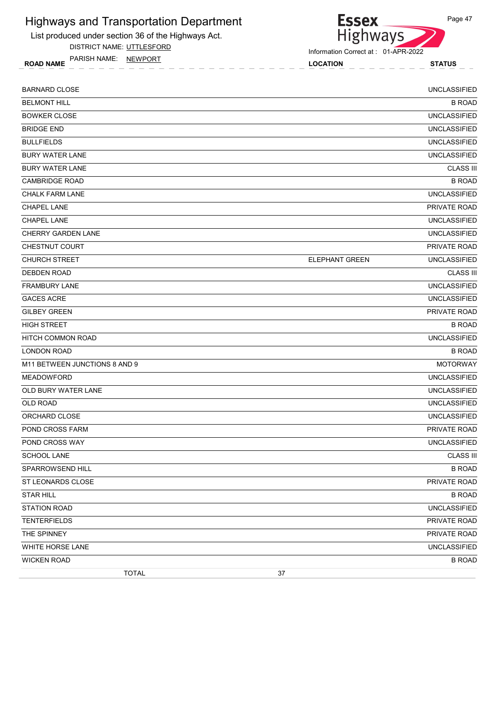

DISTRICT NAME: UTTLESFORD

ROAD NAME LOCATION STATUS PARISH NAME: NEWPORT

Highways

Information Correct at : 01-APR-2022

**Essex** 

| <b>BARNARD CLOSE</b>          |                       | <b>UNCLASSIFIED</b> |
|-------------------------------|-----------------------|---------------------|
| <b>BELMONT HILL</b>           |                       | <b>B ROAD</b>       |
| <b>BOWKER CLOSE</b>           |                       | <b>UNCLASSIFIED</b> |
| <b>BRIDGE END</b>             |                       | <b>UNCLASSIFIED</b> |
| <b>BULLFIELDS</b>             |                       | <b>UNCLASSIFIED</b> |
| <b>BURY WATER LANE</b>        |                       | <b>UNCLASSIFIED</b> |
| <b>BURY WATER LANE</b>        |                       | <b>CLASS III</b>    |
| <b>CAMBRIDGE ROAD</b>         |                       | <b>B ROAD</b>       |
| <b>CHALK FARM LANE</b>        |                       | <b>UNCLASSIFIED</b> |
| <b>CHAPEL LANE</b>            |                       | PRIVATE ROAD        |
| <b>CHAPEL LANE</b>            |                       | <b>UNCLASSIFIED</b> |
| <b>CHERRY GARDEN LANE</b>     |                       | <b>UNCLASSIFIED</b> |
| CHESTNUT COURT                |                       | PRIVATE ROAD        |
| <b>CHURCH STREET</b>          | <b>ELEPHANT GREEN</b> | <b>UNCLASSIFIED</b> |
| <b>DEBDEN ROAD</b>            |                       | <b>CLASS III</b>    |
| <b>FRAMBURY LANE</b>          |                       | <b>UNCLASSIFIED</b> |
| <b>GACES ACRE</b>             |                       | <b>UNCLASSIFIED</b> |
| <b>GILBEY GREEN</b>           |                       | PRIVATE ROAD        |
| <b>HIGH STREET</b>            |                       | <b>B ROAD</b>       |
| <b>HITCH COMMON ROAD</b>      |                       | <b>UNCLASSIFIED</b> |
| <b>LONDON ROAD</b>            |                       | <b>B ROAD</b>       |
| M11 BETWEEN JUNCTIONS 8 AND 9 |                       | <b>MOTORWAY</b>     |
| <b>MEADOWFORD</b>             |                       | <b>UNCLASSIFIED</b> |
| OLD BURY WATER LANE           |                       | <b>UNCLASSIFIED</b> |
| <b>OLD ROAD</b>               |                       | <b>UNCLASSIFIED</b> |
| ORCHARD CLOSE                 |                       | <b>UNCLASSIFIED</b> |
| POND CROSS FARM               |                       | PRIVATE ROAD        |
| POND CROSS WAY                |                       | <b>UNCLASSIFIED</b> |
| <b>SCHOOL LANE</b>            |                       | <b>CLASS III</b>    |
| SPARROWSEND HILL              |                       | <b>B ROAD</b>       |
| ST LEONARDS CLOSE             |                       | PRIVATE ROAD        |
| <b>STAR HILL</b>              |                       | <b>B ROAD</b>       |
| <b>STATION ROAD</b>           |                       | <b>UNCLASSIFIED</b> |
| <b>TENTERFIELDS</b>           |                       | PRIVATE ROAD        |
| THE SPINNEY                   |                       | PRIVATE ROAD        |
| WHITE HORSE LANE              |                       | <b>UNCLASSIFIED</b> |
| <b>WICKEN ROAD</b>            |                       | <b>B ROAD</b>       |
| <b>TOTAL</b>                  | 37                    |                     |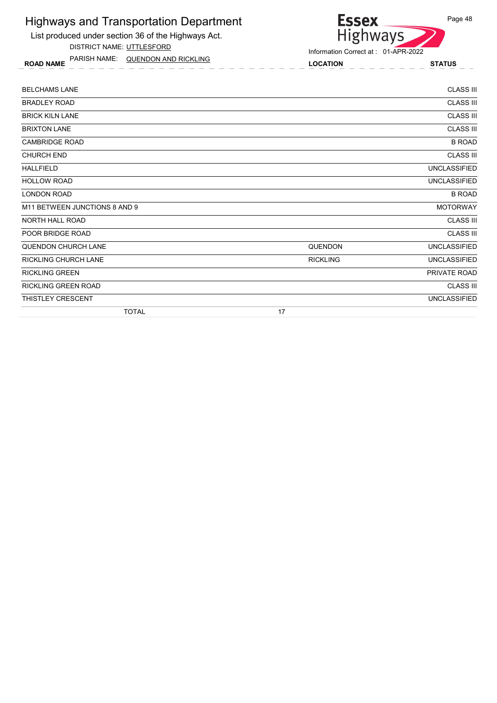List produced under section 36 of the Highways Act. DISTRICT NAME: UTTLESFORD

ROAD NAME LOCATION STATUS PARISH NAME: QUENDON AND RICKLING

**Essex** Highways

Information Correct at : 01-APR-2022

| <b>TOTAL</b>                  | 17              |                     |
|-------------------------------|-----------------|---------------------|
| <b>THISTLEY CRESCENT</b>      |                 | <b>UNCLASSIFIED</b> |
| <b>RICKLING GREEN ROAD</b>    |                 | <b>CLASS III</b>    |
| <b>RICKLING GREEN</b>         |                 | PRIVATE ROAD        |
| <b>RICKLING CHURCH LANE</b>   | <b>RICKLING</b> | <b>UNCLASSIFIED</b> |
| <b>QUENDON CHURCH LANE</b>    | <b>QUENDON</b>  | <b>UNCLASSIFIED</b> |
| POOR BRIDGE ROAD              |                 | <b>CLASS III</b>    |
| NORTH HALL ROAD               |                 | <b>CLASS III</b>    |
| M11 BETWEEN JUNCTIONS 8 AND 9 |                 | <b>MOTORWAY</b>     |
| <b>LONDON ROAD</b>            |                 | <b>B ROAD</b>       |
| <b>HOLLOW ROAD</b>            |                 | <b>UNCLASSIFIED</b> |
| <b>HALLFIELD</b>              |                 | <b>UNCLASSIFIED</b> |
| <b>CHURCH END</b>             |                 | <b>CLASS III</b>    |
| <b>CAMBRIDGE ROAD</b>         |                 | <b>B ROAD</b>       |
| <b>BRIXTON LANE</b>           |                 | <b>CLASS III</b>    |
| <b>BRICK KILN LANE</b>        |                 | <b>CLASS III</b>    |
| <b>BRADLEY ROAD</b>           |                 | <b>CLASS III</b>    |
| <b>BELCHAMS LANE</b>          |                 | <b>CLASS III</b>    |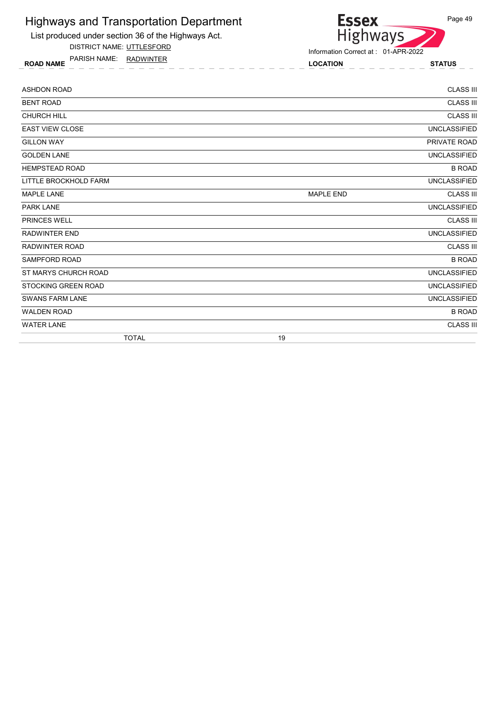List produced under section 36 of the Highways Act.

DISTRICT NAME: UTTLESFORD

ROAD NAME LOCATION STATUS PARISH NAME: RADWINTER



| <b>ASHDON ROAD</b>         | <b>CLASS III</b>                     |
|----------------------------|--------------------------------------|
| <b>BENT ROAD</b>           | <b>CLASS III</b>                     |
| <b>CHURCH HILL</b>         | <b>CLASS III</b>                     |
| <b>EAST VIEW CLOSE</b>     | <b>UNCLASSIFIED</b>                  |
| <b>GILLON WAY</b>          | PRIVATE ROAD                         |
| <b>GOLDEN LANE</b>         | <b>UNCLASSIFIED</b>                  |
| <b>HEMPSTEAD ROAD</b>      | <b>B ROAD</b>                        |
| LITTLE BROCKHOLD FARM      | <b>UNCLASSIFIED</b>                  |
| <b>MAPLE LANE</b>          | <b>CLASS III</b><br><b>MAPLE END</b> |
| <b>PARK LANE</b>           | <b>UNCLASSIFIED</b>                  |
| <b>PRINCES WELL</b>        | <b>CLASS III</b>                     |
| <b>RADWINTER END</b>       | <b>UNCLASSIFIED</b>                  |
| <b>RADWINTER ROAD</b>      | <b>CLASS III</b>                     |
| <b>SAMPFORD ROAD</b>       | <b>B ROAD</b>                        |
| ST MARYS CHURCH ROAD       | <b>UNCLASSIFIED</b>                  |
| <b>STOCKING GREEN ROAD</b> | <b>UNCLASSIFIED</b>                  |
| <b>SWANS FARM LANE</b>     | <b>UNCLASSIFIED</b>                  |
| <b>WALDEN ROAD</b>         | <b>B ROAD</b>                        |
| <b>WATER LANE</b>          | <b>CLASS III</b>                     |
| <b>TOTAL</b>               | 19                                   |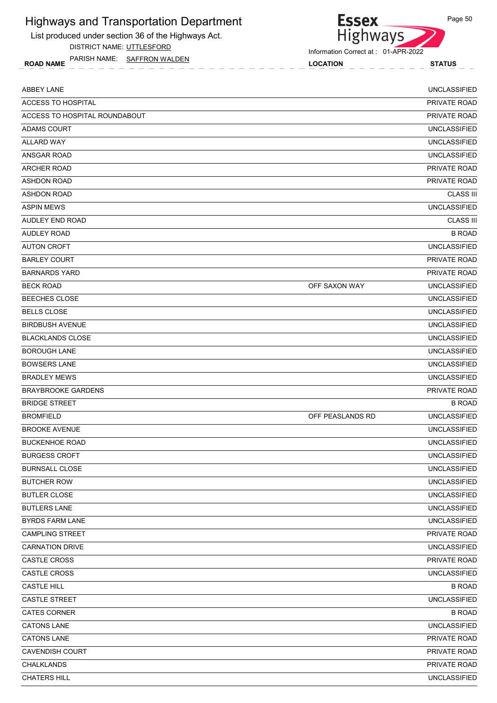List produced under section 36 of the Highways Act.

DISTRICT NAME: UTTLESFORD

ROAD NAME LOCATION STATUS PARISH NAME: SAFFRON WALDEN



Information Correct at : 01-APR-2022

| <b>ABBEY LANE</b>             |                  | <b>UNCLASSIFIED</b> |
|-------------------------------|------------------|---------------------|
| ACCESS TO HOSPITAL            |                  | PRIVATE ROAD        |
| ACCESS TO HOSPITAL ROUNDABOUT |                  | <b>PRIVATE ROAD</b> |
| ADAMS COURT                   |                  | <b>UNCLASSIFIED</b> |
| <b>ALLARD WAY</b>             |                  | <b>UNCLASSIFIED</b> |
| <b>ANSGAR ROAD</b>            |                  | <b>UNCLASSIFIED</b> |
| <b>ARCHER ROAD</b>            |                  | PRIVATE ROAD        |
| <b>ASHDON ROAD</b>            |                  | <b>PRIVATE ROAD</b> |
| <b>ASHDON ROAD</b>            |                  | <b>CLASS III</b>    |
| <b>ASPIN MEWS</b>             |                  | <b>UNCLASSIFIED</b> |
| AUDLEY END ROAD               |                  | <b>CLASS III</b>    |
| <b>AUDLEY ROAD</b>            |                  | <b>B ROAD</b>       |
| <b>AUTON CROFT</b>            |                  | <b>UNCLASSIFIED</b> |
| <b>BARLEY COURT</b>           |                  | <b>PRIVATE ROAD</b> |
| <b>BARNARDS YARD</b>          |                  | <b>PRIVATE ROAD</b> |
| <b>BECK ROAD</b>              | OFF SAXON WAY    | <b>UNCLASSIFIED</b> |
| <b>BEECHES CLOSE</b>          |                  | <b>UNCLASSIFIED</b> |
| <b>BELLS CLOSE</b>            |                  | <b>UNCLASSIFIED</b> |
| <b>BIRDBUSH AVENUE</b>        |                  | <b>UNCLASSIFIED</b> |
| <b>BLACKLANDS CLOSE</b>       |                  | <b>UNCLASSIFIED</b> |
| <b>BOROUGH LANE</b>           |                  | <b>UNCLASSIFIED</b> |
| <b>BOWSERS LANE</b>           |                  | <b>UNCLASSIFIED</b> |
| <b>BRADLEY MEWS</b>           |                  | <b>UNCLASSIFIED</b> |
| <b>BRAYBROOKE GARDENS</b>     |                  | PRIVATE ROAD        |
| <b>BRIDGE STREET</b>          |                  | <b>B ROAD</b>       |
| <b>BROMFIELD</b>              | OFF PEASLANDS RD | <b>UNCLASSIFIED</b> |
| <b>BROOKE AVENUE</b>          |                  | <b>UNCLASSIFIED</b> |
| <b>BUCKENHOE ROAD</b>         |                  | <b>UNCLASSIFIED</b> |
| <b>BURGESS CROFT</b>          |                  | <b>UNCLASSIFIED</b> |
| <b>BURNSALL CLOSE</b>         |                  | <b>UNCLASSIFIED</b> |
| <b>BUTCHER ROW</b>            |                  | <b>UNCLASSIFIED</b> |
| <b>BUTLER CLOSE</b>           |                  | <b>UNCLASSIFIED</b> |
| <b>BUTLERS LANE</b>           |                  | <b>UNCLASSIFIED</b> |
| <b>BYRDS FARM LANE</b>        |                  | <b>UNCLASSIFIED</b> |
| <b>CAMPLING STREET</b>        |                  | PRIVATE ROAD        |
| <b>CARNATION DRIVE</b>        |                  | UNCLASSIFIED        |
| <b>CASTLE CROSS</b>           |                  | PRIVATE ROAD        |
| CASTLE CROSS                  |                  | <b>UNCLASSIFIED</b> |
| <b>CASTLE HILL</b>            |                  | <b>B ROAD</b>       |
| CASTLE STREET                 |                  | <b>UNCLASSIFIED</b> |
| <b>CATES CORNER</b>           |                  | <b>B ROAD</b>       |
| <b>CATONS LANE</b>            |                  | <b>UNCLASSIFIED</b> |
| <b>CATONS LANE</b>            |                  | PRIVATE ROAD        |
| <b>CAVENDISH COURT</b>        |                  | PRIVATE ROAD        |
| <b>CHALKLANDS</b>             |                  | PRIVATE ROAD        |
| <b>CHATERS HILL</b>           |                  | <b>UNCLASSIFIED</b> |
|                               |                  |                     |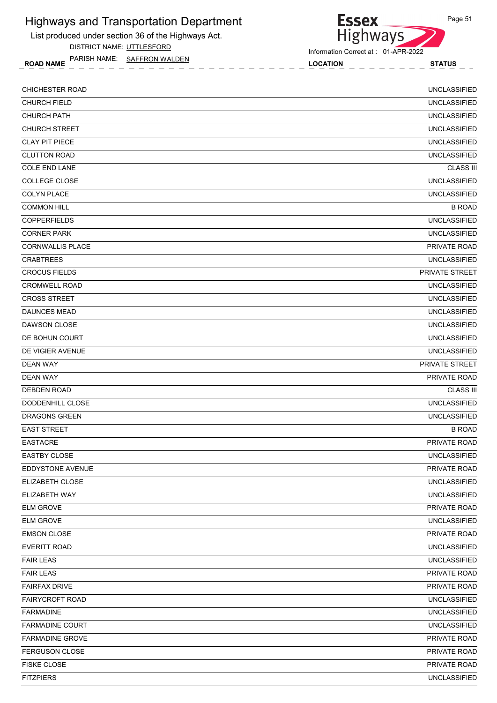List produced under section 36 of the Highways Act.

DISTRICT NAME: UTTLESFORD

ROAD NAME LOCATION STATUS PARISH NAME: SAFFRON WALDEN



Information Correct at : 01-APR-2022

**Essex** 

| <b>CHURCH FIELD</b><br><b>UNCLASSIFIED</b><br><b>CHURCH PATH</b><br><b>UNCLASSIFIED</b><br><b>CHURCH STREET</b><br><b>UNCLASSIFIED</b><br><b>UNCLASSIFIED</b><br><b>CLAY PIT PIECE</b><br><b>UNCLASSIFIED</b><br><b>CLUTTON ROAD</b><br><b>COLE END LANE</b><br><b>CLASS III</b><br><b>UNCLASSIFIED</b><br><b>COLLEGE CLOSE</b><br><b>COLYN PLACE</b><br><b>UNCLASSIFIED</b><br><b>COMMON HILL</b><br><b>B ROAD</b><br><b>UNCLASSIFIED</b><br><b>COPPERFIELDS</b><br><b>CORNER PARK</b><br><b>UNCLASSIFIED</b><br>PRIVATE ROAD<br><b>CORNWALLIS PLACE</b><br><b>UNCLASSIFIED</b><br><b>CRABTREES</b><br><b>CROCUS FIELDS</b><br>PRIVATE STREET<br><b>CROMWELL ROAD</b><br><b>UNCLASSIFIED</b><br><b>CROSS STREET</b><br><b>UNCLASSIFIED</b><br><b>UNCLASSIFIED</b><br><b>DAUNCES MEAD</b><br><b>DAWSON CLOSE</b><br><b>UNCLASSIFIED</b><br>DE BOHUN COURT<br><b>UNCLASSIFIED</b><br><b>UNCLASSIFIED</b><br>DE VIGIER AVENUE<br>PRIVATE STREET<br><b>DEAN WAY</b><br><b>DEAN WAY</b><br><b>PRIVATE ROAD</b><br><b>DEBDEN ROAD</b><br><b>CLASS III</b><br><b>UNCLASSIFIED</b><br>DODDENHILL CLOSE<br><b>DRAGONS GREEN</b><br><b>UNCLASSIFIED</b><br><b>EAST STREET</b><br><b>B ROAD</b><br><b>EASTACRE</b><br>PRIVATE ROAD<br><b>EASTBY CLOSE</b><br><b>UNCLASSIFIED</b><br>EDDYSTONE AVENUE<br>PRIVATE ROAD<br><b>UNCLASSIFIED</b><br>ELIZABETH CLOSE<br>ELIZABETH WAY<br><b>UNCLASSIFIED</b><br><b>ELM GROVE</b><br>PRIVATE ROAD<br><b>ELM GROVE</b><br><b>UNCLASSIFIED</b><br><b>EMSON CLOSE</b><br>PRIVATE ROAD<br><b>UNCLASSIFIED</b><br><b>EVERITT ROAD</b><br><b>FAIR LEAS</b><br><b>UNCLASSIFIED</b><br><b>FAIR LEAS</b><br>PRIVATE ROAD<br>PRIVATE ROAD<br><b>FAIRFAX DRIVE</b><br><b>UNCLASSIFIED</b><br><b>FAIRYCROFT ROAD</b><br><b>FARMADINE</b><br><b>UNCLASSIFIED</b><br><b>UNCLASSIFIED</b><br><b>FARMADINE COURT</b><br><b>FARMADINE GROVE</b><br>PRIVATE ROAD<br>FERGUSON CLOSE<br>PRIVATE ROAD<br><b>FISKE CLOSE</b><br>PRIVATE ROAD<br><b>FITZPIERS</b><br><b>UNCLASSIFIED</b> | <b>CHICHESTER ROAD</b> | <b>UNCLASSIFIED</b> |
|--------------------------------------------------------------------------------------------------------------------------------------------------------------------------------------------------------------------------------------------------------------------------------------------------------------------------------------------------------------------------------------------------------------------------------------------------------------------------------------------------------------------------------------------------------------------------------------------------------------------------------------------------------------------------------------------------------------------------------------------------------------------------------------------------------------------------------------------------------------------------------------------------------------------------------------------------------------------------------------------------------------------------------------------------------------------------------------------------------------------------------------------------------------------------------------------------------------------------------------------------------------------------------------------------------------------------------------------------------------------------------------------------------------------------------------------------------------------------------------------------------------------------------------------------------------------------------------------------------------------------------------------------------------------------------------------------------------------------------------------------------------------------------------------------------------------------------------------------------------------------------------------------------------------------------------------------------------------------------------------------|------------------------|---------------------|
|                                                                                                                                                                                                                                                                                                                                                                                                                                                                                                                                                                                                                                                                                                                                                                                                                                                                                                                                                                                                                                                                                                                                                                                                                                                                                                                                                                                                                                                                                                                                                                                                                                                                                                                                                                                                                                                                                                                                                                                                  |                        |                     |
|                                                                                                                                                                                                                                                                                                                                                                                                                                                                                                                                                                                                                                                                                                                                                                                                                                                                                                                                                                                                                                                                                                                                                                                                                                                                                                                                                                                                                                                                                                                                                                                                                                                                                                                                                                                                                                                                                                                                                                                                  |                        |                     |
|                                                                                                                                                                                                                                                                                                                                                                                                                                                                                                                                                                                                                                                                                                                                                                                                                                                                                                                                                                                                                                                                                                                                                                                                                                                                                                                                                                                                                                                                                                                                                                                                                                                                                                                                                                                                                                                                                                                                                                                                  |                        |                     |
|                                                                                                                                                                                                                                                                                                                                                                                                                                                                                                                                                                                                                                                                                                                                                                                                                                                                                                                                                                                                                                                                                                                                                                                                                                                                                                                                                                                                                                                                                                                                                                                                                                                                                                                                                                                                                                                                                                                                                                                                  |                        |                     |
|                                                                                                                                                                                                                                                                                                                                                                                                                                                                                                                                                                                                                                                                                                                                                                                                                                                                                                                                                                                                                                                                                                                                                                                                                                                                                                                                                                                                                                                                                                                                                                                                                                                                                                                                                                                                                                                                                                                                                                                                  |                        |                     |
|                                                                                                                                                                                                                                                                                                                                                                                                                                                                                                                                                                                                                                                                                                                                                                                                                                                                                                                                                                                                                                                                                                                                                                                                                                                                                                                                                                                                                                                                                                                                                                                                                                                                                                                                                                                                                                                                                                                                                                                                  |                        |                     |
|                                                                                                                                                                                                                                                                                                                                                                                                                                                                                                                                                                                                                                                                                                                                                                                                                                                                                                                                                                                                                                                                                                                                                                                                                                                                                                                                                                                                                                                                                                                                                                                                                                                                                                                                                                                                                                                                                                                                                                                                  |                        |                     |
|                                                                                                                                                                                                                                                                                                                                                                                                                                                                                                                                                                                                                                                                                                                                                                                                                                                                                                                                                                                                                                                                                                                                                                                                                                                                                                                                                                                                                                                                                                                                                                                                                                                                                                                                                                                                                                                                                                                                                                                                  |                        |                     |
|                                                                                                                                                                                                                                                                                                                                                                                                                                                                                                                                                                                                                                                                                                                                                                                                                                                                                                                                                                                                                                                                                                                                                                                                                                                                                                                                                                                                                                                                                                                                                                                                                                                                                                                                                                                                                                                                                                                                                                                                  |                        |                     |
|                                                                                                                                                                                                                                                                                                                                                                                                                                                                                                                                                                                                                                                                                                                                                                                                                                                                                                                                                                                                                                                                                                                                                                                                                                                                                                                                                                                                                                                                                                                                                                                                                                                                                                                                                                                                                                                                                                                                                                                                  |                        |                     |
|                                                                                                                                                                                                                                                                                                                                                                                                                                                                                                                                                                                                                                                                                                                                                                                                                                                                                                                                                                                                                                                                                                                                                                                                                                                                                                                                                                                                                                                                                                                                                                                                                                                                                                                                                                                                                                                                                                                                                                                                  |                        |                     |
|                                                                                                                                                                                                                                                                                                                                                                                                                                                                                                                                                                                                                                                                                                                                                                                                                                                                                                                                                                                                                                                                                                                                                                                                                                                                                                                                                                                                                                                                                                                                                                                                                                                                                                                                                                                                                                                                                                                                                                                                  |                        |                     |
|                                                                                                                                                                                                                                                                                                                                                                                                                                                                                                                                                                                                                                                                                                                                                                                                                                                                                                                                                                                                                                                                                                                                                                                                                                                                                                                                                                                                                                                                                                                                                                                                                                                                                                                                                                                                                                                                                                                                                                                                  |                        |                     |
|                                                                                                                                                                                                                                                                                                                                                                                                                                                                                                                                                                                                                                                                                                                                                                                                                                                                                                                                                                                                                                                                                                                                                                                                                                                                                                                                                                                                                                                                                                                                                                                                                                                                                                                                                                                                                                                                                                                                                                                                  |                        |                     |
|                                                                                                                                                                                                                                                                                                                                                                                                                                                                                                                                                                                                                                                                                                                                                                                                                                                                                                                                                                                                                                                                                                                                                                                                                                                                                                                                                                                                                                                                                                                                                                                                                                                                                                                                                                                                                                                                                                                                                                                                  |                        |                     |
|                                                                                                                                                                                                                                                                                                                                                                                                                                                                                                                                                                                                                                                                                                                                                                                                                                                                                                                                                                                                                                                                                                                                                                                                                                                                                                                                                                                                                                                                                                                                                                                                                                                                                                                                                                                                                                                                                                                                                                                                  |                        |                     |
|                                                                                                                                                                                                                                                                                                                                                                                                                                                                                                                                                                                                                                                                                                                                                                                                                                                                                                                                                                                                                                                                                                                                                                                                                                                                                                                                                                                                                                                                                                                                                                                                                                                                                                                                                                                                                                                                                                                                                                                                  |                        |                     |
|                                                                                                                                                                                                                                                                                                                                                                                                                                                                                                                                                                                                                                                                                                                                                                                                                                                                                                                                                                                                                                                                                                                                                                                                                                                                                                                                                                                                                                                                                                                                                                                                                                                                                                                                                                                                                                                                                                                                                                                                  |                        |                     |
|                                                                                                                                                                                                                                                                                                                                                                                                                                                                                                                                                                                                                                                                                                                                                                                                                                                                                                                                                                                                                                                                                                                                                                                                                                                                                                                                                                                                                                                                                                                                                                                                                                                                                                                                                                                                                                                                                                                                                                                                  |                        |                     |
|                                                                                                                                                                                                                                                                                                                                                                                                                                                                                                                                                                                                                                                                                                                                                                                                                                                                                                                                                                                                                                                                                                                                                                                                                                                                                                                                                                                                                                                                                                                                                                                                                                                                                                                                                                                                                                                                                                                                                                                                  |                        |                     |
|                                                                                                                                                                                                                                                                                                                                                                                                                                                                                                                                                                                                                                                                                                                                                                                                                                                                                                                                                                                                                                                                                                                                                                                                                                                                                                                                                                                                                                                                                                                                                                                                                                                                                                                                                                                                                                                                                                                                                                                                  |                        |                     |
|                                                                                                                                                                                                                                                                                                                                                                                                                                                                                                                                                                                                                                                                                                                                                                                                                                                                                                                                                                                                                                                                                                                                                                                                                                                                                                                                                                                                                                                                                                                                                                                                                                                                                                                                                                                                                                                                                                                                                                                                  |                        |                     |
|                                                                                                                                                                                                                                                                                                                                                                                                                                                                                                                                                                                                                                                                                                                                                                                                                                                                                                                                                                                                                                                                                                                                                                                                                                                                                                                                                                                                                                                                                                                                                                                                                                                                                                                                                                                                                                                                                                                                                                                                  |                        |                     |
|                                                                                                                                                                                                                                                                                                                                                                                                                                                                                                                                                                                                                                                                                                                                                                                                                                                                                                                                                                                                                                                                                                                                                                                                                                                                                                                                                                                                                                                                                                                                                                                                                                                                                                                                                                                                                                                                                                                                                                                                  |                        |                     |
|                                                                                                                                                                                                                                                                                                                                                                                                                                                                                                                                                                                                                                                                                                                                                                                                                                                                                                                                                                                                                                                                                                                                                                                                                                                                                                                                                                                                                                                                                                                                                                                                                                                                                                                                                                                                                                                                                                                                                                                                  |                        |                     |
|                                                                                                                                                                                                                                                                                                                                                                                                                                                                                                                                                                                                                                                                                                                                                                                                                                                                                                                                                                                                                                                                                                                                                                                                                                                                                                                                                                                                                                                                                                                                                                                                                                                                                                                                                                                                                                                                                                                                                                                                  |                        |                     |
|                                                                                                                                                                                                                                                                                                                                                                                                                                                                                                                                                                                                                                                                                                                                                                                                                                                                                                                                                                                                                                                                                                                                                                                                                                                                                                                                                                                                                                                                                                                                                                                                                                                                                                                                                                                                                                                                                                                                                                                                  |                        |                     |
|                                                                                                                                                                                                                                                                                                                                                                                                                                                                                                                                                                                                                                                                                                                                                                                                                                                                                                                                                                                                                                                                                                                                                                                                                                                                                                                                                                                                                                                                                                                                                                                                                                                                                                                                                                                                                                                                                                                                                                                                  |                        |                     |
|                                                                                                                                                                                                                                                                                                                                                                                                                                                                                                                                                                                                                                                                                                                                                                                                                                                                                                                                                                                                                                                                                                                                                                                                                                                                                                                                                                                                                                                                                                                                                                                                                                                                                                                                                                                                                                                                                                                                                                                                  |                        |                     |
|                                                                                                                                                                                                                                                                                                                                                                                                                                                                                                                                                                                                                                                                                                                                                                                                                                                                                                                                                                                                                                                                                                                                                                                                                                                                                                                                                                                                                                                                                                                                                                                                                                                                                                                                                                                                                                                                                                                                                                                                  |                        |                     |
|                                                                                                                                                                                                                                                                                                                                                                                                                                                                                                                                                                                                                                                                                                                                                                                                                                                                                                                                                                                                                                                                                                                                                                                                                                                                                                                                                                                                                                                                                                                                                                                                                                                                                                                                                                                                                                                                                                                                                                                                  |                        |                     |
|                                                                                                                                                                                                                                                                                                                                                                                                                                                                                                                                                                                                                                                                                                                                                                                                                                                                                                                                                                                                                                                                                                                                                                                                                                                                                                                                                                                                                                                                                                                                                                                                                                                                                                                                                                                                                                                                                                                                                                                                  |                        |                     |
|                                                                                                                                                                                                                                                                                                                                                                                                                                                                                                                                                                                                                                                                                                                                                                                                                                                                                                                                                                                                                                                                                                                                                                                                                                                                                                                                                                                                                                                                                                                                                                                                                                                                                                                                                                                                                                                                                                                                                                                                  |                        |                     |
|                                                                                                                                                                                                                                                                                                                                                                                                                                                                                                                                                                                                                                                                                                                                                                                                                                                                                                                                                                                                                                                                                                                                                                                                                                                                                                                                                                                                                                                                                                                                                                                                                                                                                                                                                                                                                                                                                                                                                                                                  |                        |                     |
|                                                                                                                                                                                                                                                                                                                                                                                                                                                                                                                                                                                                                                                                                                                                                                                                                                                                                                                                                                                                                                                                                                                                                                                                                                                                                                                                                                                                                                                                                                                                                                                                                                                                                                                                                                                                                                                                                                                                                                                                  |                        |                     |
|                                                                                                                                                                                                                                                                                                                                                                                                                                                                                                                                                                                                                                                                                                                                                                                                                                                                                                                                                                                                                                                                                                                                                                                                                                                                                                                                                                                                                                                                                                                                                                                                                                                                                                                                                                                                                                                                                                                                                                                                  |                        |                     |
|                                                                                                                                                                                                                                                                                                                                                                                                                                                                                                                                                                                                                                                                                                                                                                                                                                                                                                                                                                                                                                                                                                                                                                                                                                                                                                                                                                                                                                                                                                                                                                                                                                                                                                                                                                                                                                                                                                                                                                                                  |                        |                     |
|                                                                                                                                                                                                                                                                                                                                                                                                                                                                                                                                                                                                                                                                                                                                                                                                                                                                                                                                                                                                                                                                                                                                                                                                                                                                                                                                                                                                                                                                                                                                                                                                                                                                                                                                                                                                                                                                                                                                                                                                  |                        |                     |
|                                                                                                                                                                                                                                                                                                                                                                                                                                                                                                                                                                                                                                                                                                                                                                                                                                                                                                                                                                                                                                                                                                                                                                                                                                                                                                                                                                                                                                                                                                                                                                                                                                                                                                                                                                                                                                                                                                                                                                                                  |                        |                     |
|                                                                                                                                                                                                                                                                                                                                                                                                                                                                                                                                                                                                                                                                                                                                                                                                                                                                                                                                                                                                                                                                                                                                                                                                                                                                                                                                                                                                                                                                                                                                                                                                                                                                                                                                                                                                                                                                                                                                                                                                  |                        |                     |
|                                                                                                                                                                                                                                                                                                                                                                                                                                                                                                                                                                                                                                                                                                                                                                                                                                                                                                                                                                                                                                                                                                                                                                                                                                                                                                                                                                                                                                                                                                                                                                                                                                                                                                                                                                                                                                                                                                                                                                                                  |                        |                     |
|                                                                                                                                                                                                                                                                                                                                                                                                                                                                                                                                                                                                                                                                                                                                                                                                                                                                                                                                                                                                                                                                                                                                                                                                                                                                                                                                                                                                                                                                                                                                                                                                                                                                                                                                                                                                                                                                                                                                                                                                  |                        |                     |
|                                                                                                                                                                                                                                                                                                                                                                                                                                                                                                                                                                                                                                                                                                                                                                                                                                                                                                                                                                                                                                                                                                                                                                                                                                                                                                                                                                                                                                                                                                                                                                                                                                                                                                                                                                                                                                                                                                                                                                                                  |                        |                     |
|                                                                                                                                                                                                                                                                                                                                                                                                                                                                                                                                                                                                                                                                                                                                                                                                                                                                                                                                                                                                                                                                                                                                                                                                                                                                                                                                                                                                                                                                                                                                                                                                                                                                                                                                                                                                                                                                                                                                                                                                  |                        |                     |
|                                                                                                                                                                                                                                                                                                                                                                                                                                                                                                                                                                                                                                                                                                                                                                                                                                                                                                                                                                                                                                                                                                                                                                                                                                                                                                                                                                                                                                                                                                                                                                                                                                                                                                                                                                                                                                                                                                                                                                                                  |                        |                     |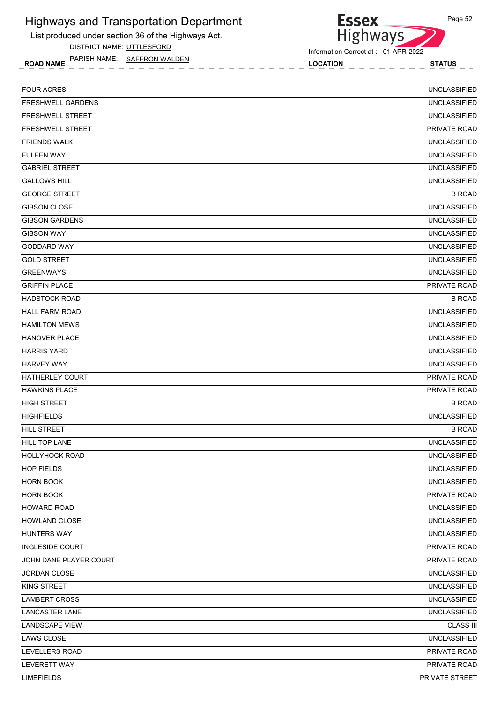List produced under section 36 of the Highways Act.

DISTRICT NAME: UTTLESFORD

ROAD NAME LOCATION STATUS PARISH NAME: SAFFRON WALDEN



**Essex** 

| <b>LIMEFIELDS</b>        | PRIVATE STREET      |
|--------------------------|---------------------|
| LEVERETT WAY             | PRIVATE ROAD        |
| LEVELLERS ROAD           | PRIVATE ROAD        |
| LAWS CLOSE               | <b>UNCLASSIFIED</b> |
| <b>LANDSCAPE VIEW</b>    | <b>CLASS III</b>    |
| LANCASTER LANE           | <b>UNCLASSIFIED</b> |
| <b>LAMBERT CROSS</b>     | <b>UNCLASSIFIED</b> |
| KING STREET              | <b>UNCLASSIFIED</b> |
| JORDAN CLOSE             | <b>UNCLASSIFIED</b> |
| JOHN DANE PLAYER COURT   | PRIVATE ROAD        |
| <b>INGLESIDE COURT</b>   | PRIVATE ROAD        |
| <b>HUNTERS WAY</b>       | <b>UNCLASSIFIED</b> |
| HOWLAND CLOSE            | <b>UNCLASSIFIED</b> |
| <b>HOWARD ROAD</b>       | <b>UNCLASSIFIED</b> |
| <b>HORN BOOK</b>         | PRIVATE ROAD        |
| <b>HORN BOOK</b>         | <b>UNCLASSIFIED</b> |
| <b>HOP FIELDS</b>        | <b>UNCLASSIFIED</b> |
| <b>HOLLYHOCK ROAD</b>    | <b>UNCLASSIFIED</b> |
| HILL TOP LANE            | <b>UNCLASSIFIED</b> |
| <b>HILL STREET</b>       | <b>B ROAD</b>       |
| <b>HIGHFIELDS</b>        | <b>UNCLASSIFIED</b> |
| <b>HIGH STREET</b>       | <b>B ROAD</b>       |
| <b>HAWKINS PLACE</b>     | PRIVATE ROAD        |
| <b>HATHERLEY COURT</b>   | <b>PRIVATE ROAD</b> |
| <b>HARVEY WAY</b>        | <b>UNCLASSIFIED</b> |
| <b>HARRIS YARD</b>       | <b>UNCLASSIFIED</b> |
| <b>HANOVER PLACE</b>     | <b>UNCLASSIFIED</b> |
| <b>HAMILTON MEWS</b>     | <b>UNCLASSIFIED</b> |
| <b>HALL FARM ROAD</b>    | <b>UNCLASSIFIED</b> |
| <b>HADSTOCK ROAD</b>     | <b>B ROAD</b>       |
| <b>GRIFFIN PLACE</b>     | PRIVATE ROAD        |
| <b>GREENWAYS</b>         | <b>UNCLASSIFIED</b> |
| <b>GOLD STREET</b>       | <b>UNCLASSIFIED</b> |
| GODDARD WAY              | <b>UNCLASSIFIED</b> |
| <b>GIBSON WAY</b>        | <b>UNCLASSIFIED</b> |
| <b>GIBSON GARDENS</b>    | <b>UNCLASSIFIED</b> |
| <b>GIBSON CLOSE</b>      | <b>UNCLASSIFIED</b> |
| <b>GEORGE STREET</b>     | <b>B ROAD</b>       |
| <b>GALLOWS HILL</b>      | <b>UNCLASSIFIED</b> |
| <b>GABRIEL STREET</b>    | <b>UNCLASSIFIED</b> |
| <b>FULFEN WAY</b>        | <b>UNCLASSIFIED</b> |
| <b>FRIENDS WALK</b>      | <b>UNCLASSIFIED</b> |
| <b>FRESHWELL STREET</b>  | PRIVATE ROAD        |
| <b>FRESHWELL STREET</b>  | <b>UNCLASSIFIED</b> |
| <b>FRESHWELL GARDENS</b> | <b>UNCLASSIFIED</b> |
| <b>FOUR ACRES</b>        | <b>UNCLASSIFIED</b> |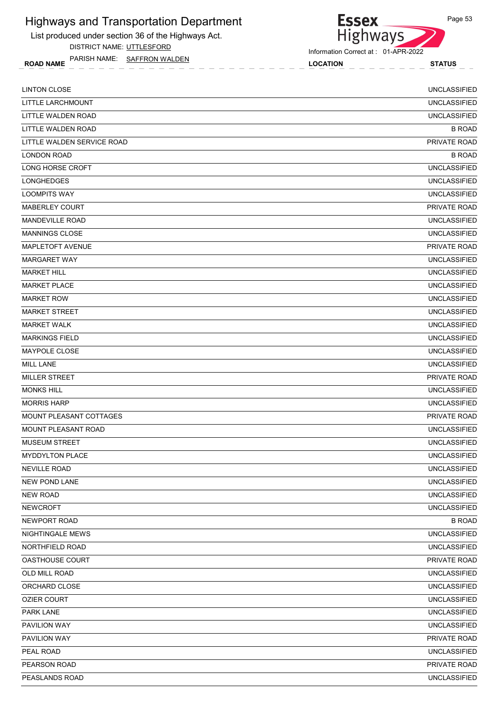List produced under section 36 of the Highways Act.

DISTRICT NAME: UTTLESFORD

ROAD NAME LOCATION STATUS PARISH NAME: SAFFRON WALDEN

Highways

Information Correct at : 01-APR-2022

**Essex** 

| <b>LINTON CLOSE</b>            | <b>UNCLASSIFIED</b> |
|--------------------------------|---------------------|
| LITTLE LARCHMOUNT              | <b>UNCLASSIFIED</b> |
| LITTLE WALDEN ROAD             | <b>UNCLASSIFIED</b> |
| LITTLE WALDEN ROAD             | <b>B ROAD</b>       |
| LITTLE WALDEN SERVICE ROAD     | PRIVATE ROAD        |
| <b>LONDON ROAD</b>             | <b>B ROAD</b>       |
| LONG HORSE CROFT               | <b>UNCLASSIFIED</b> |
| <b>LONGHEDGES</b>              | <b>UNCLASSIFIED</b> |
| <b>LOOMPITS WAY</b>            | <b>UNCLASSIFIED</b> |
| <b>MABERLEY COURT</b>          | PRIVATE ROAD        |
| <b>MANDEVILLE ROAD</b>         | <b>UNCLASSIFIED</b> |
| <b>MANNINGS CLOSE</b>          | <b>UNCLASSIFIED</b> |
| MAPLETOFT AVENUE               | PRIVATE ROAD        |
| <b>MARGARET WAY</b>            | <b>UNCLASSIFIED</b> |
| <b>MARKET HILL</b>             | <b>UNCLASSIFIED</b> |
| MARKET PLACE                   | <b>UNCLASSIFIED</b> |
| <b>MARKET ROW</b>              | <b>UNCLASSIFIED</b> |
| <b>MARKET STREET</b>           | <b>UNCLASSIFIED</b> |
| <b>MARKET WALK</b>             | <b>UNCLASSIFIED</b> |
| <b>MARKINGS FIELD</b>          | <b>UNCLASSIFIED</b> |
| MAYPOLE CLOSE                  | <b>UNCLASSIFIED</b> |
| <b>MILL LANE</b>               | <b>UNCLASSIFIED</b> |
| <b>MILLER STREET</b>           | <b>PRIVATE ROAD</b> |
| <b>MONKS HILL</b>              | <b>UNCLASSIFIED</b> |
| <b>MORRIS HARP</b>             | <b>UNCLASSIFIED</b> |
| <b>MOUNT PLEASANT COTTAGES</b> | <b>PRIVATE ROAD</b> |
| MOUNT PLEASANT ROAD            | <b>UNCLASSIFIED</b> |
| <b>MUSEUM STREET</b>           | <b>UNCLASSIFIED</b> |
| <b>MYDDYLTON PLACE</b>         | <b>UNCLASSIFIED</b> |
| <b>NEVILLE ROAD</b>            | <b>UNCLASSIFIED</b> |
| <b>NEW POND LANE</b>           | <b>UNCLASSIFIED</b> |
| <b>NEW ROAD</b>                | <b>UNCLASSIFIED</b> |
| <b>NEWCROFT</b>                | <b>UNCLASSIFIED</b> |
| NEWPORT ROAD                   | <b>B ROAD</b>       |
| NIGHTINGALE MEWS               | <b>UNCLASSIFIED</b> |
| NORTHFIELD ROAD                | <b>UNCLASSIFIED</b> |
| OASTHOUSE COURT                | PRIVATE ROAD        |
| OLD MILL ROAD                  | <b>UNCLASSIFIED</b> |
| ORCHARD CLOSE                  | <b>UNCLASSIFIED</b> |
| <b>OZIER COURT</b>             | <b>UNCLASSIFIED</b> |
| PARK LANE                      | <b>UNCLASSIFIED</b> |
| PAVILION WAY                   | <b>UNCLASSIFIED</b> |
| PAVILION WAY                   | PRIVATE ROAD        |
| PEAL ROAD                      | <b>UNCLASSIFIED</b> |
| PEARSON ROAD                   | PRIVATE ROAD        |
| PEASLANDS ROAD                 | <b>UNCLASSIFIED</b> |
|                                |                     |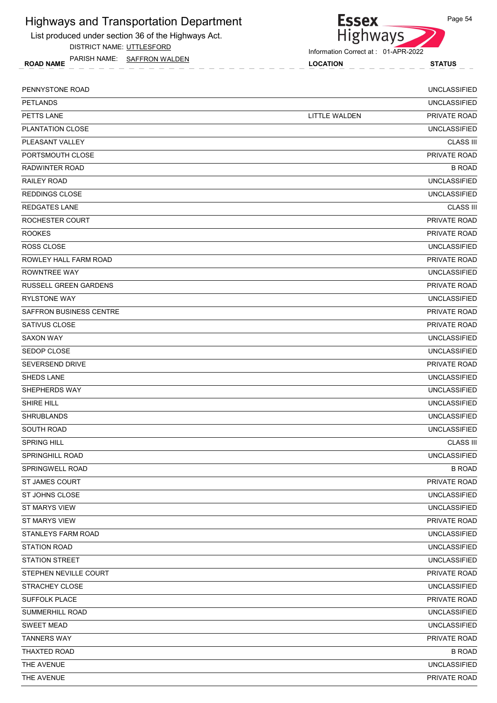List produced under section 36 of the Highways Act.

DISTRICT NAME: UTTLESFORD

ROAD NAME LOCATION STATUS PARISH NAME: SAFFRON WALDEN



Information Correct at : 01-APR-2022

| PENNYSTONE ROAD              |               | <b>UNCLASSIFIED</b> |
|------------------------------|---------------|---------------------|
| <b>PETLANDS</b>              |               | <b>UNCLASSIFIED</b> |
| PETTS LANE                   | LITTLE WALDEN | <b>PRIVATE ROAD</b> |
| PLANTATION CLOSE             |               | <b>UNCLASSIFIED</b> |
| PLEASANT VALLEY              |               | <b>CLASS III</b>    |
| PORTSMOUTH CLOSE             |               | PRIVATE ROAD        |
| RADWINTER ROAD               |               | <b>B ROAD</b>       |
| RAILEY ROAD                  |               | <b>UNCLASSIFIED</b> |
| <b>REDDINGS CLOSE</b>        |               | <b>UNCLASSIFIED</b> |
| <b>REDGATES LANE</b>         |               | <b>CLASS III</b>    |
| ROCHESTER COURT              |               | PRIVATE ROAD        |
| <b>ROOKES</b>                |               | PRIVATE ROAD        |
| <b>ROSS CLOSE</b>            |               | <b>UNCLASSIFIED</b> |
| ROWLEY HALL FARM ROAD        |               | <b>PRIVATE ROAD</b> |
| ROWNTREE WAY                 |               | <b>UNCLASSIFIED</b> |
| <b>RUSSELL GREEN GARDENS</b> |               | PRIVATE ROAD        |
| <b>RYLSTONE WAY</b>          |               | <b>UNCLASSIFIED</b> |
| SAFFRON BUSINESS CENTRE      |               | PRIVATE ROAD        |
| SATIVUS CLOSE                |               | PRIVATE ROAD        |
| <b>SAXON WAY</b>             |               | <b>UNCLASSIFIED</b> |
| <b>SEDOP CLOSE</b>           |               | <b>UNCLASSIFIED</b> |
| <b>SEVERSEND DRIVE</b>       |               | PRIVATE ROAD        |
| SHEDS LANE                   |               | <b>UNCLASSIFIED</b> |
| SHEPHERDS WAY                |               | <b>UNCLASSIFIED</b> |
| <b>SHIRE HILL</b>            |               | <b>UNCLASSIFIED</b> |
| <b>SHRUBLANDS</b>            |               | <b>UNCLASSIFIED</b> |
| SOUTH ROAD                   |               | <b>UNCLASSIFIED</b> |
| <b>SPRING HILL</b>           |               | <b>CLASS III</b>    |
| <b>SPRINGHILL ROAD</b>       |               | <b>UNCLASSIFIED</b> |
| SPRINGWELL ROAD              |               | <b>B ROAD</b>       |
| ST JAMES COURT               |               | PRIVATE ROAD        |
| ST JOHNS CLOSE               |               | <b>UNCLASSIFIED</b> |
| <b>ST MARYS VIEW</b>         |               | <b>UNCLASSIFIED</b> |
| ST MARYS VIEW                |               | PRIVATE ROAD        |
| STANLEYS FARM ROAD           |               | <b>UNCLASSIFIED</b> |
| <b>STATION ROAD</b>          |               | UNCLASSIFIED        |
| <b>STATION STREET</b>        |               | <b>UNCLASSIFIED</b> |
| STEPHEN NEVILLE COURT        |               | PRIVATE ROAD        |
| STRACHEY CLOSE               |               | <b>UNCLASSIFIED</b> |
| SUFFOLK PLACE                |               | PRIVATE ROAD        |
| SUMMERHILL ROAD              |               | UNCLASSIFIED        |
| <b>SWEET MEAD</b>            |               | <b>UNCLASSIFIED</b> |
| <b>TANNERS WAY</b>           |               | PRIVATE ROAD        |
| THAXTED ROAD                 |               | <b>B ROAD</b>       |
| THE AVENUE                   |               | <b>UNCLASSIFIED</b> |
| THE AVENUE                   |               | PRIVATE ROAD        |
|                              |               |                     |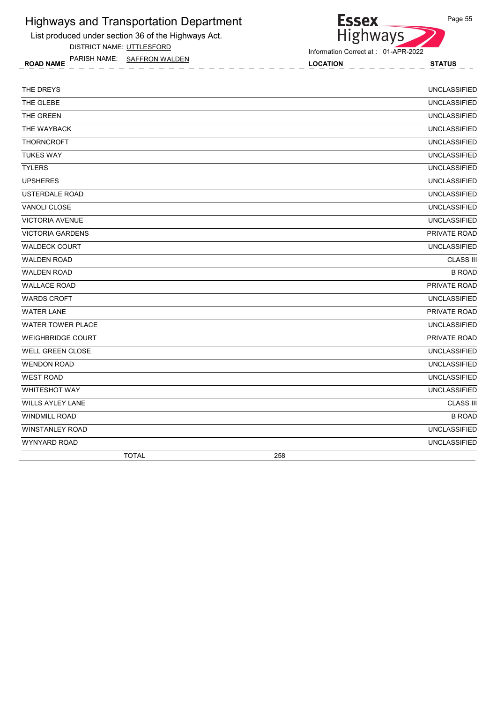List produced under section 36 of the Highways Act.

DISTRICT NAME: UTTLESFORD

ROAD NAME LOCATION STATUS PARISH NAME: SAFFRON WALDEN

Highways

**Essex** 

| THE DREYS                |              |     | <b>UNCLASSIFIED</b> |
|--------------------------|--------------|-----|---------------------|
| THE GLEBE                |              |     | <b>UNCLASSIFIED</b> |
| THE GREEN                |              |     | <b>UNCLASSIFIED</b> |
| THE WAYBACK              |              |     | <b>UNCLASSIFIED</b> |
| <b>THORNCROFT</b>        |              |     | <b>UNCLASSIFIED</b> |
| <b>TUKES WAY</b>         |              |     | <b>UNCLASSIFIED</b> |
| <b>TYLERS</b>            |              |     | <b>UNCLASSIFIED</b> |
| <b>UPSHERES</b>          |              |     | <b>UNCLASSIFIED</b> |
| <b>USTERDALE ROAD</b>    |              |     | <b>UNCLASSIFIED</b> |
| <b>VANOLI CLOSE</b>      |              |     | <b>UNCLASSIFIED</b> |
| <b>VICTORIA AVENUE</b>   |              |     | <b>UNCLASSIFIED</b> |
| <b>VICTORIA GARDENS</b>  |              |     | PRIVATE ROAD        |
| <b>WALDECK COURT</b>     |              |     | <b>UNCLASSIFIED</b> |
| <b>WALDEN ROAD</b>       |              |     | <b>CLASS III</b>    |
| <b>WALDEN ROAD</b>       |              |     | <b>B ROAD</b>       |
| <b>WALLACE ROAD</b>      |              |     | PRIVATE ROAD        |
| <b>WARDS CROFT</b>       |              |     | <b>UNCLASSIFIED</b> |
| <b>WATER LANE</b>        |              |     | PRIVATE ROAD        |
| <b>WATER TOWER PLACE</b> |              |     | <b>UNCLASSIFIED</b> |
| <b>WEIGHBRIDGE COURT</b> |              |     | PRIVATE ROAD        |
| <b>WELL GREEN CLOSE</b>  |              |     | <b>UNCLASSIFIED</b> |
| <b>WENDON ROAD</b>       |              |     | <b>UNCLASSIFIED</b> |
| <b>WEST ROAD</b>         |              |     | <b>UNCLASSIFIED</b> |
| <b>WHITESHOT WAY</b>     |              |     | <b>UNCLASSIFIED</b> |
| <b>WILLS AYLEY LANE</b>  |              |     | <b>CLASS III</b>    |
| <b>WINDMILL ROAD</b>     |              |     | <b>B ROAD</b>       |
| <b>WINSTANLEY ROAD</b>   |              |     | <b>UNCLASSIFIED</b> |
| <b>WYNYARD ROAD</b>      |              |     | <b>UNCLASSIFIED</b> |
|                          | <b>TOTAL</b> | 258 |                     |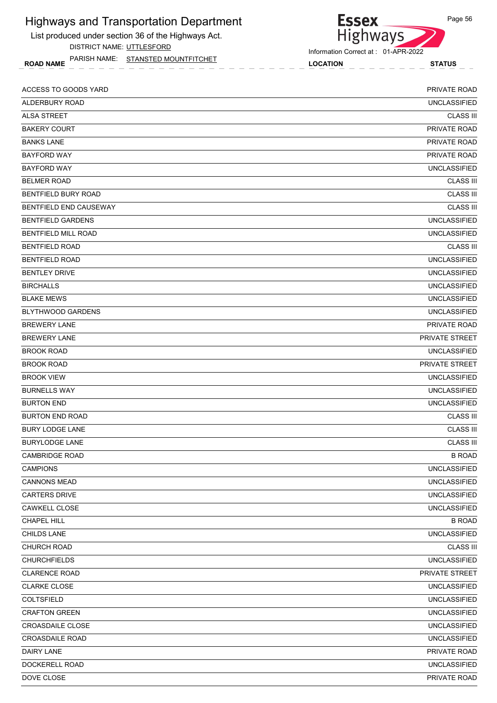List produced under section 36 of the Highways Act. DISTRICT NAME: UTTLESFORD

ROAD NAME LOCATION STATUS PARISH NAME: STANSTED MOUNTFITCHET



Information Correct at : 01-APR-2022

| ACCESS TO GOODS YARD       | PRIVATE ROAD        |
|----------------------------|---------------------|
| ALDERBURY ROAD             | <b>UNCLASSIFIED</b> |
| <b>ALSA STREET</b>         | <b>CLASS III</b>    |
| <b>BAKERY COURT</b>        | PRIVATE ROAD        |
| <b>BANKS LANE</b>          | PRIVATE ROAD        |
| <b>BAYFORD WAY</b>         | PRIVATE ROAD        |
| <b>BAYFORD WAY</b>         | <b>UNCLASSIFIED</b> |
| <b>BELMER ROAD</b>         | <b>CLASS III</b>    |
| <b>BENTFIELD BURY ROAD</b> | <b>CLASS III</b>    |
| BENTFIELD END CAUSEWAY     | <b>CLASS III</b>    |
| <b>BENTFIELD GARDENS</b>   | <b>UNCLASSIFIED</b> |
| <b>BENTFIELD MILL ROAD</b> | <b>UNCLASSIFIED</b> |
| <b>BENTFIELD ROAD</b>      | <b>CLASS III</b>    |
| <b>BENTFIELD ROAD</b>      | <b>UNCLASSIFIED</b> |
| <b>BENTLEY DRIVE</b>       | <b>UNCLASSIFIED</b> |
| <b>BIRCHALLS</b>           | <b>UNCLASSIFIED</b> |
| <b>BLAKE MEWS</b>          | <b>UNCLASSIFIED</b> |
| <b>BLYTHWOOD GARDENS</b>   | <b>UNCLASSIFIED</b> |
| <b>BREWERY LANE</b>        | <b>PRIVATE ROAD</b> |
| <b>BREWERY LANE</b>        | PRIVATE STREET      |
| <b>BROOK ROAD</b>          | <b>UNCLASSIFIED</b> |
| <b>BROOK ROAD</b>          | PRIVATE STREET      |
| <b>BROOK VIEW</b>          | <b>UNCLASSIFIED</b> |
| <b>BURNELLS WAY</b>        | <b>UNCLASSIFIED</b> |
| <b>BURTON END</b>          | <b>UNCLASSIFIED</b> |
| <b>BURTON END ROAD</b>     | <b>CLASS III</b>    |
| <b>BURY LODGE LANE</b>     | <b>CLASS III</b>    |
| <b>BURYLODGE LANE</b>      | <b>CLASS III</b>    |
| <b>CAMBRIDGE ROAD</b>      | <b>B ROAD</b>       |
| <b>CAMPIONS</b>            | <b>UNCLASSIFIED</b> |
| <b>CANNONS MEAD</b>        | <b>UNCLASSIFIED</b> |
| <b>CARTERS DRIVE</b>       | <b>UNCLASSIFIED</b> |
| CAWKELL CLOSE              | <b>UNCLASSIFIED</b> |
| CHAPEL HILL                | <b>B ROAD</b>       |
| CHILDS LANE                | <b>UNCLASSIFIED</b> |
| CHURCH ROAD                | <b>CLASS III</b>    |
| <b>CHURCHFIELDS</b>        | <b>UNCLASSIFIED</b> |
| <b>CLARENCE ROAD</b>       | PRIVATE STREET      |
| <b>CLARKE CLOSE</b>        | <b>UNCLASSIFIED</b> |
| <b>COLTSFIELD</b>          | <b>UNCLASSIFIED</b> |
| <b>CRAFTON GREEN</b>       | <b>UNCLASSIFIED</b> |
| <b>CROASDAILE CLOSE</b>    | <b>UNCLASSIFIED</b> |
| <b>CROASDAILE ROAD</b>     | <b>UNCLASSIFIED</b> |
| DAIRY LANE                 | PRIVATE ROAD        |
| DOCKERELL ROAD             | UNCLASSIFIED        |
| DOVE CLOSE                 | PRIVATE ROAD        |
|                            |                     |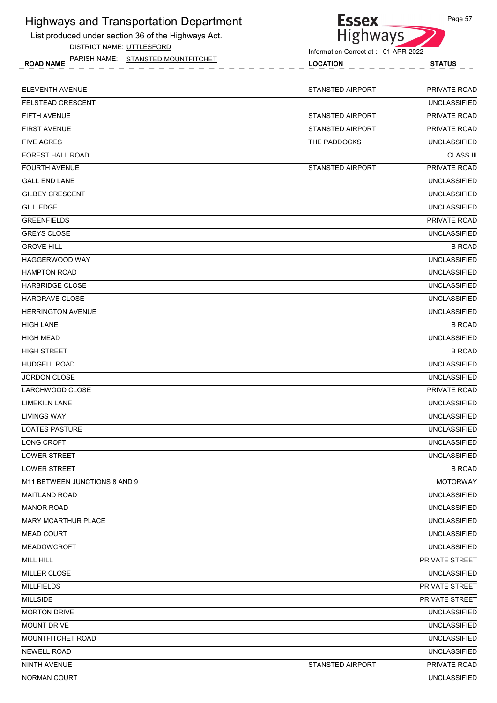List produced under section 36 of the Highways Act. DISTRICT NAME: UTTLESFORD



| DISTINGT IVAIVIL. UT ILLSI OND<br>PARISH NAME: STANSTED MOUNTFITCHET<br><b>ROAD NAME</b> | Information Correct at: 01-APR-2022<br><b>LOCATION</b> | <b>STATUS</b>       |
|------------------------------------------------------------------------------------------|--------------------------------------------------------|---------------------|
|                                                                                          |                                                        |                     |
| ELEVENTH AVENUE                                                                          | <b>STANSTED AIRPORT</b>                                | PRIVATE ROAD        |
| FELSTEAD CRESCENT                                                                        |                                                        | <b>UNCLASSIFIED</b> |
| FIFTH AVENUE                                                                             | <b>STANSTED AIRPORT</b>                                | PRIVATE ROAD        |
| FIRST AVENUE                                                                             | <b>STANSTED AIRPORT</b>                                | PRIVATE ROAD        |
| FIVE ACRES                                                                               | THE PADDOCKS                                           | <b>UNCLASSIFIED</b> |
| FOREST HALL ROAD                                                                         |                                                        | <b>CLASS III</b>    |
| FOURTH AVENUE                                                                            | <b>STANSTED AIRPORT</b>                                | PRIVATE ROAD        |
| GALL END LANE                                                                            |                                                        | <b>UNCLASSIFIED</b> |
| GILBEY CRESCENT                                                                          |                                                        | <b>UNCLASSIFIED</b> |
| GILL EDGE                                                                                |                                                        | <b>UNCLASSIFIED</b> |
| GREENFIELDS                                                                              |                                                        | <b>PRIVATE ROAD</b> |
| GREYS CLOSE                                                                              |                                                        | <b>UNCLASSIFIED</b> |
| GROVE HILL                                                                               |                                                        | <b>B ROAD</b>       |
| HAGGERWOOD WAY                                                                           |                                                        | <b>UNCLASSIFIED</b> |
| HAMPTON ROAD                                                                             |                                                        | <b>UNCLASSIFIED</b> |
| HARBRIDGE CLOSE                                                                          |                                                        | <b>UNCLASSIFIED</b> |
| HARGRAVE CLOSE                                                                           |                                                        | <b>UNCLASSIFIED</b> |
| HERRINGTON AVENUE                                                                        |                                                        | <b>UNCLASSIFIED</b> |
| HIGH LANE                                                                                |                                                        | <b>B ROAD</b>       |
| HIGH MEAD                                                                                |                                                        | <b>UNCLASSIFIED</b> |
| HIGH STREET                                                                              |                                                        | <b>B ROAD</b>       |
| HUDGELL ROAD                                                                             |                                                        | <b>UNCLASSIFIED</b> |
| JORDON CLOSE                                                                             |                                                        | <b>UNCLASSIFIED</b> |
| LARCHWOOD CLOSE                                                                          |                                                        | <b>PRIVATE ROAD</b> |
| LIMEKILN LANE                                                                            |                                                        | <b>UNCLASSIFIED</b> |
| LIVINGS WAY                                                                              |                                                        | <b>UNCLASSIFIED</b> |
| <b>LOATES PASTURE</b>                                                                    |                                                        | <b>UNCLASSIFIED</b> |
| LONG CROFT                                                                               |                                                        | <b>UNCLASSIFIED</b> |
| <b>LOWER STREET</b>                                                                      |                                                        | <b>UNCLASSIFIED</b> |
| LOWER STREET                                                                             |                                                        | <b>B ROAD</b>       |
| M11 BETWEEN JUNCTIONS 8 AND 9                                                            |                                                        | <b>MOTORWAY</b>     |
| MAITLAND ROAD                                                                            |                                                        | <b>UNCLASSIFIED</b> |
| <b>MANOR ROAD</b>                                                                        |                                                        | <b>UNCLASSIFIED</b> |
| <b>MARY MCARTHUR PLACE</b>                                                               |                                                        | <b>UNCLASSIFIED</b> |
| MEAD COURT                                                                               |                                                        | <b>UNCLASSIFIED</b> |
| MEADOWCROFT                                                                              |                                                        | <b>UNCLASSIFIED</b> |
| MILL HILL                                                                                |                                                        | PRIVATE STREET      |
| MILLER CLOSE                                                                             |                                                        | <b>UNCLASSIFIED</b> |
| <b>MILLFIELDS</b>                                                                        |                                                        | PRIVATE STREET      |
| MILLSIDE                                                                                 |                                                        | PRIVATE STREET      |
| <b>MORTON DRIVE</b>                                                                      |                                                        | <b>UNCLASSIFIED</b> |

MOUNT DRIVE UNCLASSIFIED MOUNTFITCHET ROAD UNCLASSIFIED

NEWELL ROAD UNCLASSIFIED

NINTH AVENUE STANSTED AIRPORT PRIVATE ROAD

NORMAN COURT **NORMAN COURT COURT COURT COURT COURT** COURT COURT COURT COURT COURT COURT COURT COURT COURT COURT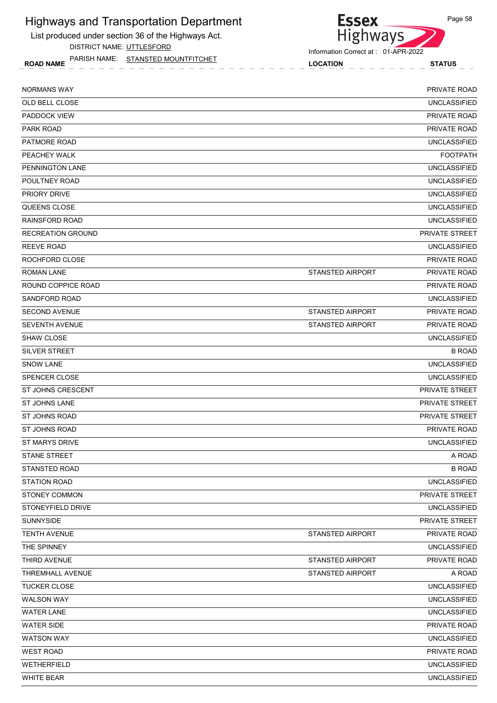



ROAD NAME LOCATION STATUS PARISH NAME: STANSTED MOUNTFITCHET

| NORMANS WAY              |                         | <b>PRIVATE ROAD</b>   |
|--------------------------|-------------------------|-----------------------|
| OLD BELL CLOSE           |                         | <b>UNCLASSIFIED</b>   |
| <b>PADDOCK VIEW</b>      |                         | <b>PRIVATE ROAD</b>   |
| PARK ROAD                |                         | <b>PRIVATE ROAD</b>   |
| <b>PATMORE ROAD</b>      |                         | <b>UNCLASSIFIED</b>   |
| PEACHEY WALK             |                         | <b>FOOTPATH</b>       |
| PENNINGTON LANE          |                         | <b>UNCLASSIFIED</b>   |
| POULTNEY ROAD            |                         | <b>UNCLASSIFIED</b>   |
| <b>PRIORY DRIVE</b>      |                         | <b>UNCLASSIFIED</b>   |
| QUEENS CLOSE             |                         | <b>UNCLASSIFIED</b>   |
| RAINSFORD ROAD           |                         | <b>UNCLASSIFIED</b>   |
| <b>RECREATION GROUND</b> |                         | PRIVATE STREET        |
| <b>REEVE ROAD</b>        |                         | <b>UNCLASSIFIED</b>   |
| ROCHFORD CLOSE           |                         | <b>PRIVATE ROAD</b>   |
| <b>ROMAN LANE</b>        | <b>STANSTED AIRPORT</b> | PRIVATE ROAD          |
| ROUND COPPICE ROAD       |                         | <b>PRIVATE ROAD</b>   |
| <b>SANDFORD ROAD</b>     |                         | <b>UNCLASSIFIED</b>   |
| <b>SECOND AVENUE</b>     | <b>STANSTED AIRPORT</b> | PRIVATE ROAD          |
| <b>SEVENTH AVENUE</b>    | <b>STANSTED AIRPORT</b> | PRIVATE ROAD          |
| SHAW CLOSE               |                         | <b>UNCLASSIFIED</b>   |
| SILVER STREET            |                         | <b>B ROAD</b>         |
| <b>SNOW LANE</b>         |                         | <b>UNCLASSIFIED</b>   |
| SPENCER CLOSE            |                         | <b>UNCLASSIFIED</b>   |
| <b>ST JOHNS CRESCENT</b> |                         | PRIVATE STREET        |
| <b>ST JOHNS LANE</b>     |                         | PRIVATE STREET        |
| <b>ST JOHNS ROAD</b>     |                         | <b>PRIVATE STREET</b> |
| ST JOHNS ROAD            |                         | PRIVATE ROAD          |
| <b>ST MARYS DRIVE</b>    |                         | <b>UNCLASSIFIED</b>   |
| <b>STANE STREET</b>      |                         | A ROAD                |
| <b>STANSTED ROAD</b>     |                         | <b>B ROAD</b>         |
| <b>STATION ROAD</b>      |                         | <b>UNCLASSIFIED</b>   |
| <b>STONEY COMMON</b>     |                         | PRIVATE STREET        |
| STONEYFIELD DRIVE        |                         | <b>UNCLASSIFIED</b>   |
| <b>SUNNYSIDE</b>         |                         | PRIVATE STREET        |
| <b>TENTH AVENUE</b>      | <b>STANSTED AIRPORT</b> | PRIVATE ROAD          |
| THE SPINNEY              |                         | <b>UNCLASSIFIED</b>   |
| THIRD AVENUE             | <b>STANSTED AIRPORT</b> | PRIVATE ROAD          |
| THREMHALL AVENUE         | STANSTED AIRPORT        | A ROAD                |
| <b>TUCKER CLOSE</b>      |                         | <b>UNCLASSIFIED</b>   |
| <b>WALSON WAY</b>        |                         | <b>UNCLASSIFIED</b>   |
| <b>WATER LANE</b>        |                         | <b>UNCLASSIFIED</b>   |
| <b>WATER SIDE</b>        |                         | PRIVATE ROAD          |
| <b>WATSON WAY</b>        |                         | <b>UNCLASSIFIED</b>   |
| <b>WEST ROAD</b>         |                         | PRIVATE ROAD          |
| WETHERFIELD              |                         | <b>UNCLASSIFIED</b>   |
| <b>WHITE BEAR</b>        |                         | <b>UNCLASSIFIED</b>   |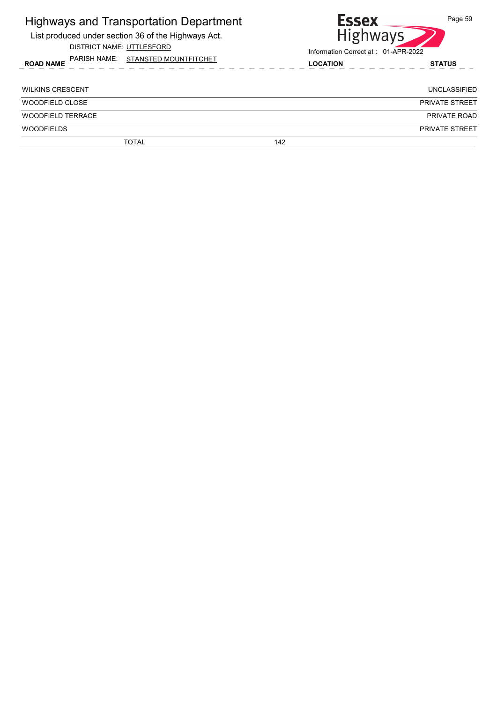| <b>Highways and Transportation Department</b><br>List produced under section 36 of the Highways Act.<br>DISTRICT NAME: UTTLESFORD |                                     | <b>Essex</b><br>Page 59<br><b>Highways</b> |  |
|-----------------------------------------------------------------------------------------------------------------------------------|-------------------------------------|--------------------------------------------|--|
| PARISH NAME: STANSTED MOUNTFITCHET                                                                                                | Information Correct at: 01-APR-2022 |                                            |  |
| <b>ROAD NAME</b>                                                                                                                  | <b>LOCATION</b>                     | <b>STATUS</b>                              |  |
| <b>WILKINS CRESCENT</b>                                                                                                           |                                     | <b>UNCLASSIFIED</b>                        |  |
| WOODFIELD CLOSE                                                                                                                   |                                     | <b>PRIVATE STREET</b>                      |  |
| <b>WOODFIELD TERRACE</b>                                                                                                          |                                     | <b>PRIVATE ROAD</b>                        |  |
| <b>WOODFIELDS</b>                                                                                                                 |                                     | <b>PRIVATE STREET</b>                      |  |
| <b>TOTAL</b>                                                                                                                      | 142                                 |                                            |  |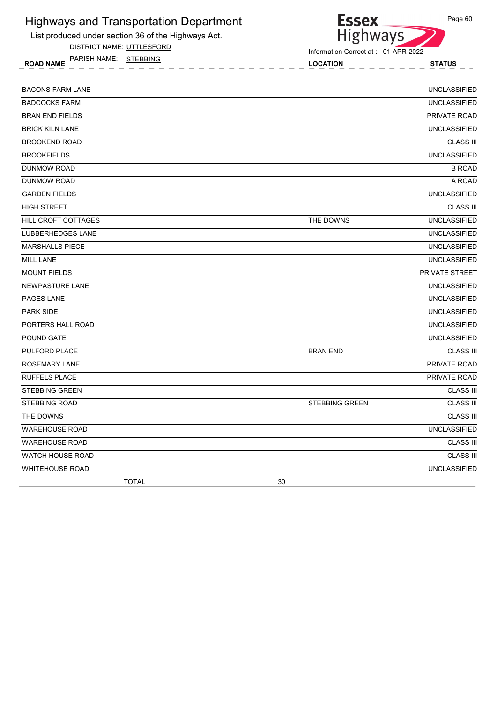

DISTRICT NAME: UTTLESFORD

ROAD NAME LOCATION STATUS PARISH NAME: STEBBING



| <b>BACONS FARM LANE</b>    | <b>UNCLASSIFIED</b>                       |
|----------------------------|-------------------------------------------|
| <b>BADCOCKS FARM</b>       | <b>UNCLASSIFIED</b>                       |
| <b>BRAN END FIELDS</b>     | PRIVATE ROAD                              |
| <b>BRICK KILN LANE</b>     | <b>UNCLASSIFIED</b>                       |
| <b>BROOKEND ROAD</b>       | <b>CLASS III</b>                          |
| <b>BROOKFIELDS</b>         | <b>UNCLASSIFIED</b>                       |
| <b>DUNMOW ROAD</b>         | <b>B ROAD</b>                             |
| DUNMOW ROAD                | A ROAD                                    |
| <b>GARDEN FIELDS</b>       | <b>UNCLASSIFIED</b>                       |
| <b>HIGH STREET</b>         | <b>CLASS III</b>                          |
| <b>HILL CROFT COTTAGES</b> | <b>UNCLASSIFIED</b><br>THE DOWNS          |
| <b>LUBBERHEDGES LANE</b>   | <b>UNCLASSIFIED</b>                       |
| <b>MARSHALLS PIECE</b>     | <b>UNCLASSIFIED</b>                       |
| <b>MILL LANE</b>           | <b>UNCLASSIFIED</b>                       |
| <b>MOUNT FIELDS</b>        | PRIVATE STREET                            |
| NEWPASTURE LANE            | <b>UNCLASSIFIED</b>                       |
| PAGES LANE                 | <b>UNCLASSIFIED</b>                       |
| <b>PARK SIDE</b>           | <b>UNCLASSIFIED</b>                       |
| PORTERS HALL ROAD          | <b>UNCLASSIFIED</b>                       |
| POUND GATE                 | <b>UNCLASSIFIED</b>                       |
| PULFORD PLACE              | <b>CLASS III</b><br><b>BRAN END</b>       |
| <b>ROSEMARY LANE</b>       | PRIVATE ROAD                              |
| <b>RUFFELS PLACE</b>       | PRIVATE ROAD                              |
| <b>STEBBING GREEN</b>      | <b>CLASS III</b>                          |
| <b>STEBBING ROAD</b>       | <b>CLASS III</b><br><b>STEBBING GREEN</b> |
| THE DOWNS                  | <b>CLASS III</b>                          |
| <b>WAREHOUSE ROAD</b>      | <b>UNCLASSIFIED</b>                       |
| <b>WAREHOUSE ROAD</b>      | <b>CLASS III</b>                          |
| <b>WATCH HOUSE ROAD</b>    | <b>CLASS III</b>                          |
| <b>WHITEHOUSE ROAD</b>     | <b>UNCLASSIFIED</b>                       |
| <b>TOTAL</b>               | 30                                        |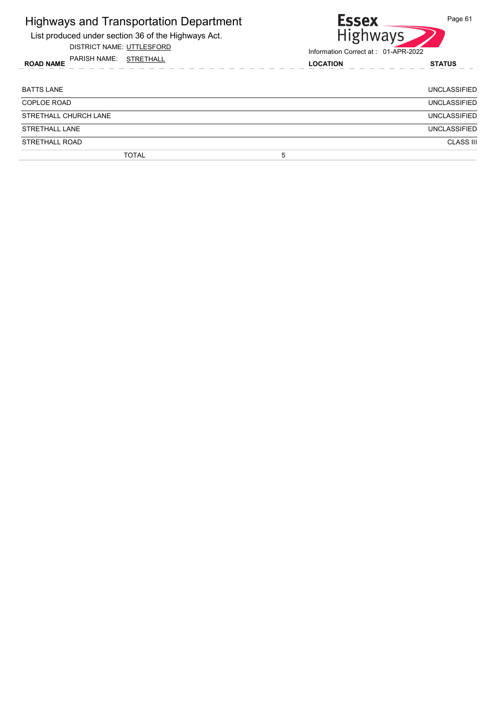| <b>Highways and Transportation Department</b><br>List produced under section 36 of the Highways Act.<br>DISTRICT NAME: UTTLESFORD | <b>Essex</b><br>Highways<br>Information Correct at: 01-APR-2022 | Page 61             |
|-----------------------------------------------------------------------------------------------------------------------------------|-----------------------------------------------------------------|---------------------|
| PARISH NAME: STRETHALL<br><b>ROAD NAME</b>                                                                                        | <b>LOCATION</b>                                                 | <b>STATUS</b>       |
| <b>BATTS LANE</b>                                                                                                                 |                                                                 | UNCLASSIFIED        |
| COPLOE ROAD                                                                                                                       |                                                                 | <b>UNCLASSIFIED</b> |
| STRETHALL CHURCH LANE                                                                                                             |                                                                 | <b>UNCLASSIFIED</b> |
| <b>STRETHALL LANE</b>                                                                                                             |                                                                 | <b>UNCLASSIFIED</b> |
| STRETHALL ROAD                                                                                                                    |                                                                 | <b>CLASS III</b>    |
| <b>TOTAL</b>                                                                                                                      | 5                                                               |                     |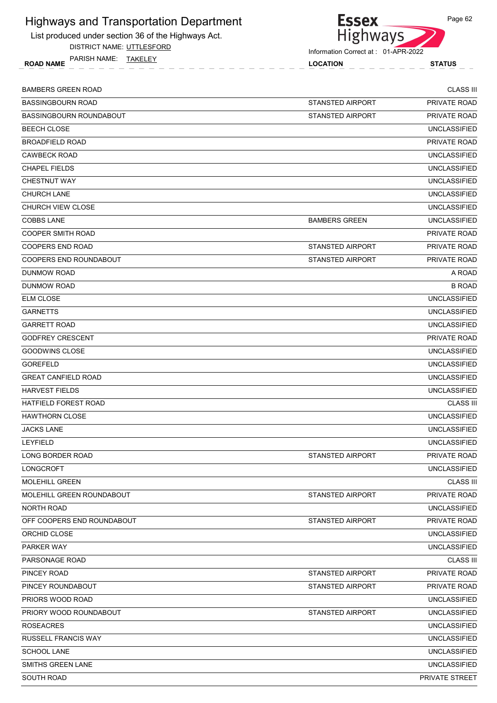

DISTRICT NAME: UTTLESFORD

ROAD NAME LOCATION STATUS PARISH NAME: TAKELEY



| <b>BAMBERS GREEN ROAD</b>        |                         | <b>CLASS III</b>    |
|----------------------------------|-------------------------|---------------------|
| <b>BASSINGBOURN ROAD</b>         | STANSTED AIRPORT        | PRIVATE ROAD        |
| <b>BASSINGBOURN ROUNDABOUT</b>   | <b>STANSTED AIRPORT</b> | PRIVATE ROAD        |
| <b>BEECH CLOSE</b>               |                         | <b>UNCLASSIFIED</b> |
| <b>BROADFIELD ROAD</b>           |                         | <b>PRIVATE ROAD</b> |
| <b>CAWBECK ROAD</b>              |                         | <b>UNCLASSIFIED</b> |
| <b>CHAPEL FIELDS</b>             |                         | <b>UNCLASSIFIED</b> |
| <b>CHESTNUT WAY</b>              |                         | <b>UNCLASSIFIED</b> |
| <b>CHURCH LANE</b>               |                         | <b>UNCLASSIFIED</b> |
| CHURCH VIEW CLOSE                |                         | <b>UNCLASSIFIED</b> |
| <b>COBBS LANE</b>                | <b>BAMBERS GREEN</b>    | <b>UNCLASSIFIED</b> |
| <b>COOPER SMITH ROAD</b>         |                         | PRIVATE ROAD        |
| <b>COOPERS END ROAD</b>          | <b>STANSTED AIRPORT</b> | PRIVATE ROAD        |
| COOPERS END ROUNDABOUT           | <b>STANSTED AIRPORT</b> | PRIVATE ROAD        |
| <b>DUNMOW ROAD</b>               |                         | A ROAD              |
| DUNMOW ROAD                      |                         | <b>B ROAD</b>       |
| <b>ELM CLOSE</b>                 |                         | <b>UNCLASSIFIED</b> |
| <b>GARNETTS</b>                  |                         | <b>UNCLASSIFIED</b> |
| <b>GARRETT ROAD</b>              |                         | <b>UNCLASSIFIED</b> |
| <b>GODFREY CRESCENT</b>          |                         | PRIVATE ROAD        |
| GOODWINS CLOSE                   |                         | <b>UNCLASSIFIED</b> |
| <b>GOREFELD</b>                  |                         | <b>UNCLASSIFIED</b> |
| <b>GREAT CANFIELD ROAD</b>       |                         | <b>UNCLASSIFIED</b> |
| <b>HARVEST FIELDS</b>            |                         | <b>UNCLASSIFIED</b> |
| <b>HATFIELD FOREST ROAD</b>      |                         | <b>CLASS III</b>    |
| <b>HAWTHORN CLOSE</b>            |                         | <b>UNCLASSIFIED</b> |
| <b>JACKS LANE</b>                |                         | <b>UNCLASSIFIED</b> |
| <b>LEYFIELD</b>                  |                         | <b>UNCLASSIFIED</b> |
| LONG BORDER ROAD                 | STANSTED AIRPORT        | <b>PRIVATE ROAD</b> |
| LONGCROFT                        |                         | <b>UNCLASSIFIED</b> |
| <b>MOLEHILL GREEN</b>            |                         | <b>CLASS III</b>    |
| <b>MOLEHILL GREEN ROUNDABOUT</b> | STANSTED AIRPORT        | PRIVATE ROAD        |
| NORTH ROAD                       |                         | <b>UNCLASSIFIED</b> |
| OFF COOPERS END ROUNDABOUT       | <b>STANSTED AIRPORT</b> | PRIVATE ROAD        |
| ORCHID CLOSE                     |                         | <b>UNCLASSIFIED</b> |
| PARKER WAY                       |                         | <b>UNCLASSIFIED</b> |
| PARSONAGE ROAD                   |                         | <b>CLASS III</b>    |
| PINCEY ROAD                      | <b>STANSTED AIRPORT</b> | PRIVATE ROAD        |
| PINCEY ROUNDABOUT                | <b>STANSTED AIRPORT</b> | PRIVATE ROAD        |
| PRIORS WOOD ROAD                 |                         | <b>UNCLASSIFIED</b> |
| PRIORY WOOD ROUNDABOUT           | STANSTED AIRPORT        | <b>UNCLASSIFIED</b> |
| <b>ROSEACRES</b>                 |                         | <b>UNCLASSIFIED</b> |
| RUSSELL FRANCIS WAY              |                         | <b>UNCLASSIFIED</b> |
| <b>SCHOOL LANE</b>               |                         | <b>UNCLASSIFIED</b> |
| SMITHS GREEN LANE                |                         | <b>UNCLASSIFIED</b> |
| SOUTH ROAD                       |                         | PRIVATE STREET      |
|                                  |                         |                     |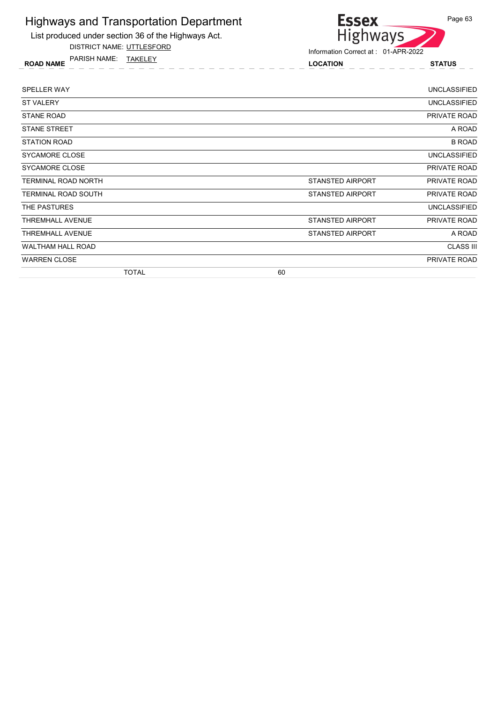

DISTRICT NAME: UTTLESFORD

ROAD NAME LOCATION STATUS PARISH NAME: TAKELEY



| <b>SPELLER WAY</b>         |                         | <b>UNCLASSIFIED</b> |
|----------------------------|-------------------------|---------------------|
| <b>ST VALERY</b>           |                         | <b>UNCLASSIFIED</b> |
| <b>STANE ROAD</b>          |                         | PRIVATE ROAD        |
| <b>STANE STREET</b>        |                         | A ROAD              |
| <b>STATION ROAD</b>        |                         | <b>B ROAD</b>       |
| SYCAMORE CLOSE             |                         | <b>UNCLASSIFIED</b> |
| SYCAMORE CLOSE             |                         | PRIVATE ROAD        |
| <b>TERMINAL ROAD NORTH</b> | <b>STANSTED AIRPORT</b> | PRIVATE ROAD        |
| <b>TERMINAL ROAD SOUTH</b> | <b>STANSTED AIRPORT</b> | PRIVATE ROAD        |
| THE PASTURES               |                         | <b>UNCLASSIFIED</b> |
| <b>THREMHALL AVENUE</b>    | STANSTED AIRPORT        | PRIVATE ROAD        |
| <b>THREMHALL AVENUE</b>    | <b>STANSTED AIRPORT</b> | A ROAD              |
| <b>WALTHAM HALL ROAD</b>   |                         | <b>CLASS III</b>    |
| <b>WARREN CLOSE</b>        |                         | <b>PRIVATE ROAD</b> |
| <b>TOTAL</b>               | 60                      |                     |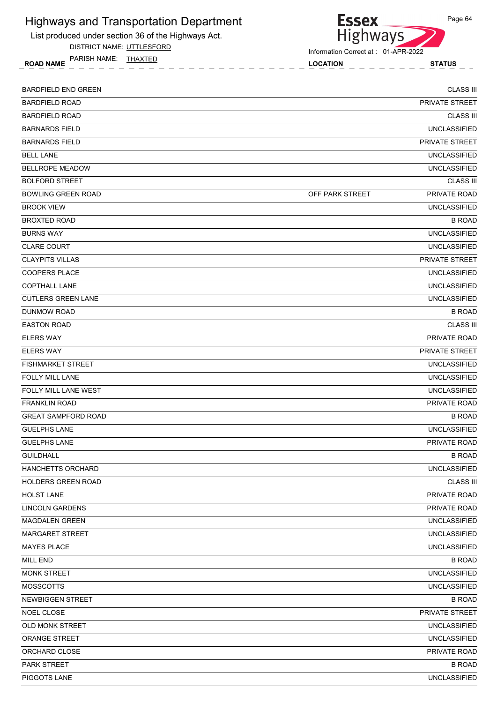

DISTRICT NAME: UTTLESFORD

ROAD NAME LOCATION STATUS PARISH NAME: THAXTED



| <b>BARDFIELD END GREEN</b> | <b>CLASS III</b>                |
|----------------------------|---------------------------------|
| <b>BARDFIELD ROAD</b>      | PRIVATE STREET                  |
| <b>BARDFIELD ROAD</b>      | <b>CLASS III</b>                |
| <b>BARNARDS FIELD</b>      | <b>UNCLASSIFIED</b>             |
| <b>BARNARDS FIELD</b>      | <b>PRIVATE STREET</b>           |
| <b>BELL LANE</b>           | <b>UNCLASSIFIED</b>             |
| <b>BELLROPE MEADOW</b>     | <b>UNCLASSIFIED</b>             |
| <b>BOLFORD STREET</b>      | <b>CLASS III</b>                |
| <b>BOWLING GREEN ROAD</b>  | PRIVATE ROAD<br>OFF PARK STREET |
| <b>BROOK VIEW</b>          | <b>UNCLASSIFIED</b>             |
| <b>BROXTED ROAD</b>        | <b>B ROAD</b>                   |
| <b>BURNS WAY</b>           | <b>UNCLASSIFIED</b>             |
| <b>CLARE COURT</b>         | <b>UNCLASSIFIED</b>             |
| <b>CLAYPITS VILLAS</b>     | PRIVATE STREET                  |
| <b>COOPERS PLACE</b>       | <b>UNCLASSIFIED</b>             |
| <b>COPTHALL LANE</b>       | <b>UNCLASSIFIED</b>             |
| <b>CUTLERS GREEN LANE</b>  | <b>UNCLASSIFIED</b>             |
| DUNMOW ROAD                | <b>B ROAD</b>                   |
| <b>EASTON ROAD</b>         | <b>CLASS III</b>                |
| <b>ELERS WAY</b>           | <b>PRIVATE ROAD</b>             |
| <b>ELERS WAY</b>           | <b>PRIVATE STREET</b>           |
| <b>FISHMARKET STREET</b>   | <b>UNCLASSIFIED</b>             |
| <b>FOLLY MILL LANE</b>     | <b>UNCLASSIFIED</b>             |
| FOLLY MILL LANE WEST       | <b>UNCLASSIFIED</b>             |
| <b>FRANKLIN ROAD</b>       | PRIVATE ROAD                    |
| <b>GREAT SAMPFORD ROAD</b> | <b>B ROAD</b>                   |
| <b>GUELPHS LANE</b>        | <b>UNCLASSIFIED</b>             |
| <b>GUELPHS LANE</b>        | <b>PRIVATE ROAD</b>             |
| <b>GUILDHALL</b>           | <b>B ROAD</b>                   |
| HANCHETTS ORCHARD          | <b>UNCLASSIFIED</b>             |
| <b>HOLDERS GREEN ROAD</b>  | <b>CLASS III</b>                |
| <b>HOLST LANE</b>          | PRIVATE ROAD                    |
| <b>LINCOLN GARDENS</b>     | PRIVATE ROAD                    |
| <b>MAGDALEN GREEN</b>      | <b>UNCLASSIFIED</b>             |
| <b>MARGARET STREET</b>     | <b>UNCLASSIFIED</b>             |
| <b>MAYES PLACE</b>         | <b>UNCLASSIFIED</b>             |
| <b>MILL END</b>            | <b>B ROAD</b>                   |
| <b>MONK STREET</b>         | <b>UNCLASSIFIED</b>             |
| <b>MOSSCOTTS</b>           | <b>UNCLASSIFIED</b>             |
| <b>NEWBIGGEN STREET</b>    | <b>B ROAD</b>                   |
| NOEL CLOSE                 | PRIVATE STREET                  |
| <b>OLD MONK STREET</b>     | <b>UNCLASSIFIED</b>             |
| ORANGE STREET              | <b>UNCLASSIFIED</b>             |
| ORCHARD CLOSE              | PRIVATE ROAD                    |
| PARK STREET                | <b>B ROAD</b>                   |
| PIGGOTS LANE               | <b>UNCLASSIFIED</b>             |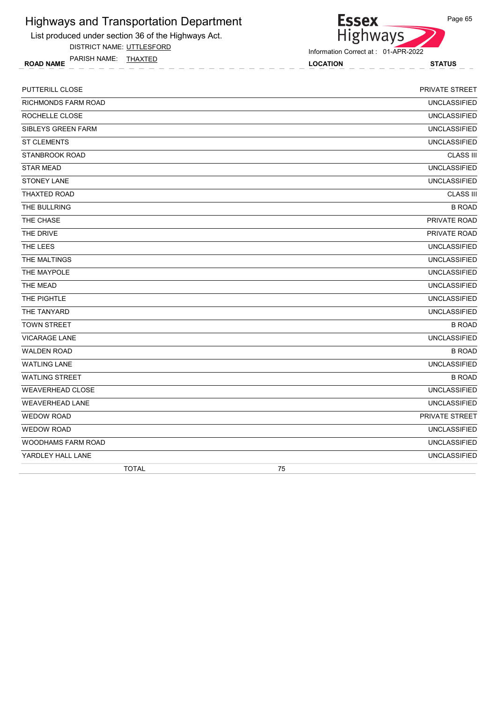

DISTRICT NAME: UTTLESFORD

ROAD NAME LOCATION STATUS PARISH NAME: THAXTED



Information Correct at : 01-APR-2022

| <b>TOTAL</b>               | 75                    |
|----------------------------|-----------------------|
| YARDLEY HALL LANE          | <b>UNCLASSIFIED</b>   |
| <b>WOODHAMS FARM ROAD</b>  | <b>UNCLASSIFIED</b>   |
| WEDOW ROAD                 | <b>UNCLASSIFIED</b>   |
| <b>WEDOW ROAD</b>          | PRIVATE STREET        |
| <b>WEAVERHEAD LANE</b>     | <b>UNCLASSIFIED</b>   |
| <b>WEAVERHEAD CLOSE</b>    | <b>UNCLASSIFIED</b>   |
| <b>WATLING STREET</b>      | <b>B ROAD</b>         |
| <b>WATLING LANE</b>        | <b>UNCLASSIFIED</b>   |
| <b>WALDEN ROAD</b>         | <b>B ROAD</b>         |
| <b>VICARAGE LANE</b>       | <b>UNCLASSIFIED</b>   |
| <b>TOWN STREET</b>         | <b>B ROAD</b>         |
| THE TANYARD                | <b>UNCLASSIFIED</b>   |
| THE PIGHTLE                | <b>UNCLASSIFIED</b>   |
| <b>THE MEAD</b>            | <b>UNCLASSIFIED</b>   |
| THE MAYPOLE                | <b>UNCLASSIFIED</b>   |
| THE MALTINGS               | <b>UNCLASSIFIED</b>   |
| THE LEES                   | <b>UNCLASSIFIED</b>   |
| THE DRIVE                  | PRIVATE ROAD          |
| THE CHASE                  | PRIVATE ROAD          |
| THE BULLRING               | <b>B ROAD</b>         |
| <b>THAXTED ROAD</b>        | <b>CLASS III</b>      |
| <b>STONEY LANE</b>         | <b>UNCLASSIFIED</b>   |
| <b>STAR MEAD</b>           | <b>UNCLASSIFIED</b>   |
| <b>STANBROOK ROAD</b>      | <b>CLASS III</b>      |
| <b>ST CLEMENTS</b>         | <b>UNCLASSIFIED</b>   |
| <b>SIBLEYS GREEN FARM</b>  | <b>UNCLASSIFIED</b>   |
| ROCHELLE CLOSE             | <b>UNCLASSIFIED</b>   |
| <b>RICHMONDS FARM ROAD</b> | <b>UNCLASSIFIED</b>   |
| <b>PUTTERILL CLOSE</b>     | <b>PRIVATE STREET</b> |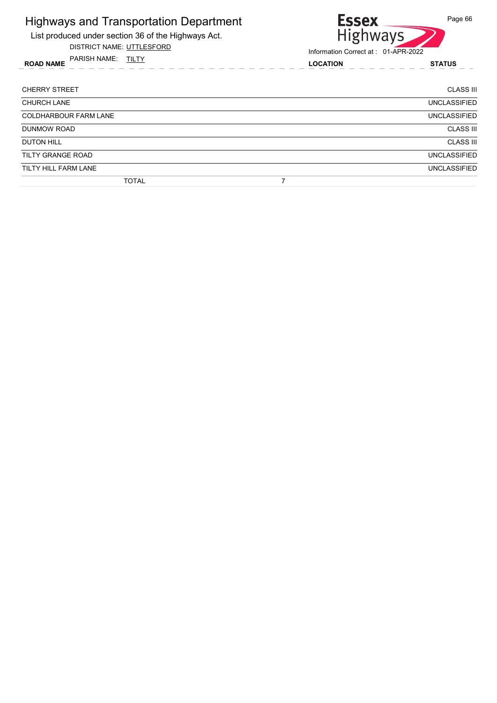

DISTRICT NAME: UTTLESFORD

ROAD NAME LOCATION STATUS PARISH NAME: TILTY



| <b>CHERRY STREET</b>         | <b>CLASS III</b>    |
|------------------------------|---------------------|
| <b>CHURCH LANE</b>           | <b>UNCLASSIFIED</b> |
| <b>COLDHARBOUR FARM LANE</b> | <b>UNCLASSIFIED</b> |
| <b>DUNMOW ROAD</b>           | <b>CLASS III</b>    |
| <b>DUTON HILL</b>            | <b>CLASS III</b>    |
| <b>TILTY GRANGE ROAD</b>     | <b>UNCLASSIFIED</b> |
| TILTY HILL FARM LANE         | <b>UNCLASSIFIED</b> |
| <b>TOTAL</b>                 |                     |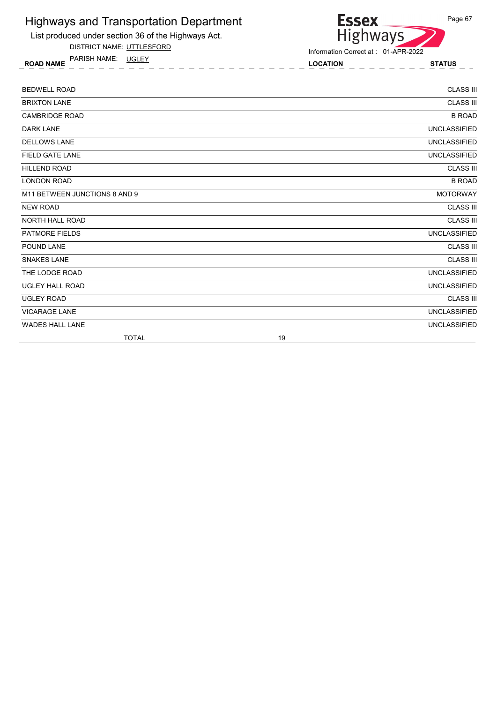

DISTRICT NAME: UTTLESFORD

ROAD NAME LOCATION STATUS PARISH NAME: UGLEY



| <b>BEDWELL ROAD</b>           | <b>CLASS III</b>    |
|-------------------------------|---------------------|
| <b>BRIXTON LANE</b>           | <b>CLASS III</b>    |
| <b>CAMBRIDGE ROAD</b>         | <b>B ROAD</b>       |
| <b>DARK LANE</b>              | <b>UNCLASSIFIED</b> |
| <b>DELLOWS LANE</b>           | <b>UNCLASSIFIED</b> |
| <b>FIELD GATE LANE</b>        | <b>UNCLASSIFIED</b> |
| <b>HILLEND ROAD</b>           | <b>CLASS III</b>    |
| <b>LONDON ROAD</b>            | <b>B ROAD</b>       |
| M11 BETWEEN JUNCTIONS 8 AND 9 | <b>MOTORWAY</b>     |
| <b>NEW ROAD</b>               | <b>CLASS III</b>    |
| <b>NORTH HALL ROAD</b>        | <b>CLASS III</b>    |
| <b>PATMORE FIELDS</b>         | <b>UNCLASSIFIED</b> |
| POUND LANE                    | <b>CLASS III</b>    |
| <b>SNAKES LANE</b>            | <b>CLASS III</b>    |
| THE LODGE ROAD                | <b>UNCLASSIFIED</b> |
| <b>UGLEY HALL ROAD</b>        | <b>UNCLASSIFIED</b> |
| <b>UGLEY ROAD</b>             | <b>CLASS III</b>    |
| <b>VICARAGE LANE</b>          | <b>UNCLASSIFIED</b> |
| <b>WADES HALL LANE</b>        | <b>UNCLASSIFIED</b> |
| <b>TOTAL</b>                  | 19                  |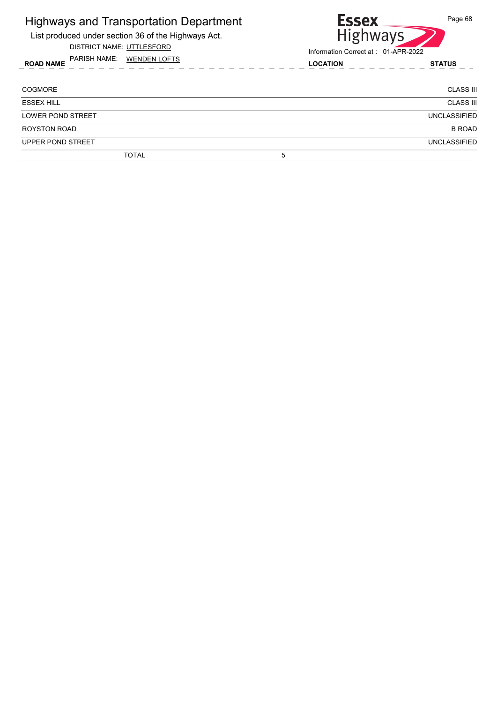#### Highways and Transportation Department List produced under section 36 of the Highways Act.

DISTRICT NAME: UTTLESFORD

ROAD NAME LOCATION STATUS PARISH NAME: WENDEN LOFTS



| <b>COGMORE</b>           | <b>CLASS III</b>    |
|--------------------------|---------------------|
| <b>ESSEX HILL</b>        | <b>CLASS III</b>    |
| <b>LOWER POND STREET</b> | <b>UNCLASSIFIED</b> |
| <b>ROYSTON ROAD</b>      | <b>B ROAD</b>       |
| UPPER POND STREET        | <b>UNCLASSIFIED</b> |
| <b>TOTAL</b>             | 5                   |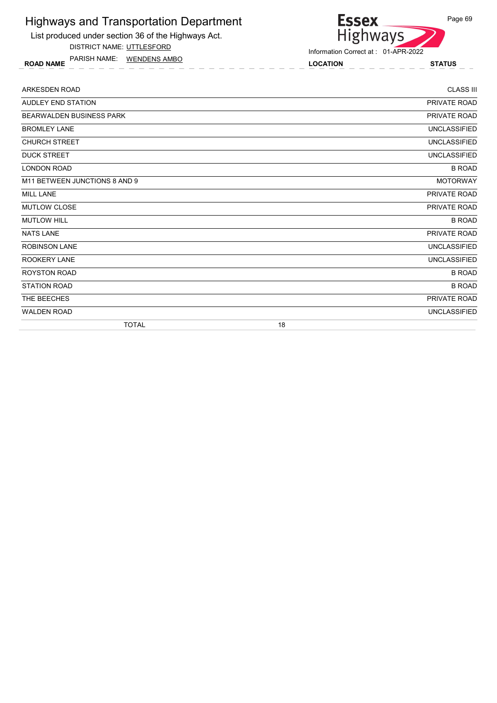List produced under section 36 of the Highways Act.

DISTRICT NAME: UTTLESFORD

ROAD NAME LOCATION STATUS PARISH NAME: WENDENS AMBO

# Highways Information Correct at : 01-APR-2022

**Essex** 

| <b>ARKESDEN ROAD</b>            |                     | <b>CLASS III</b> |
|---------------------------------|---------------------|------------------|
| <b>AUDLEY END STATION</b>       | <b>PRIVATE ROAD</b> |                  |
| <b>BEARWALDEN BUSINESS PARK</b> | PRIVATE ROAD        |                  |
| <b>BROMLEY LANE</b>             | <b>UNCLASSIFIED</b> |                  |
| <b>CHURCH STREET</b>            | <b>UNCLASSIFIED</b> |                  |
| <b>DUCK STREET</b>              | <b>UNCLASSIFIED</b> |                  |
| <b>LONDON ROAD</b>              |                     | <b>B ROAD</b>    |
| M11 BETWEEN JUNCTIONS 8 AND 9   | <b>MOTORWAY</b>     |                  |
| <b>MILL LANE</b>                | PRIVATE ROAD        |                  |
| <b>MUTLOW CLOSE</b>             | PRIVATE ROAD        |                  |
| <b>MUTLOW HILL</b>              |                     | <b>B ROAD</b>    |
| <b>NATS LANE</b>                | PRIVATE ROAD        |                  |
| <b>ROBINSON LANE</b>            | <b>UNCLASSIFIED</b> |                  |
| <b>ROOKERY LANE</b>             | <b>UNCLASSIFIED</b> |                  |
| <b>ROYSTON ROAD</b>             |                     | <b>B ROAD</b>    |
| <b>STATION ROAD</b>             |                     | <b>B ROAD</b>    |
| THE BEECHES                     | PRIVATE ROAD        |                  |
| WALDEN ROAD                     | <b>UNCLASSIFIED</b> |                  |
| <b>TOTAL</b>                    | 18                  |                  |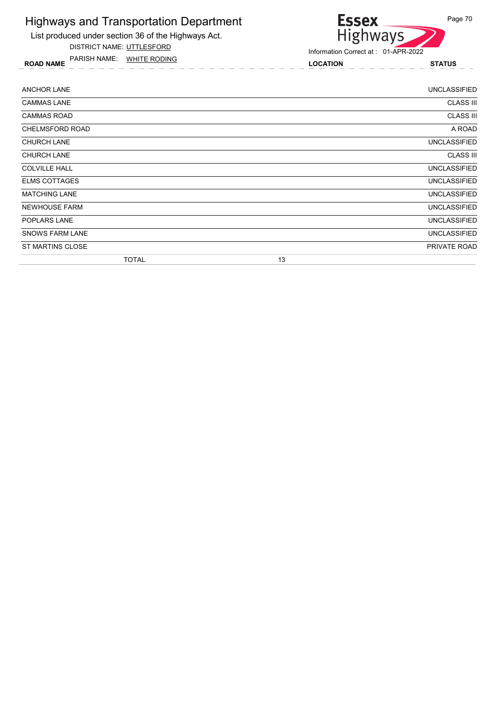List produced under section 36 of the Highways Act.

DISTRICT NAME: UTTLESFORD

ROAD NAME LOCATION STATUS PARISH NAME: WHITE RODING



| <b>ANCHOR LANE</b>     | <b>UNCLASSIFIED</b> |
|------------------------|---------------------|
| <b>CAMMAS LANE</b>     | <b>CLASS III</b>    |
| <b>CAMMAS ROAD</b>     | <b>CLASS III</b>    |
| CHELMSFORD ROAD        | A ROAD              |
| <b>CHURCH LANE</b>     | <b>UNCLASSIFIED</b> |
| <b>CHURCH LANE</b>     | <b>CLASS III</b>    |
| <b>COLVILLE HALL</b>   | <b>UNCLASSIFIED</b> |
| <b>ELMS COTTAGES</b>   | <b>UNCLASSIFIED</b> |
| <b>MATCHING LANE</b>   | <b>UNCLASSIFIED</b> |
| <b>NEWHOUSE FARM</b>   | <b>UNCLASSIFIED</b> |
| <b>POPLARS LANE</b>    | UNCLASSIFIED        |
| <b>SNOWS FARM LANE</b> | <b>UNCLASSIFIED</b> |
| ST MARTINS CLOSE       | PRIVATE ROAD        |
| <b>TOTAL</b>           | 13                  |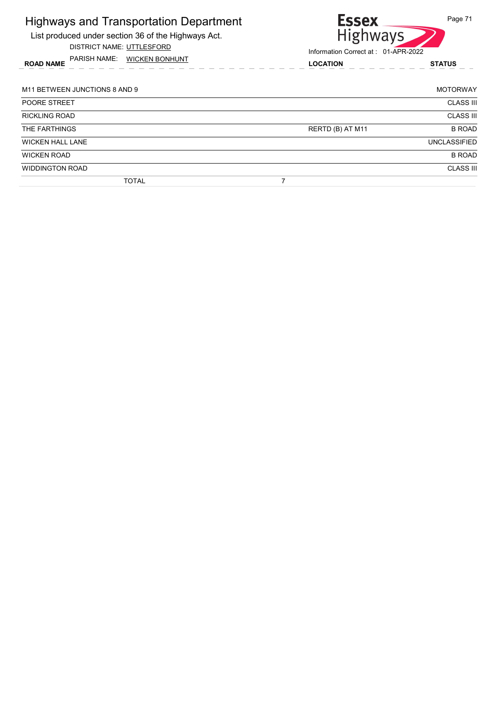| <b>Highways and Transportation Department</b><br>List produced under section 36 of the Highways Act.<br>DISTRICT NAME: UTTLESFORD<br>PARISH NAME: WICKEN BONHUNT<br><b>ROAD NAME</b> | <b>Essex</b><br>Page 71<br><b>Highways</b><br>Information Correct at: 01-APR-2022 |                     |
|--------------------------------------------------------------------------------------------------------------------------------------------------------------------------------------|-----------------------------------------------------------------------------------|---------------------|
|                                                                                                                                                                                      | <b>LOCATION</b>                                                                   | <b>STATUS</b>       |
| M11 BETWEEN JUNCTIONS 8 AND 9                                                                                                                                                        |                                                                                   | <b>MOTORWAY</b>     |
| POORE STREET                                                                                                                                                                         |                                                                                   | <b>CLASS III</b>    |
| <b>RICKLING ROAD</b>                                                                                                                                                                 |                                                                                   | <b>CLASS III</b>    |
| THE FARTHINGS                                                                                                                                                                        | RERTD (B) AT M11                                                                  | <b>B ROAD</b>       |
| <b>WICKEN HALL LANE</b>                                                                                                                                                              |                                                                                   | <b>UNCLASSIFIED</b> |
| <b>WICKEN ROAD</b>                                                                                                                                                                   |                                                                                   | <b>B ROAD</b>       |
| <b>WIDDINGTON ROAD</b>                                                                                                                                                               |                                                                                   | <b>CLASS III</b>    |
| TOTAL                                                                                                                                                                                | 7                                                                                 |                     |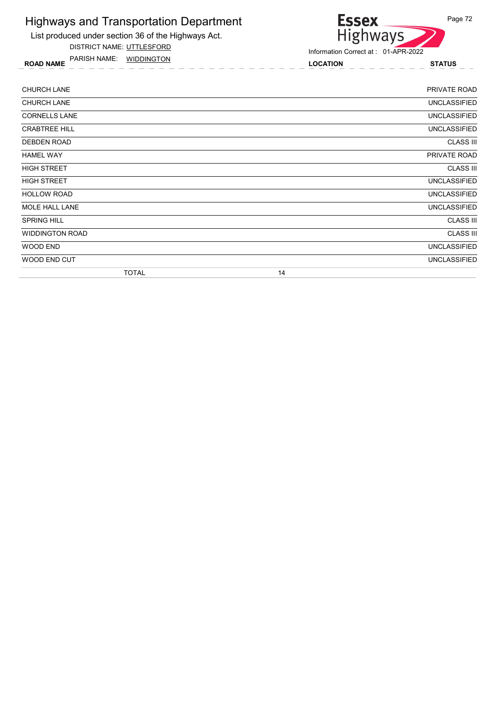

DISTRICT NAME: UTTLESFORD

ROAD NAME LOCATION STATUS PARISH NAME: WIDDINGTON



Information Correct at : 01-APR-2022

| <b>CHURCH LANE</b>     | PRIVATE ROAD        |
|------------------------|---------------------|
| <b>CHURCH LANE</b>     | <b>UNCLASSIFIED</b> |
| <b>CORNELLS LANE</b>   | UNCLASSIFIED        |
| <b>CRABTREE HILL</b>   | <b>UNCLASSIFIED</b> |
| DEBDEN ROAD            | <b>CLASS III</b>    |
| <b>HAMEL WAY</b>       | PRIVATE ROAD        |
| <b>HIGH STREET</b>     | <b>CLASS III</b>    |
| <b>HIGH STREET</b>     | <b>UNCLASSIFIED</b> |
| <b>HOLLOW ROAD</b>     | <b>UNCLASSIFIED</b> |
| MOLE HALL LANE         | <b>UNCLASSIFIED</b> |
| <b>SPRING HILL</b>     | <b>CLASS III</b>    |
| <b>WIDDINGTON ROAD</b> | <b>CLASS III</b>    |
| WOOD END               | <b>UNCLASSIFIED</b> |
| WOOD END CUT           | <b>UNCLASSIFIED</b> |
| <b>TOTAL</b>           | 14                  |